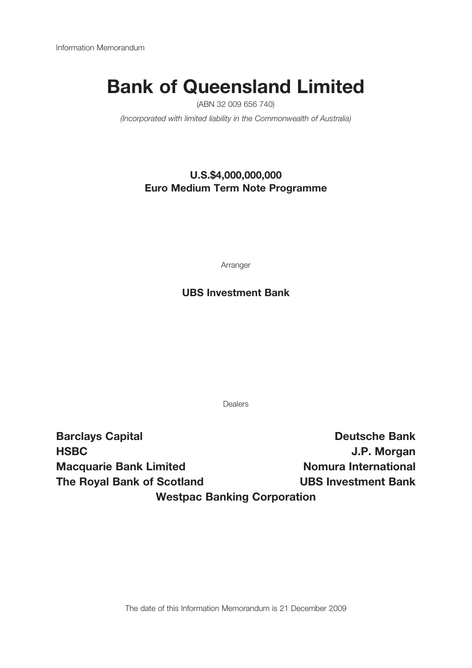# Bank of Queensland Limited

(ABN 32 009 656 740)

(Incorporated with limited liability in the Commonwealth of Australia)

## U.S.\$4,000,000,000 Euro Medium Term Note Programme

Arranger

## UBS Investment Bank

Dealers

Barclays Capital **Bank** Deutsche Bank HSBC J.P. Morgan Macquarie Bank Limited Nomura International The Royal Bank of Scotland UBS Investment Bank Westpac Banking Corporation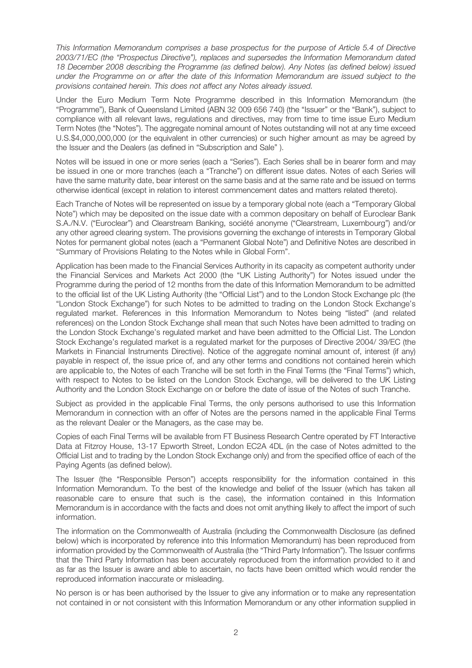This Information Memorandum comprises a base prospectus for the purpose of Article 5.4 of Directive 2003/71/EC (the "Prospectus Directive"), replaces and supersedes the Information Memorandum dated 18 December 2008 describing the Programme (as defined below). Any Notes (as defined below) issued under the Programme on or after the date of this Information Memorandum are issued subject to the provisions contained herein. This does not affect any Notes already issued.

Under the Euro Medium Term Note Programme described in this Information Memorandum (the "Programme"), Bank of Queensland Limited (ABN 32 009 656 740) (the "Issuer" or the "Bank"), subject to compliance with all relevant laws, regulations and directives, may from time to time issue Euro Medium Term Notes (the "Notes"). The aggregate nominal amount of Notes outstanding will not at any time exceed U.S.\$4,000,000,000 (or the equivalent in other currencies) or such higher amount as may be agreed by the Issuer and the Dealers (as defined in "Subscription and Sale" ).

Notes will be issued in one or more series (each a "Series"). Each Series shall be in bearer form and may be issued in one or more tranches (each a "Tranche") on different issue dates. Notes of each Series will have the same maturity date, bear interest on the same basis and at the same rate and be issued on terms otherwise identical (except in relation to interest commencement dates and matters related thereto).

Each Tranche of Notes will be represented on issue by a temporary global note (each a "Temporary Global Note") which may be deposited on the issue date with a common depositary on behalf of Euroclear Bank S.A./N.V. ("Euroclear") and Clearstream Banking, société anonyme ("Clearstream, Luxembourg") and/or any other agreed clearing system. The provisions governing the exchange of interests in Temporary Global Notes for permanent global notes (each a "Permanent Global Note") and Definitive Notes are described in "Summary of Provisions Relating to the Notes while in Global Form".

Application has been made to the Financial Services Authority in its capacity as competent authority under the Financial Services and Markets Act 2000 (the "UK Listing Authority") for Notes issued under the Programme during the period of 12 months from the date of this Information Memorandum to be admitted to the official list of the UK Listing Authority (the "Official List") and to the London Stock Exchange plc (the "London Stock Exchange") for such Notes to be admitted to trading on the London Stock Exchange's regulated market. References in this Information Memorandum to Notes being "listed" (and related references) on the London Stock Exchange shall mean that such Notes have been admitted to trading on the London Stock Exchange's regulated market and have been admitted to the Official List. The London Stock Exchange's regulated market is a regulated market for the purposes of Directive 2004/ 39/EC (the Markets in Financial Instruments Directive). Notice of the aggregate nominal amount of, interest (if any) payable in respect of, the issue price of, and any other terms and conditions not contained herein which are applicable to, the Notes of each Tranche will be set forth in the Final Terms (the "Final Terms") which, with respect to Notes to be listed on the London Stock Exchange, will be delivered to the UK Listing Authority and the London Stock Exchange on or before the date of issue of the Notes of such Tranche.

Subject as provided in the applicable Final Terms, the only persons authorised to use this Information Memorandum in connection with an offer of Notes are the persons named in the applicable Final Terms as the relevant Dealer or the Managers, as the case may be.

Copies of each Final Terms will be available from FT Business Research Centre operated by FT Interactive Data at Fitzroy House, 13-17 Epworth Street, London EC2A 4DL (in the case of Notes admitted to the Official List and to trading by the London Stock Exchange only) and from the specified office of each of the Paying Agents (as defined below).

The Issuer (the "Responsible Person") accepts responsibility for the information contained in this Information Memorandum. To the best of the knowledge and belief of the Issuer (which has taken all reasonable care to ensure that such is the case), the information contained in this Information Memorandum is in accordance with the facts and does not omit anything likely to affect the import of such information.

The information on the Commonwealth of Australia (including the Commonwealth Disclosure (as defined below) which is incorporated by reference into this Information Memorandum) has been reproduced from information provided by the Commonwealth of Australia (the "Third Party Information"). The Issuer confirms that the Third Party Information has been accurately reproduced from the information provided to it and as far as the Issuer is aware and able to ascertain, no facts have been omitted which would render the reproduced information inaccurate or misleading.

No person is or has been authorised by the Issuer to give any information or to make any representation not contained in or not consistent with this Information Memorandum or any other information supplied in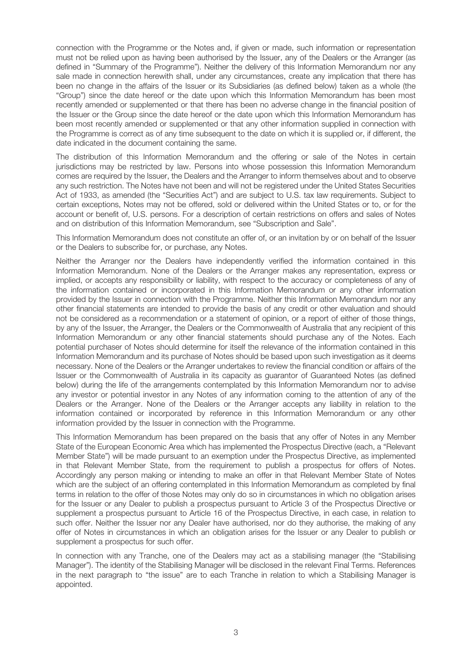connection with the Programme or the Notes and, if given or made, such information or representation must not be relied upon as having been authorised by the Issuer, any of the Dealers or the Arranger (as defined in "Summary of the Programme"). Neither the delivery of this Information Memorandum nor any sale made in connection herewith shall, under any circumstances, create any implication that there has been no change in the affairs of the Issuer or its Subsidiaries (as defined below) taken as a whole (the "Group") since the date hereof or the date upon which this Information Memorandum has been most recently amended or supplemented or that there has been no adverse change in the financial position of the Issuer or the Group since the date hereof or the date upon which this Information Memorandum has been most recently amended or supplemented or that any other information supplied in connection with the Programme is correct as of any time subsequent to the date on which it is supplied or, if different, the date indicated in the document containing the same.

The distribution of this Information Memorandum and the offering or sale of the Notes in certain jurisdictions may be restricted by law. Persons into whose possession this Information Memorandum comes are required by the Issuer, the Dealers and the Arranger to inform themselves about and to observe any such restriction. The Notes have not been and will not be registered under the United States Securities Act of 1933, as amended (the "Securities Act") and are subject to U.S. tax law requirements. Subject to certain exceptions, Notes may not be offered, sold or delivered within the United States or to, or for the account or benefit of, U.S. persons. For a description of certain restrictions on offers and sales of Notes and on distribution of this Information Memorandum, see "Subscription and Sale".

This Information Memorandum does not constitute an offer of, or an invitation by or on behalf of the Issuer or the Dealers to subscribe for, or purchase, any Notes.

Neither the Arranger nor the Dealers have independently verified the information contained in this Information Memorandum. None of the Dealers or the Arranger makes any representation, express or implied, or accepts any responsibility or liability, with respect to the accuracy or completeness of any of the information contained or incorporated in this Information Memorandum or any other information provided by the Issuer in connection with the Programme. Neither this Information Memorandum nor any other financial statements are intended to provide the basis of any credit or other evaluation and should not be considered as a recommendation or a statement of opinion, or a report of either of those things, by any of the Issuer, the Arranger, the Dealers or the Commonwealth of Australia that any recipient of this Information Memorandum or any other financial statements should purchase any of the Notes. Each potential purchaser of Notes should determine for itself the relevance of the information contained in this Information Memorandum and its purchase of Notes should be based upon such investigation as it deems necessary. None of the Dealers or the Arranger undertakes to review the financial condition or affairs of the Issuer or the Commonwealth of Australia in its capacity as guarantor of Guaranteed Notes (as defined below) during the life of the arrangements contemplated by this Information Memorandum nor to advise any investor or potential investor in any Notes of any information coming to the attention of any of the Dealers or the Arranger. None of the Dealers or the Arranger accepts any liability in relation to the information contained or incorporated by reference in this Information Memorandum or any other information provided by the Issuer in connection with the Programme.

This Information Memorandum has been prepared on the basis that any offer of Notes in any Member State of the European Economic Area which has implemented the Prospectus Directive (each, a "Relevant Member State") will be made pursuant to an exemption under the Prospectus Directive, as implemented in that Relevant Member State, from the requirement to publish a prospectus for offers of Notes. Accordingly any person making or intending to make an offer in that Relevant Member State of Notes which are the subject of an offering contemplated in this Information Memorandum as completed by final terms in relation to the offer of those Notes may only do so in circumstances in which no obligation arises for the Issuer or any Dealer to publish a prospectus pursuant to Article 3 of the Prospectus Directive or supplement a prospectus pursuant to Article 16 of the Prospectus Directive, in each case, in relation to such offer. Neither the Issuer nor any Dealer have authorised, nor do they authorise, the making of any offer of Notes in circumstances in which an obligation arises for the Issuer or any Dealer to publish or supplement a prospectus for such offer.

In connection with any Tranche, one of the Dealers may act as a stabilising manager (the "Stabilising Manager"). The identity of the Stabilising Manager will be disclosed in the relevant Final Terms. References in the next paragraph to "the issue" are to each Tranche in relation to which a Stabilising Manager is appointed.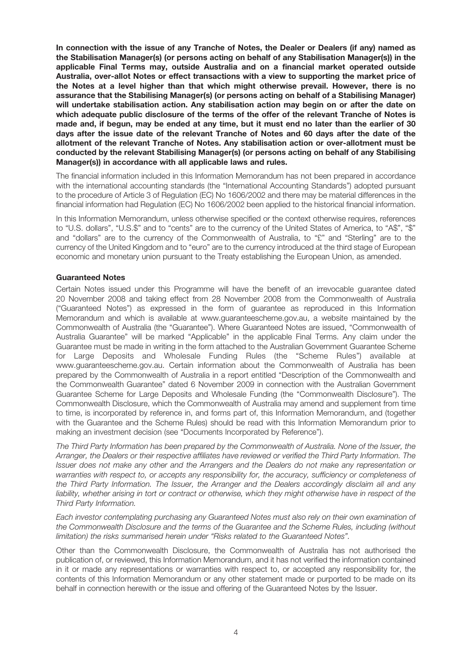In connection with the issue of any Tranche of Notes, the Dealer or Dealers (if any) named as the Stabilisation Manager(s) (or persons acting on behalf of any Stabilisation Manager(s)) in the applicable Final Terms may, outside Australia and on a financial market operated outside Australia, over-allot Notes or effect transactions with a view to supporting the market price of the Notes at a level higher than that which might otherwise prevail. However, there is no assurance that the Stabilising Manager(s) (or persons acting on behalf of a Stabilising Manager) will undertake stabilisation action. Any stabilisation action may begin on or after the date on which adequate public disclosure of the terms of the offer of the relevant Tranche of Notes is made and, if begun, may be ended at any time, but it must end no later than the earlier of 30 days after the issue date of the relevant Tranche of Notes and 60 days after the date of the allotment of the relevant Tranche of Notes. Any stabilisation action or over-allotment must be conducted by the relevant Stabilising Manager(s) (or persons acting on behalf of any Stabilising Manager(s)) in accordance with all applicable laws and rules.

The financial information included in this Information Memorandum has not been prepared in accordance with the international accounting standards (the "International Accounting Standards") adopted pursuant to the procedure of Article 3 of Regulation (EC) No 1606/2002 and there may be material differences in the financial information had Regulation (EC) No 1606/2002 been applied to the historical financial information.

In this Information Memorandum, unless otherwise specified or the context otherwise requires, references to "U.S. dollars", "U.S.\$" and to "cents" are to the currency of the United States of America, to "A\$", "\$" and "dollars" are to the currency of the Commonwealth of Australia, to "£" and "Sterling" are to the currency of the United Kingdom and to "euro" are to the currency introduced at the third stage of European economic and monetary union pursuant to the Treaty establishing the European Union, as amended.

#### Guaranteed Notes

Certain Notes issued under this Programme will have the benefit of an irrevocable guarantee dated 20 November 2008 and taking effect from 28 November 2008 from the Commonwealth of Australia ("Guaranteed Notes") as expressed in the form of guarantee as reproduced in this Information Memorandum and which is available at www.guaranteescheme.gov.au, a website maintained by the Commonwealth of Australia (the "Guarantee"). Where Guaranteed Notes are issued, "Commonwealth of Australia Guarantee" will be marked "Applicable" in the applicable Final Terms. Any claim under the Guarantee must be made in writing in the form attached to the Australian Government Guarantee Scheme for Large Deposits and Wholesale Funding Rules (the "Scheme Rules") available at www.guaranteescheme.gov.au. Certain information about the Commonwealth of Australia has been prepared by the Commonwealth of Australia in a report entitled "Description of the Commonwealth and the Commonwealth Guarantee" dated 6 November 2009 in connection with the Australian Government Guarantee Scheme for Large Deposits and Wholesale Funding (the "Commonwealth Disclosure"). The Commonwealth Disclosure, which the Commonwealth of Australia may amend and supplement from time to time, is incorporated by reference in, and forms part of, this Information Memorandum, and (together with the Guarantee and the Scheme Rules) should be read with this Information Memorandum prior to making an investment decision (see "Documents Incorporated by Reference").

The Third Party Information has been prepared by the Commonwealth of Australia. None of the Issuer, the Arranger, the Dealers or their respective affiliates have reviewed or verified the Third Party Information. The Issuer does not make any other and the Arrangers and the Dealers do not make any representation or warranties with respect to, or accepts any responsibility for, the accuracy, sufficiency or completeness of the Third Party Information. The Issuer, the Arranger and the Dealers accordingly disclaim all and any liability, whether arising in tort or contract or otherwise, which they might otherwise have in respect of the Third Party Information.

Each investor contemplating purchasing any Guaranteed Notes must also rely on their own examination of the Commonwealth Disclosure and the terms of the Guarantee and the Scheme Rules, including (without limitation) the risks summarised herein under "Risks related to the Guaranteed Notes".

Other than the Commonwealth Disclosure, the Commonwealth of Australia has not authorised the publication of, or reviewed, this Information Memorandum, and it has not verified the information contained in it or made any representations or warranties with respect to, or accepted any responsibility for, the contents of this Information Memorandum or any other statement made or purported to be made on its behalf in connection herewith or the issue and offering of the Guaranteed Notes by the Issuer.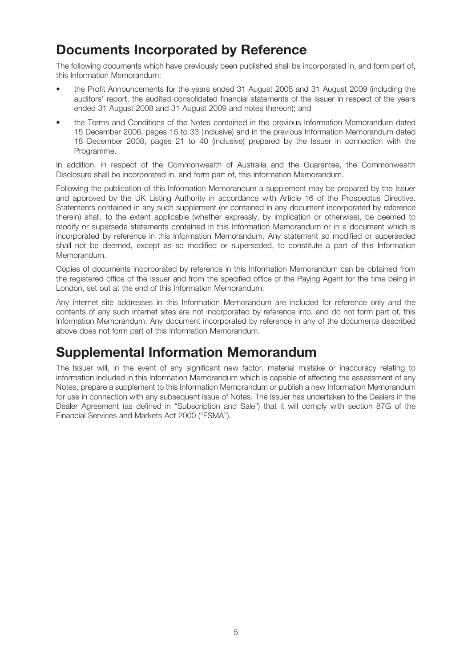## Documents Incorporated by Reference

The following documents which have previously been published shall be incorporated in, and form part of, this Information Memorandum:

- the Profit Announcements for the years ended 31 August 2008 and 31 August 2009 (including the auditors' report, the audited consolidated financial statements of the Issuer in respect of the years ended 31 August 2008 and 31 August 2009 and notes thereon); and
- the Terms and Conditions of the Notes contained in the previous Information Memorandum dated 15 December 2006, pages 15 to 33 (inclusive) and in the previous Information Memorandum dated 18 December 2008, pages 21 to 40 (inclusive) prepared by the Issuer in connection with the Programme.

In addition, in respect of the Commonwealth of Australia and the Guarantee, the Commonwealth Disclosure shall be incorporated in, and form part of, this Information Memorandum.

Following the publication of this Information Memorandum a supplement may be prepared by the Issuer and approved by the UK Listing Authority in accordance with Article 16 of the Prospectus Directive. Statements contained in any such supplement (or contained in any document incorporated by reference therein) shall, to the extent applicable (whether expressly, by implication or otherwise), be deemed to modify or supersede statements contained in this Information Memorandum or in a document which is incorporated by reference in this Information Memorandum. Any statement so modified or superseded shall not be deemed, except as so modified or superseded, to constitute a part of this Information Memorandum.

Copies of documents incorporated by reference in this Information Memorandum can be obtained from the registered office of the Issuer and from the specified office of the Paying Agent for the time being in London, set out at the end of this Information Memorandum.

Any internet site addresses in this Information Memorandum are included for reference only and the contents of any such internet sites are not incorporated by reference into, and do not form part of, this Information Memorandum. Any document incorporated by reference in any of the documents described above does not form part of this Information Memorandum.

## Supplemental Information Memorandum

The Issuer will, in the event of any significant new factor, material mistake or inaccuracy relating to information included in this Information Memorandum which is capable of affecting the assessment of any Notes, prepare a supplement to this Information Memorandum or publish a new Information Memorandum for use in connection with any subsequent issue of Notes. The Issuer has undertaken to the Dealers in the Dealer Agreement (as defined in "Subscription and Sale") that it will comply with section 87G of the Financial Services and Markets Act 2000 ("FSMA").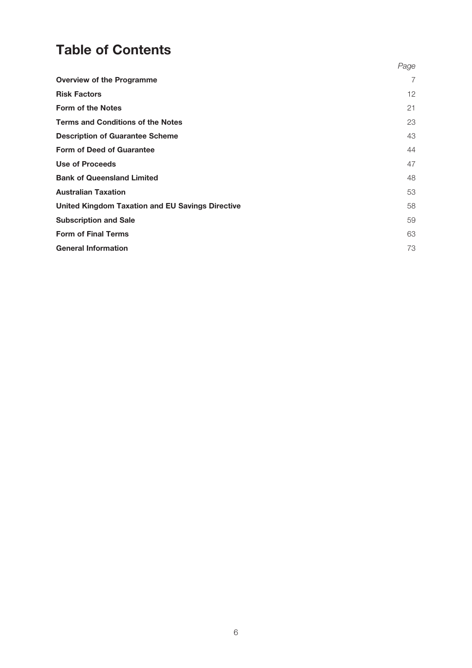## Table of Contents

|                                                  | Page |
|--------------------------------------------------|------|
| <b>Overview of the Programme</b>                 | 7    |
| <b>Risk Factors</b>                              | 12   |
| <b>Form of the Notes</b>                         | 21   |
| <b>Terms and Conditions of the Notes</b>         | 23   |
| <b>Description of Guarantee Scheme</b>           | 43   |
| <b>Form of Deed of Guarantee</b>                 | 44   |
| Use of Proceeds                                  | 47   |
| <b>Bank of Queensland Limited</b>                | 48   |
| <b>Australian Taxation</b>                       | 53   |
| United Kingdom Taxation and EU Savings Directive | 58   |
| <b>Subscription and Sale</b>                     | 59   |
| <b>Form of Final Terms</b>                       | 63   |
| <b>General Information</b>                       | 73   |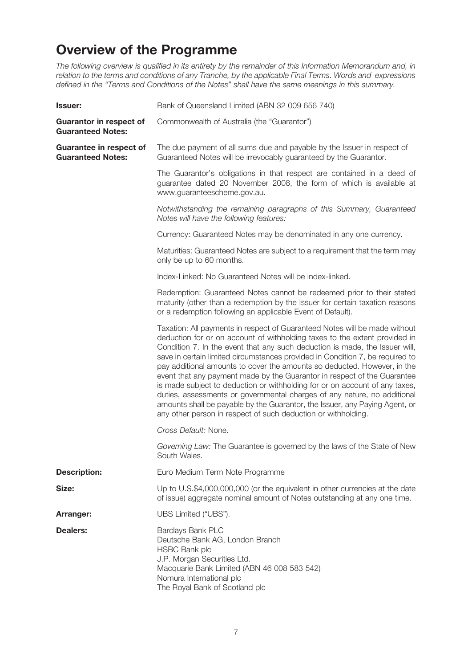## Overview of the Programme

The following overview is qualified in its entirety by the remainder of this Information Memorandum and, in relation to the terms and conditions of any Tranche, by the applicable Final Terms. Words and expressions defined in the "Terms and Conditions of the Notes" shall have the same meanings in this summary.

| <b>Issuer:</b>                                             | Bank of Queensland Limited (ABN 32 009 656 740)                                                                                                                                                                                                                                                                                                                                                                                                                                                                                                                                                                                                                                                                                                                                             |
|------------------------------------------------------------|---------------------------------------------------------------------------------------------------------------------------------------------------------------------------------------------------------------------------------------------------------------------------------------------------------------------------------------------------------------------------------------------------------------------------------------------------------------------------------------------------------------------------------------------------------------------------------------------------------------------------------------------------------------------------------------------------------------------------------------------------------------------------------------------|
| <b>Guarantor in respect of</b><br><b>Guaranteed Notes:</b> | Commonwealth of Australia (the "Guarantor")                                                                                                                                                                                                                                                                                                                                                                                                                                                                                                                                                                                                                                                                                                                                                 |
| Guarantee in respect of<br><b>Guaranteed Notes:</b>        | The due payment of all sums due and payable by the Issuer in respect of<br>Guaranteed Notes will be irrevocably guaranteed by the Guarantor.                                                                                                                                                                                                                                                                                                                                                                                                                                                                                                                                                                                                                                                |
|                                                            | The Guarantor's obligations in that respect are contained in a deed of<br>guarantee dated 20 November 2008, the form of which is available at<br>www.guaranteescheme.gov.au.                                                                                                                                                                                                                                                                                                                                                                                                                                                                                                                                                                                                                |
|                                                            | Notwithstanding the remaining paragraphs of this Summary, Guaranteed<br>Notes will have the following features:                                                                                                                                                                                                                                                                                                                                                                                                                                                                                                                                                                                                                                                                             |
|                                                            | Currency: Guaranteed Notes may be denominated in any one currency.                                                                                                                                                                                                                                                                                                                                                                                                                                                                                                                                                                                                                                                                                                                          |
|                                                            | Maturities: Guaranteed Notes are subject to a requirement that the term may<br>only be up to 60 months.                                                                                                                                                                                                                                                                                                                                                                                                                                                                                                                                                                                                                                                                                     |
|                                                            | Index-Linked: No Guaranteed Notes will be index-linked.                                                                                                                                                                                                                                                                                                                                                                                                                                                                                                                                                                                                                                                                                                                                     |
|                                                            | Redemption: Guaranteed Notes cannot be redeemed prior to their stated<br>maturity (other than a redemption by the Issuer for certain taxation reasons<br>or a redemption following an applicable Event of Default).                                                                                                                                                                                                                                                                                                                                                                                                                                                                                                                                                                         |
|                                                            | Taxation: All payments in respect of Guaranteed Notes will be made without<br>deduction for or on account of withholding taxes to the extent provided in<br>Condition 7. In the event that any such deduction is made, the Issuer will,<br>save in certain limited circumstances provided in Condition 7, be required to<br>pay additional amounts to cover the amounts so deducted. However, in the<br>event that any payment made by the Guarantor in respect of the Guarantee<br>is made subject to deduction or withholding for or on account of any taxes,<br>duties, assessments or governmental charges of any nature, no additional<br>amounts shall be payable by the Guarantor, the Issuer, any Paying Agent, or<br>any other person in respect of such deduction or withholding. |
|                                                            | Cross Default: None.                                                                                                                                                                                                                                                                                                                                                                                                                                                                                                                                                                                                                                                                                                                                                                        |
|                                                            | Governing Law: The Guarantee is governed by the laws of the State of New<br>South Wales.                                                                                                                                                                                                                                                                                                                                                                                                                                                                                                                                                                                                                                                                                                    |
| <b>Description:</b>                                        | Euro Medium Term Note Programme                                                                                                                                                                                                                                                                                                                                                                                                                                                                                                                                                                                                                                                                                                                                                             |
| Size:                                                      | Up to U.S.\$4,000,000,000 (or the equivalent in other currencies at the date<br>of issue) aggregate nominal amount of Notes outstanding at any one time.                                                                                                                                                                                                                                                                                                                                                                                                                                                                                                                                                                                                                                    |
| Arranger:                                                  | UBS Limited ("UBS").                                                                                                                                                                                                                                                                                                                                                                                                                                                                                                                                                                                                                                                                                                                                                                        |
| <b>Dealers:</b>                                            | Barclays Bank PLC<br>Deutsche Bank AG, London Branch<br><b>HSBC Bank plc</b><br>J.P. Morgan Securities Ltd.<br>Macquarie Bank Limited (ABN 46 008 583 542)<br>Nomura International plc<br>The Royal Bank of Scotland plc                                                                                                                                                                                                                                                                                                                                                                                                                                                                                                                                                                    |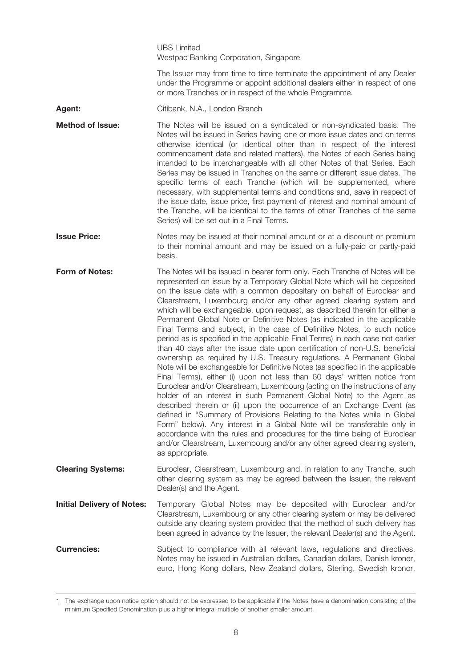UBS Limited Westpac Banking Corporation, Singapore

The Issuer may from time to time terminate the appointment of any Dealer under the Programme or appoint additional dealers either in respect of one or more Tranches or in respect of the whole Programme.

Agent: Citibank, N.A., London Branch

**Method of Issue:** The Notes will be issued on a syndicated or non-syndicated basis. The Notes will be issued in Series having one or more issue dates and on terms otherwise identical (or identical other than in respect of the interest commencement date and related matters), the Notes of each Series being intended to be interchangeable with all other Notes of that Series. Each Series may be issued in Tranches on the same or different issue dates. The specific terms of each Tranche (which will be supplemented, where necessary, with supplemental terms and conditions and, save in respect of the issue date, issue price, first payment of interest and nominal amount of the Tranche, will be identical to the terms of other Tranches of the same Series) will be set out in a Final Terms.

**Issue Price:** Notes may be issued at their nominal amount or at a discount or premium to their nominal amount and may be issued on a fully-paid or partly-paid basis.

Form of Notes: The Notes will be issued in bearer form only. Each Tranche of Notes will be represented on issue by a Temporary Global Note which will be deposited on the issue date with a common depositary on behalf of Euroclear and Clearstream, Luxembourg and/or any other agreed clearing system and which will be exchangeable, upon request, as described therein for either a Permanent Global Note or Definitive Notes (as indicated in the applicable Final Terms and subject, in the case of Definitive Notes, to such notice period as is specified in the applicable Final Terms) in each case not earlier than 40 days after the issue date upon certification of non-U.S. beneficial ownership as required by U.S. Treasury regulations. A Permanent Global Note will be exchangeable for Definitive Notes (as specified in the applicable Final Terms), either (i) upon not less than 60 days' written notice from Euroclear and/or Clearstream, Luxembourg (acting on the instructions of any holder of an interest in such Permanent Global Note) to the Agent as described therein or (ii) upon the occurrence of an Exchange Event (as defined in "Summary of Provisions Relating to the Notes while in Global Form" below). Any interest in a Global Note will be transferable only in accordance with the rules and procedures for the time being of Euroclear and/or Clearstream, Luxembourg and/or any other agreed clearing system, as appropriate.

**Clearing Systems:** Euroclear, Clearstream, Luxembourg and, in relation to any Tranche, such other clearing system as may be agreed between the Issuer, the relevant Dealer(s) and the Agent.

Initial Delivery of Notes: Temporary Global Notes may be deposited with Euroclear and/or Clearstream, Luxembourg or any other clearing system or may be delivered outside any clearing system provided that the method of such delivery has been agreed in advance by the Issuer, the relevant Dealer(s) and the Agent.

**Currencies:** Subject to compliance with all relevant laws, regulations and directives, Notes may be issued in Australian dollars, Canadian dollars, Danish kroner, euro, Hong Kong dollars, New Zealand dollars, Sterling, Swedish kronor,

<sup>1</sup> The exchange upon notice option should not be expressed to be applicable if the Notes have a denomination consisting of the minimum Specified Denomination plus a higher integral multiple of another smaller amount.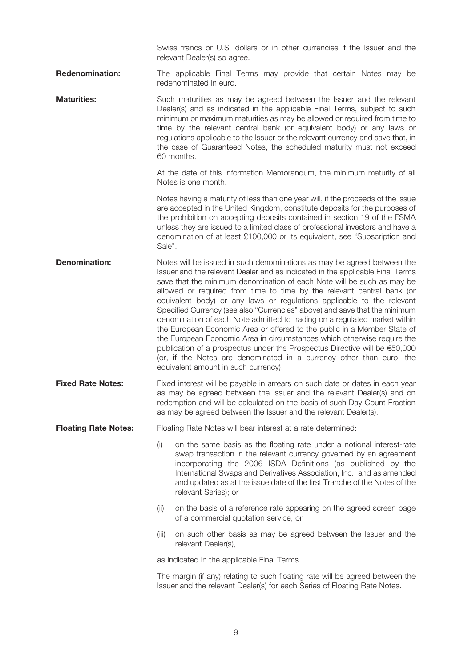Swiss francs or U.S. dollars or in other currencies if the Issuer and the relevant Dealer(s) so agree.

- **Redenomination:** The applicable Final Terms may provide that certain Notes may be redenominated in euro.
- **Maturities:** Such maturities as may be agreed between the Issuer and the relevant Dealer(s) and as indicated in the applicable Final Terms, subject to such minimum or maximum maturities as may be allowed or required from time to time by the relevant central bank (or equivalent body) or any laws or regulations applicable to the Issuer or the relevant currency and save that, in the case of Guaranteed Notes, the scheduled maturity must not exceed 60 months.

At the date of this Information Memorandum, the minimum maturity of all Notes is one month.

Notes having a maturity of less than one year will, if the proceeds of the issue are accepted in the United Kingdom, constitute deposits for the purposes of the prohibition on accepting deposits contained in section 19 of the FSMA unless they are issued to a limited class of professional investors and have a denomination of at least £100,000 or its equivalent, see "Subscription and Sale".

**Denomination:** Notes will be issued in such denominations as may be agreed between the Issuer and the relevant Dealer and as indicated in the applicable Final Terms save that the minimum denomination of each Note will be such as may be allowed or required from time to time by the relevant central bank (or equivalent body) or any laws or regulations applicable to the relevant Specified Currency (see also "Currencies" above) and save that the minimum denomination of each Note admitted to trading on a regulated market within the European Economic Area or offered to the public in a Member State of the European Economic Area in circumstances which otherwise require the publication of a prospectus under the Prospectus Directive will be €50,000 (or, if the Notes are denominated in a currency other than euro, the equivalent amount in such currency).

**Fixed Rate Notes:** Fixed interest will be payable in arrears on such date or dates in each year as may be agreed between the Issuer and the relevant Dealer(s) and on redemption and will be calculated on the basis of such Day Count Fraction as may be agreed between the Issuer and the relevant Dealer(s).

**Floating Rate Notes:** Floating Rate Notes will bear interest at a rate determined:

- (i) on the same basis as the floating rate under a notional interest-rate swap transaction in the relevant currency governed by an agreement incorporating the 2006 ISDA Definitions (as published by the International Swaps and Derivatives Association, Inc., and as amended and updated as at the issue date of the first Tranche of the Notes of the relevant Series); or
- (ii) on the basis of a reference rate appearing on the agreed screen page of a commercial quotation service; or
- (iii) on such other basis as may be agreed between the Issuer and the relevant Dealer(s),

as indicated in the applicable Final Terms.

The margin (if any) relating to such floating rate will be agreed between the Issuer and the relevant Dealer(s) for each Series of Floating Rate Notes.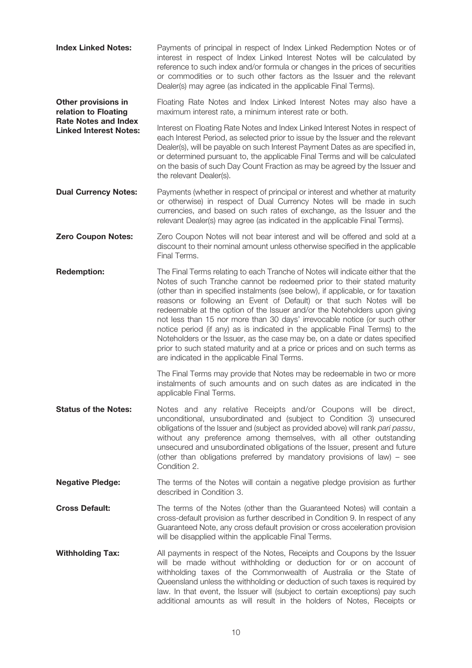Index Linked Notes: Payments of principal in respect of Index Linked Redemption Notes or of interest in respect of Index Linked Interest Notes will be calculated by reference to such index and/or formula or changes in the prices of securities or commodities or to such other factors as the Issuer and the relevant Dealer(s) may agree (as indicated in the applicable Final Terms).

Floating Rate Notes and Index Linked Interest Notes may also have a maximum interest rate, a minimum interest rate or both. Other provisions in relation to Floating Rate Notes and Index

Interest on Floating Rate Notes and Index Linked Interest Notes in respect of each Interest Period, as selected prior to issue by the Issuer and the relevant Dealer(s), will be payable on such Interest Payment Dates as are specified in, or determined pursuant to, the applicable Final Terms and will be calculated on the basis of such Day Count Fraction as may be agreed by the Issuer and the relevant Dealer(s). Linked Interest Notes:

**Dual Currency Notes:** Payments (whether in respect of principal or interest and whether at maturity or otherwise) in respect of Dual Currency Notes will be made in such currencies, and based on such rates of exchange, as the Issuer and the relevant Dealer(s) may agree (as indicated in the applicable Final Terms).

- **Zero Coupon Notes:** Zero Coupon Notes will not bear interest and will be offered and sold at a discount to their nominal amount unless otherwise specified in the applicable Final Terms.
- **Redemption:** The Final Terms relating to each Tranche of Notes will indicate either that the Notes of such Tranche cannot be redeemed prior to their stated maturity (other than in specified instalments (see below), if applicable, or for taxation reasons or following an Event of Default) or that such Notes will be redeemable at the option of the Issuer and/or the Noteholders upon giving not less than 15 nor more than 30 days' irrevocable notice (or such other notice period (if any) as is indicated in the applicable Final Terms) to the Noteholders or the Issuer, as the case may be, on a date or dates specified prior to such stated maturity and at a price or prices and on such terms as are indicated in the applicable Final Terms.

The Final Terms may provide that Notes may be redeemable in two or more instalments of such amounts and on such dates as are indicated in the applicable Final Terms.

- **Status of the Notes:** Notes and any relative Receipts and/or Coupons will be direct, unconditional, unsubordinated and (subject to Condition 3) unsecured obligations of the Issuer and (subject as provided above) will rank pari passu, without any preference among themselves, with all other outstanding unsecured and unsubordinated obligations of the Issuer, present and future (other than obligations preferred by mandatory provisions of law) – see Condition 2.
- **Negative Pledge:** The terms of the Notes will contain a negative pledge provision as further described in Condition 3.
- **Cross Default:** The terms of the Notes (other than the Guaranteed Notes) will contain a cross-default provision as further described in Condition 9. In respect of any Guaranteed Note, any cross default provision or cross acceleration provision will be disapplied within the applicable Final Terms.
- **Withholding Tax:** All payments in respect of the Notes, Receipts and Coupons by the Issuer will be made without withholding or deduction for or on account of withholding taxes of the Commonwealth of Australia or the State of Queensland unless the withholding or deduction of such taxes is required by law. In that event, the Issuer will (subject to certain exceptions) pay such additional amounts as will result in the holders of Notes, Receipts or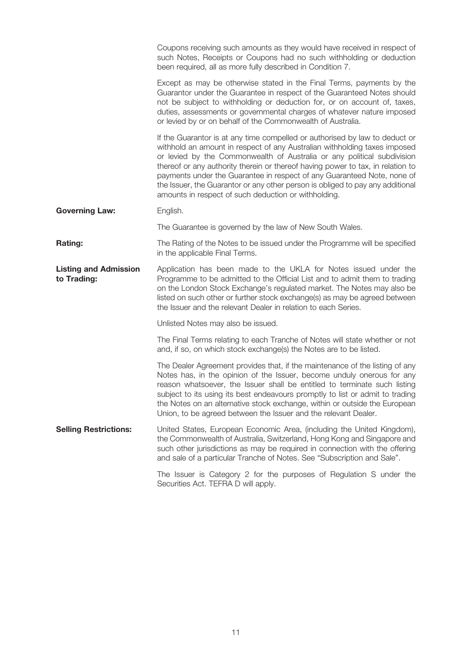|                                             | Coupons receiving such amounts as they would have received in respect of<br>such Notes, Receipts or Coupons had no such withholding or deduction<br>been required, all as more fully described in Condition 7.                                                                                                                                                                                                                                                                                                                              |
|---------------------------------------------|---------------------------------------------------------------------------------------------------------------------------------------------------------------------------------------------------------------------------------------------------------------------------------------------------------------------------------------------------------------------------------------------------------------------------------------------------------------------------------------------------------------------------------------------|
|                                             | Except as may be otherwise stated in the Final Terms, payments by the<br>Guarantor under the Guarantee in respect of the Guaranteed Notes should<br>not be subject to withholding or deduction for, or on account of, taxes,<br>duties, assessments or governmental charges of whatever nature imposed<br>or levied by or on behalf of the Commonwealth of Australia.                                                                                                                                                                       |
|                                             | If the Guarantor is at any time compelled or authorised by law to deduct or<br>withhold an amount in respect of any Australian withholding taxes imposed<br>or levied by the Commonwealth of Australia or any political subdivision<br>thereof or any authority therein or thereof having power to tax, in relation to<br>payments under the Guarantee in respect of any Guaranteed Note, none of<br>the Issuer, the Guarantor or any other person is obliged to pay any additional<br>amounts in respect of such deduction or withholding. |
| <b>Governing Law:</b>                       | English.                                                                                                                                                                                                                                                                                                                                                                                                                                                                                                                                    |
|                                             | The Guarantee is governed by the law of New South Wales.                                                                                                                                                                                                                                                                                                                                                                                                                                                                                    |
| Rating:                                     | The Rating of the Notes to be issued under the Programme will be specified<br>in the applicable Final Terms.                                                                                                                                                                                                                                                                                                                                                                                                                                |
| <b>Listing and Admission</b><br>to Trading: | Application has been made to the UKLA for Notes issued under the<br>Programme to be admitted to the Official List and to admit them to trading<br>on the London Stock Exchange's regulated market. The Notes may also be<br>listed on such other or further stock exchange(s) as may be agreed between<br>the Issuer and the relevant Dealer in relation to each Series.                                                                                                                                                                    |
|                                             | Unlisted Notes may also be issued.                                                                                                                                                                                                                                                                                                                                                                                                                                                                                                          |
|                                             | The Final Terms relating to each Tranche of Notes will state whether or not<br>and, if so, on which stock exchange(s) the Notes are to be listed.                                                                                                                                                                                                                                                                                                                                                                                           |
|                                             | The Dealer Agreement provides that, if the maintenance of the listing of any<br>Notes has, in the opinion of the Issuer, become unduly onerous for any<br>reason whatsoever, the Issuer shall be entitled to terminate such listing<br>subject to its using its best endeavours promptly to list or admit to trading<br>the Notes on an alternative stock exchange, within or outside the European<br>Union, to be agreed between the Issuer and the relevant Dealer.                                                                       |
| <b>Selling Restrictions:</b>                | United States, European Economic Area, (including the United Kingdom),<br>the Commonwealth of Australia, Switzerland, Hong Kong and Singapore and<br>such other jurisdictions as may be required in connection with the offering<br>and sale of a particular Tranche of Notes. See "Subscription and Sale".                                                                                                                                                                                                                                 |
|                                             | The Issuer is Category 2 for the purposes of Regulation S under the<br>Securities Act. TEFRA D will apply.                                                                                                                                                                                                                                                                                                                                                                                                                                  |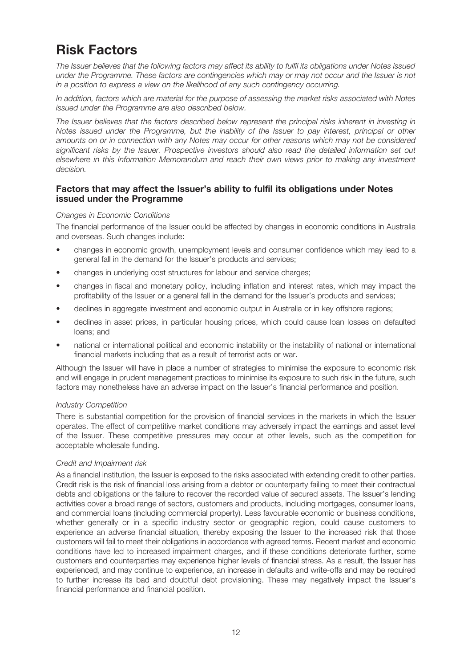## Risk Factors

The Issuer believes that the following factors may affect its ability to fulfil its obligations under Notes issued under the Programme. These factors are contingencies which may or may not occur and the Issuer is not in a position to express a view on the likelihood of any such contingency occurring.

In addition, factors which are material for the purpose of assessing the market risks associated with Notes issued under the Programme are also described below.

The Issuer believes that the factors described below represent the principal risks inherent in investing in Notes issued under the Programme, but the inability of the Issuer to pay interest, principal or other amounts on or in connection with any Notes may occur for other reasons which may not be considered significant risks by the Issuer. Prospective investors should also read the detailed information set out elsewhere in this Information Memorandum and reach their own views prior to making any investment decision.

## Factors that may affect the Issuer's ability to fulfil its obligations under Notes issued under the Programme

## Changes in Economic Conditions

The financial performance of the Issuer could be affected by changes in economic conditions in Australia and overseas. Such changes include:

- changes in economic growth, unemployment levels and consumer confidence which may lead to a general fall in the demand for the Issuer's products and services;
- changes in underlying cost structures for labour and service charges;
- changes in fiscal and monetary policy, including inflation and interest rates, which may impact the profitability of the Issuer or a general fall in the demand for the Issuer's products and services;
- declines in aggregate investment and economic output in Australia or in key offshore regions;
- declines in asset prices, in particular housing prices, which could cause loan losses on defaulted loans; and
- national or international political and economic instability or the instability of national or international financial markets including that as a result of terrorist acts or war.

Although the Issuer will have in place a number of strategies to minimise the exposure to economic risk and will engage in prudent management practices to minimise its exposure to such risk in the future, such factors may nonetheless have an adverse impact on the Issuer's financial performance and position.

## Industry Competition

There is substantial competition for the provision of financial services in the markets in which the Issuer operates. The effect of competitive market conditions may adversely impact the earnings and asset level of the Issuer. These competitive pressures may occur at other levels, such as the competition for acceptable wholesale funding.

## Credit and Impairment risk

As a financial institution, the Issuer is exposed to the risks associated with extending credit to other parties. Credit risk is the risk of financial loss arising from a debtor or counterparty failing to meet their contractual debts and obligations or the failure to recover the recorded value of secured assets. The Issuer's lending activities cover a broad range of sectors, customers and products, including mortgages, consumer loans, and commercial loans (including commercial property). Less favourable economic or business conditions, whether generally or in a specific industry sector or geographic region, could cause customers to experience an adverse financial situation, thereby exposing the Issuer to the increased risk that those customers will fail to meet their obligations in accordance with agreed terms. Recent market and economic conditions have led to increased impairment charges, and if these conditions deteriorate further, some customers and counterparties may experience higher levels of financial stress. As a result, the Issuer has experienced, and may continue to experience, an increase in defaults and write-offs and may be required to further increase its bad and doubtful debt provisioning. These may negatively impact the Issuer's financial performance and financial position.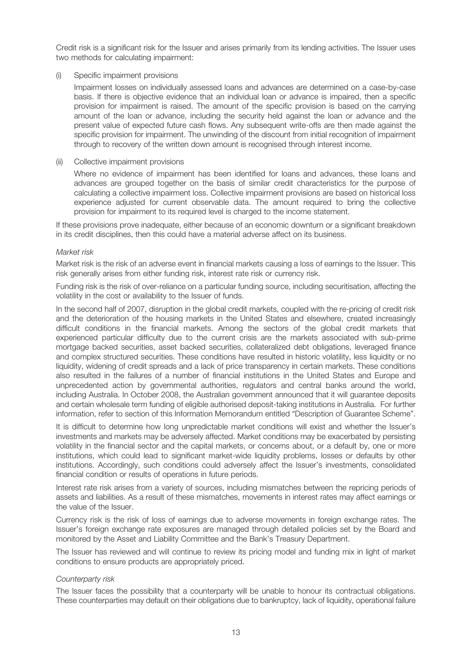Credit risk is a significant risk for the Issuer and arises primarily from its lending activities. The Issuer uses two methods for calculating impairment:

#### (i) Specific impairment provisions

Impairment losses on individually assessed loans and advances are determined on a case-by-case basis. If there is objective evidence that an individual loan or advance is impaired, then a specific provision for impairment is raised. The amount of the specific provision is based on the carrying amount of the loan or advance, including the security held against the loan or advance and the present value of expected future cash flows. Any subsequent write-offs are then made against the specific provision for impairment. The unwinding of the discount from initial recognition of impairment through to recovery of the written down amount is recognised through interest income.

#### (ii) Collective impairment provisions

Where no evidence of impairment has been identified for loans and advances, these loans and advances are grouped together on the basis of similar credit characteristics for the purpose of calculating a collective impairment loss. Collective impairment provisions are based on historical loss experience adjusted for current observable data. The amount required to bring the collective provision for impairment to its required level is charged to the income statement.

If these provisions prove inadequate, either because of an economic downturn or a significant breakdown in its credit disciplines, then this could have a material adverse affect on its business.

#### Market risk

Market risk is the risk of an adverse event in financial markets causing a loss of earnings to the Issuer. This risk generally arises from either funding risk, interest rate risk or currency risk.

Funding risk is the risk of over-reliance on a particular funding source, including securitisation, affecting the volatility in the cost or availability to the Issuer of funds.

In the second half of 2007, disruption in the global credit markets, coupled with the re-pricing of credit risk and the deterioration of the housing markets in the United States and elsewhere, created increasingly difficult conditions in the financial markets. Among the sectors of the global credit markets that experienced particular difficulty due to the current crisis are the markets associated with sub-prime mortgage backed securities, asset backed securities, collateralized debt obligations, leveraged finance and complex structured securities. These conditions have resulted in historic volatility, less liquidity or no liquidity, widening of credit spreads and a lack of price transparency in certain markets. These conditions also resulted in the failures of a number of financial institutions in the United States and Europe and unprecedented action by governmental authorities, regulators and central banks around the world, including Australia. In October 2008, the Australian government announced that it will guarantee deposits and certain wholesale term funding of eligible authorised deposit-taking institutions in Australia. For further information, refer to section of this Information Memorandum entitled "Description of Guarantee Scheme".

It is difficult to determine how long unpredictable market conditions will exist and whether the Issuer's investments and markets may be adversely affected. Market conditions may be exacerbated by persisting volatility in the financial sector and the capital markets, or concerns about, or a default by, one or more institutions, which could lead to significant market-wide liquidity problems, losses or defaults by other institutions. Accordingly, such conditions could adversely affect the Issuer's investments, consolidated financial condition or results of operations in future periods.

Interest rate risk arises from a variety of sources, including mismatches between the repricing periods of assets and liabilities. As a result of these mismatches, movements in interest rates may affect earnings or the value of the Issuer.

Currency risk is the risk of loss of earnings due to adverse movements in foreign exchange rates. The Issuer's foreign exchange rate exposures are managed through detailed policies set by the Board and monitored by the Asset and Liability Committee and the Bank's Treasury Department.

The Issuer has reviewed and will continue to review its pricing model and funding mix in light of market conditions to ensure products are appropriately priced.

## Counterparty risk

The Issuer faces the possibility that a counterparty will be unable to honour its contractual obligations. These counterparties may default on their obligations due to bankruptcy, lack of liquidity, operational failure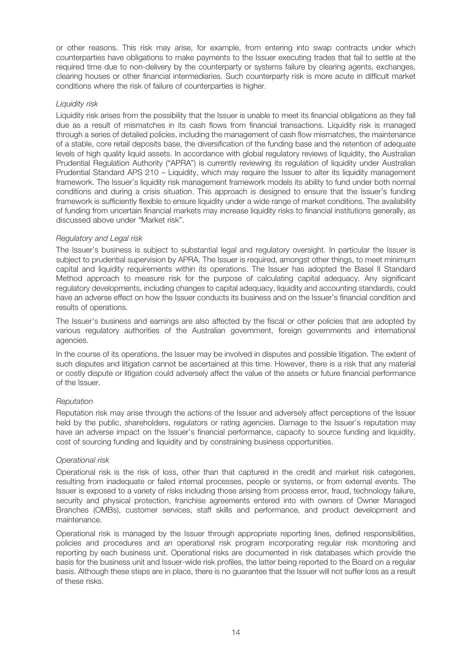or other reasons. This risk may arise, for example, from entering into swap contracts under which counterparties have obligations to make payments to the Issuer executing trades that fail to settle at the required time due to non-delivery by the counterparty or systems failure by clearing agents, exchanges, clearing houses or other financial intermediaries. Such counterparty risk is more acute in difficult market conditions where the risk of failure of counterparties is higher.

#### Liquidity risk

Liquidity risk arises from the possibility that the Issuer is unable to meet its financial obligations as they fall due as a result of mismatches in its cash flows from financial transactions. Liquidity risk is managed through a series of detailed policies, including the management of cash flow mismatches, the maintenance of a stable, core retail deposits base, the diversification of the funding base and the retention of adequate levels of high quality liquid assets. In accordance with global regulatory reviews of liquidity, the Australian Prudential Regulation Authority ("APRA") is currently reviewing its regulation of liquidity under Australian Prudential Standard APS 210 – Liquidity, which may require the Issuer to alter its liquidity management framework. The Issuer's liquidity risk management framework models its ability to fund under both normal conditions and during a crisis situation. This approach is designed to ensure that the Issuer's funding framework is sufficiently flexible to ensure liquidity under a wide range of market conditions. The availability of funding from uncertain financial markets may increase liquidity risks to financial institutions generally, as discussed above under "Market risk".

#### Regulatory and Legal risk

The Issuer's business is subject to substantial legal and regulatory oversight. In particular the Issuer is subject to prudential supervision by APRA. The Issuer is required, amongst other things, to meet minimum capital and liquidity requirements within its operations. The Issuer has adopted the Basel II Standard Method approach to measure risk for the purpose of calculating capital adequacy. Any significant regulatory developments, including changes to capital adequacy, liquidity and accounting standards, could have an adverse effect on how the Issuer conducts its business and on the Issuer's financial condition and results of operations.

The Issuer's business and earnings are also affected by the fiscal or other policies that are adopted by various regulatory authorities of the Australian government, foreign governments and international agencies.

In the course of its operations, the Issuer may be involved in disputes and possible litigation. The extent of such disputes and litigation cannot be ascertained at this time. However, there is a risk that any material or costly dispute or litigation could adversely affect the value of the assets or future financial performance of the Issuer.

## Reputation

Reputation risk may arise through the actions of the Issuer and adversely affect perceptions of the Issuer held by the public, shareholders, regulators or rating agencies. Damage to the Issuer's reputation may have an adverse impact on the Issuer's financial performance, capacity to source funding and liquidity, cost of sourcing funding and liquidity and by constraining business opportunities.

## Operational risk

Operational risk is the risk of loss, other than that captured in the credit and market risk categories, resulting from inadequate or failed internal processes, people or systems, or from external events. The Issuer is exposed to a variety of risks including those arising from process error, fraud, technology failure, security and physical protection, franchise agreements entered into with owners of Owner Managed Branches (OMBs), customer services, staff skills and performance, and product development and maintenance.

Operational risk is managed by the Issuer through appropriate reporting lines, defined responsibilities, policies and procedures and an operational risk program incorporating regular risk monitoring and reporting by each business unit. Operational risks are documented in risk databases which provide the basis for the business unit and Issuer-wide risk profiles, the latter being reported to the Board on a regular basis. Although these steps are in place, there is no guarantee that the Issuer will not suffer loss as a result of these risks.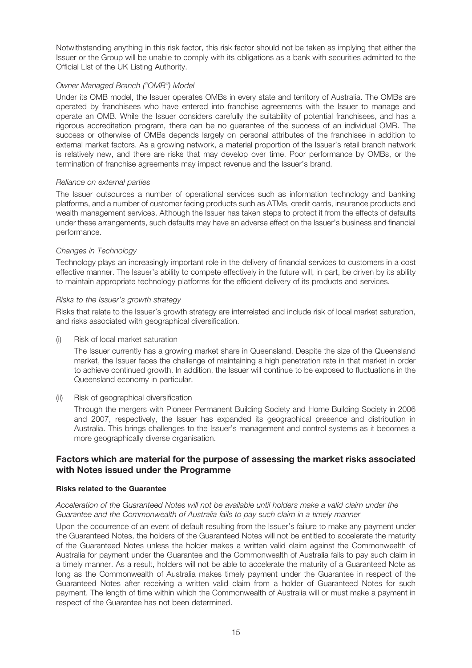Notwithstanding anything in this risk factor, this risk factor should not be taken as implying that either the Issuer or the Group will be unable to comply with its obligations as a bank with securities admitted to the Official List of the UK Listing Authority.

## Owner Managed Branch ("OMB") Model

Under its OMB model, the Issuer operates OMBs in every state and territory of Australia. The OMBs are operated by franchisees who have entered into franchise agreements with the Issuer to manage and operate an OMB. While the Issuer considers carefully the suitability of potential franchisees, and has a rigorous accreditation program, there can be no guarantee of the success of an individual OMB. The success or otherwise of OMBs depends largely on personal attributes of the franchisee in addition to external market factors. As a growing network, a material proportion of the Issuer's retail branch network is relatively new, and there are risks that may develop over time. Poor performance by OMBs, or the termination of franchise agreements may impact revenue and the Issuer's brand.

#### Reliance on external parties

The Issuer outsources a number of operational services such as information technology and banking platforms, and a number of customer facing products such as ATMs, credit cards, insurance products and wealth management services. Although the Issuer has taken steps to protect it from the effects of defaults under these arrangements, such defaults may have an adverse effect on the Issuer's business and financial performance.

#### Changes in Technology

Technology plays an increasingly important role in the delivery of financial services to customers in a cost effective manner. The Issuer's ability to compete effectively in the future will, in part, be driven by its ability to maintain appropriate technology platforms for the efficient delivery of its products and services.

#### Risks to the Issuer's growth strategy

Risks that relate to the Issuer's growth strategy are interrelated and include risk of local market saturation, and risks associated with geographical diversification.

(i) Risk of local market saturation

The Issuer currently has a growing market share in Queensland. Despite the size of the Queensland market, the Issuer faces the challenge of maintaining a high penetration rate in that market in order to achieve continued growth. In addition, the Issuer will continue to be exposed to fluctuations in the Queensland economy in particular.

#### (ii) Risk of geographical diversification

Through the mergers with Pioneer Permanent Building Society and Home Building Society in 2006 and 2007, respectively, the Issuer has expanded its geographical presence and distribution in Australia. This brings challenges to the Issuer's management and control systems as it becomes a more geographically diverse organisation.

## Factors which are material for the purpose of assessing the market risks associated with Notes issued under the Programme

#### Risks related to the Guarantee

#### Acceleration of the Guaranteed Notes will not be available until holders make a valid claim under the Guarantee and the Commonwealth of Australia fails to pay such claim in a timely manner

Upon the occurrence of an event of default resulting from the Issuer's failure to make any payment under the Guaranteed Notes, the holders of the Guaranteed Notes will not be entitled to accelerate the maturity of the Guaranteed Notes unless the holder makes a written valid claim against the Commonwealth of Australia for payment under the Guarantee and the Commonwealth of Australia fails to pay such claim in a timely manner. As a result, holders will not be able to accelerate the maturity of a Guaranteed Note as long as the Commonwealth of Australia makes timely payment under the Guarantee in respect of the Guaranteed Notes after receiving a written valid claim from a holder of Guaranteed Notes for such payment. The length of time within which the Commonwealth of Australia will or must make a payment in respect of the Guarantee has not been determined.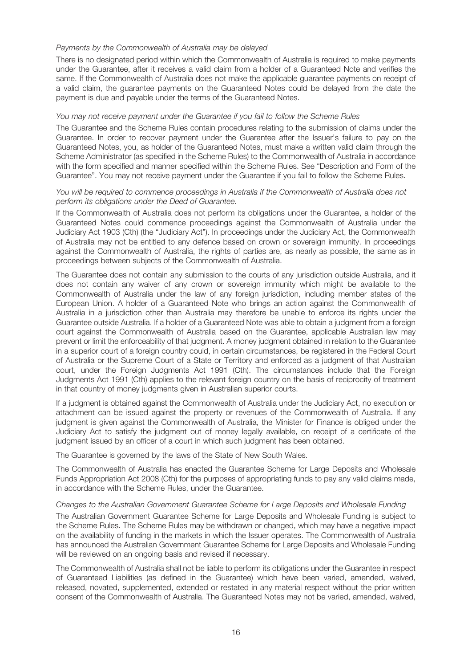#### Payments by the Commonwealth of Australia may be delayed

There is no designated period within which the Commonwealth of Australia is required to make payments under the Guarantee, after it receives a valid claim from a holder of a Guaranteed Note and verifies the same. If the Commonwealth of Australia does not make the applicable guarantee payments on receipt of a valid claim, the guarantee payments on the Guaranteed Notes could be delayed from the date the payment is due and payable under the terms of the Guaranteed Notes.

#### You may not receive payment under the Guarantee if you fail to follow the Scheme Rules

The Guarantee and the Scheme Rules contain procedures relating to the submission of claims under the Guarantee. In order to recover payment under the Guarantee after the Issuer's failure to pay on the Guaranteed Notes, you, as holder of the Guaranteed Notes, must make a written valid claim through the Scheme Administrator (as specified in the Scheme Rules) to the Commonwealth of Australia in accordance with the form specified and manner specified within the Scheme Rules. See "Description and Form of the Guarantee". You may not receive payment under the Guarantee if you fail to follow the Scheme Rules.

#### You will be required to commence proceedings in Australia if the Commonwealth of Australia does not perform its obligations under the Deed of Guarantee.

If the Commonwealth of Australia does not perform its obligations under the Guarantee, a holder of the Guaranteed Notes could commence proceedings against the Commonwealth of Australia under the Judiciary Act 1903 (Cth) (the "Judiciary Act"). In proceedings under the Judiciary Act, the Commonwealth of Australia may not be entitled to any defence based on crown or sovereign immunity. In proceedings against the Commonwealth of Australia, the rights of parties are, as nearly as possible, the same as in proceedings between subjects of the Commonwealth of Australia.

The Guarantee does not contain any submission to the courts of any jurisdiction outside Australia, and it does not contain any waiver of any crown or sovereign immunity which might be available to the Commonwealth of Australia under the law of any foreign jurisdiction, including member states of the European Union. A holder of a Guaranteed Note who brings an action against the Commonwealth of Australia in a jurisdiction other than Australia may therefore be unable to enforce its rights under the Guarantee outside Australia. If a holder of a Guaranteed Note was able to obtain a judgment from a foreign court against the Commonwealth of Australia based on the Guarantee, applicable Australian law may prevent or limit the enforceability of that judgment. A money judgment obtained in relation to the Guarantee in a superior court of a foreign country could, in certain circumstances, be registered in the Federal Court of Australia or the Supreme Court of a State or Territory and enforced as a judgment of that Australian court, under the Foreign Judgments Act 1991 (Cth). The circumstances include that the Foreign Judgments Act 1991 (Cth) applies to the relevant foreign country on the basis of reciprocity of treatment in that country of money judgments given in Australian superior courts.

If a judgment is obtained against the Commonwealth of Australia under the Judiciary Act, no execution or attachment can be issued against the property or revenues of the Commonwealth of Australia. If any judgment is given against the Commonwealth of Australia, the Minister for Finance is obliged under the Judiciary Act to satisfy the judgment out of money legally available, on receipt of a certificate of the judgment issued by an officer of a court in which such judgment has been obtained.

The Guarantee is governed by the laws of the State of New South Wales.

The Commonwealth of Australia has enacted the Guarantee Scheme for Large Deposits and Wholesale Funds Appropriation Act 2008 (Cth) for the purposes of appropriating funds to pay any valid claims made, in accordance with the Scheme Rules, under the Guarantee.

#### Changes to the Australian Government Guarantee Scheme for Large Deposits and Wholesale Funding

The Australian Government Guarantee Scheme for Large Deposits and Wholesale Funding is subject to the Scheme Rules. The Scheme Rules may be withdrawn or changed, which may have a negative impact on the availability of funding in the markets in which the Issuer operates. The Commonwealth of Australia has announced the Australian Government Guarantee Scheme for Large Deposits and Wholesale Funding will be reviewed on an ongoing basis and revised if necessary.

The Commonwealth of Australia shall not be liable to perform its obligations under the Guarantee in respect of Guaranteed Liabilities (as defined in the Guarantee) which have been varied, amended, waived, released, novated, supplemented, extended or restated in any material respect without the prior written consent of the Commonwealth of Australia. The Guaranteed Notes may not be varied, amended, waived,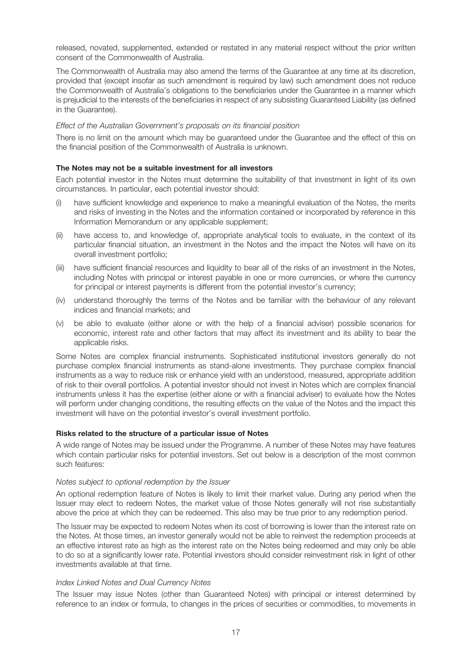released, novated, supplemented, extended or restated in any material respect without the prior written consent of the Commonwealth of Australia.

The Commonwealth of Australia may also amend the terms of the Guarantee at any time at its discretion, provided that (except insofar as such amendment is required by law) such amendment does not reduce the Commonwealth of Australia's obligations to the beneficiaries under the Guarantee in a manner which is prejudicial to the interests of the beneficiaries in respect of any subsisting Guaranteed Liability (as defined in the Guarantee).

#### Effect of the Australian Government's proposals on its financial position

There is no limit on the amount which may be guaranteed under the Guarantee and the effect of this on the financial position of the Commonwealth of Australia is unknown.

#### The Notes may not be a suitable investment for all investors

Each potential investor in the Notes must determine the suitability of that investment in light of its own circumstances. In particular, each potential investor should:

- (i) have sufficient knowledge and experience to make a meaningful evaluation of the Notes, the merits and risks of investing in the Notes and the information contained or incorporated by reference in this Information Memorandum or any applicable supplement;
- (ii) have access to, and knowledge of, appropriate analytical tools to evaluate, in the context of its particular financial situation, an investment in the Notes and the impact the Notes will have on its overall investment portfolio;
- (iii) have sufficient financial resources and liquidity to bear all of the risks of an investment in the Notes, including Notes with principal or interest payable in one or more currencies, or where the currency for principal or interest payments is different from the potential investor's currency;
- (iv) understand thoroughly the terms of the Notes and be familiar with the behaviour of any relevant indices and financial markets; and
- (v) be able to evaluate (either alone or with the help of a financial adviser) possible scenarios for economic, interest rate and other factors that may affect its investment and its ability to bear the applicable risks.

Some Notes are complex financial instruments. Sophisticated institutional investors generally do not purchase complex financial instruments as stand-alone investments. They purchase complex financial instruments as a way to reduce risk or enhance yield with an understood, measured, appropriate addition of risk to their overall portfolios. A potential investor should not invest in Notes which are complex financial instruments unless it has the expertise (either alone or with a financial adviser) to evaluate how the Notes will perform under changing conditions, the resulting effects on the value of the Notes and the impact this investment will have on the potential investor's overall investment portfolio.

#### Risks related to the structure of a particular issue of Notes

A wide range of Notes may be issued under the Programme. A number of these Notes may have features which contain particular risks for potential investors. Set out below is a description of the most common such features:

#### Notes subject to optional redemption by the Issuer

An optional redemption feature of Notes is likely to limit their market value. During any period when the Issuer may elect to redeem Notes, the market value of those Notes generally will not rise substantially above the price at which they can be redeemed. This also may be true prior to any redemption period.

The Issuer may be expected to redeem Notes when its cost of borrowing is lower than the interest rate on the Notes. At those times, an investor generally would not be able to reinvest the redemption proceeds at an effective interest rate as high as the interest rate on the Notes being redeemed and may only be able to do so at a significantly lower rate. Potential investors should consider reinvestment risk in light of other investments available at that time.

#### Index Linked Notes and Dual Currency Notes

The Issuer may issue Notes (other than Guaranteed Notes) with principal or interest determined by reference to an index or formula, to changes in the prices of securities or commodities, to movements in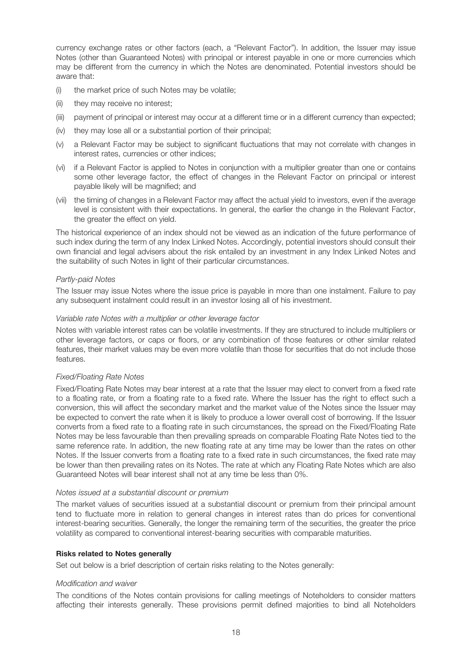currency exchange rates or other factors (each, a "Relevant Factor"). In addition, the Issuer may issue Notes (other than Guaranteed Notes) with principal or interest payable in one or more currencies which may be different from the currency in which the Notes are denominated. Potential investors should be aware that:

- (i) the market price of such Notes may be volatile;
- (ii) they may receive no interest;
- (iii) payment of principal or interest may occur at a different time or in a different currency than expected;
- (iv) they may lose all or a substantial portion of their principal;
- (v) a Relevant Factor may be subject to significant fluctuations that may not correlate with changes in interest rates, currencies or other indices;
- (vi) if a Relevant Factor is applied to Notes in conjunction with a multiplier greater than one or contains some other leverage factor, the effect of changes in the Relevant Factor on principal or interest payable likely will be magnified; and
- (vii) the timing of changes in a Relevant Factor may affect the actual yield to investors, even if the average level is consistent with their expectations. In general, the earlier the change in the Relevant Factor, the greater the effect on yield.

The historical experience of an index should not be viewed as an indication of the future performance of such index during the term of any Index Linked Notes. Accordingly, potential investors should consult their own financial and legal advisers about the risk entailed by an investment in any Index Linked Notes and the suitability of such Notes in light of their particular circumstances.

#### Partly-paid Notes

The Issuer may issue Notes where the issue price is payable in more than one instalment. Failure to pay any subsequent instalment could result in an investor losing all of his investment.

#### Variable rate Notes with a multiplier or other leverage factor

Notes with variable interest rates can be volatile investments. If they are structured to include multipliers or other leverage factors, or caps or floors, or any combination of those features or other similar related features, their market values may be even more volatile than those for securities that do not include those features.

## Fixed/Floating Rate Notes

Fixed/Floating Rate Notes may bear interest at a rate that the Issuer may elect to convert from a fixed rate to a floating rate, or from a floating rate to a fixed rate. Where the Issuer has the right to effect such a conversion, this will affect the secondary market and the market value of the Notes since the Issuer may be expected to convert the rate when it is likely to produce a lower overall cost of borrowing. If the Issuer converts from a fixed rate to a floating rate in such circumstances, the spread on the Fixed/Floating Rate Notes may be less favourable than then prevailing spreads on comparable Floating Rate Notes tied to the same reference rate. In addition, the new floating rate at any time may be lower than the rates on other Notes. If the Issuer converts from a floating rate to a fixed rate in such circumstances, the fixed rate may be lower than then prevailing rates on its Notes. The rate at which any Floating Rate Notes which are also Guaranteed Notes will bear interest shall not at any time be less than 0%.

#### Notes issued at a substantial discount or premium

The market values of securities issued at a substantial discount or premium from their principal amount tend to fluctuate more in relation to general changes in interest rates than do prices for conventional interest-bearing securities. Generally, the longer the remaining term of the securities, the greater the price volatility as compared to conventional interest-bearing securities with comparable maturities.

## Risks related to Notes generally

Set out below is a brief description of certain risks relating to the Notes generally:

#### Modification and waiver

The conditions of the Notes contain provisions for calling meetings of Noteholders to consider matters affecting their interests generally. These provisions permit defined majorities to bind all Noteholders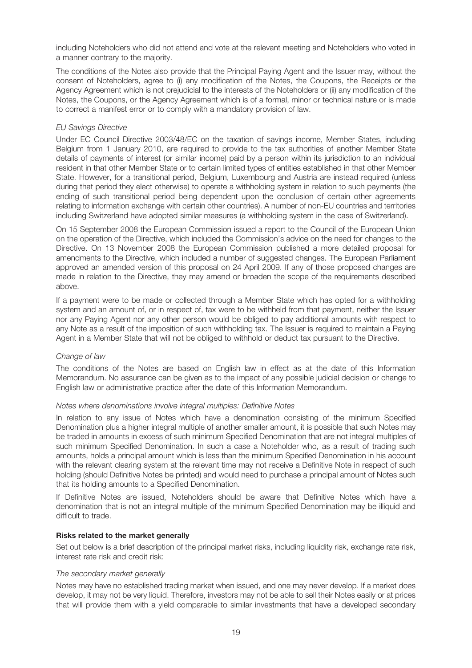including Noteholders who did not attend and vote at the relevant meeting and Noteholders who voted in a manner contrary to the majority.

The conditions of the Notes also provide that the Principal Paying Agent and the Issuer may, without the consent of Noteholders, agree to (i) any modification of the Notes, the Coupons, the Receipts or the Agency Agreement which is not prejudicial to the interests of the Noteholders or (ii) any modification of the Notes, the Coupons, or the Agency Agreement which is of a formal, minor or technical nature or is made to correct a manifest error or to comply with a mandatory provision of law.

## EU Savings Directive

Under EC Council Directive 2003/48/EC on the taxation of savings income, Member States, including Belgium from 1 January 2010, are required to provide to the tax authorities of another Member State details of payments of interest (or similar income) paid by a person within its jurisdiction to an individual resident in that other Member State or to certain limited types of entities established in that other Member State. However, for a transitional period, Belgium, Luxembourg and Austria are instead required (unless during that period they elect otherwise) to operate a withholding system in relation to such payments (the ending of such transitional period being dependent upon the conclusion of certain other agreements relating to information exchange with certain other countries). A number of non-EU countries and territories including Switzerland have adopted similar measures (a withholding system in the case of Switzerland).

On 15 September 2008 the European Commission issued a report to the Council of the European Union on the operation of the Directive, which included the Commission's advice on the need for changes to the Directive. On 13 November 2008 the European Commission published a more detailed proposal for amendments to the Directive, which included a number of suggested changes. The European Parliament approved an amended version of this proposal on 24 April 2009. If any of those proposed changes are made in relation to the Directive, they may amend or broaden the scope of the requirements described above.

If a payment were to be made or collected through a Member State which has opted for a withholding system and an amount of, or in respect of, tax were to be withheld from that payment, neither the Issuer nor any Paying Agent nor any other person would be obliged to pay additional amounts with respect to any Note as a result of the imposition of such withholding tax. The Issuer is required to maintain a Paying Agent in a Member State that will not be obliged to withhold or deduct tax pursuant to the Directive.

## Change of law

The conditions of the Notes are based on English law in effect as at the date of this Information Memorandum. No assurance can be given as to the impact of any possible judicial decision or change to English law or administrative practice after the date of this Information Memorandum.

#### Notes where denominations involve integral multiples: Definitive Notes

In relation to any issue of Notes which have a denomination consisting of the minimum Specified Denomination plus a higher integral multiple of another smaller amount, it is possible that such Notes may be traded in amounts in excess of such minimum Specified Denomination that are not integral multiples of such minimum Specified Denomination. In such a case a Noteholder who, as a result of trading such amounts, holds a principal amount which is less than the minimum Specified Denomination in his account with the relevant clearing system at the relevant time may not receive a Definitive Note in respect of such holding (should Definitive Notes be printed) and would need to purchase a principal amount of Notes such that its holding amounts to a Specified Denomination.

If Definitive Notes are issued, Noteholders should be aware that Definitive Notes which have a denomination that is not an integral multiple of the minimum Specified Denomination may be illiquid and difficult to trade.

#### Risks related to the market generally

Set out below is a brief description of the principal market risks, including liquidity risk, exchange rate risk, interest rate risk and credit risk:

#### The secondary market generally

Notes may have no established trading market when issued, and one may never develop. If a market does develop, it may not be very liquid. Therefore, investors may not be able to sell their Notes easily or at prices that will provide them with a yield comparable to similar investments that have a developed secondary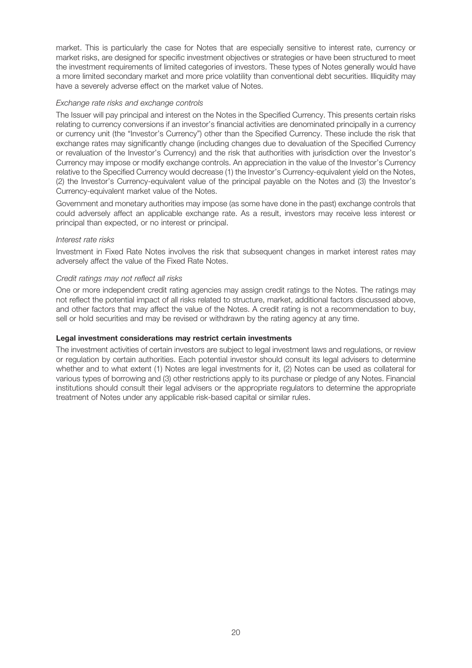market. This is particularly the case for Notes that are especially sensitive to interest rate, currency or market risks, are designed for specific investment objectives or strategies or have been structured to meet the investment requirements of limited categories of investors. These types of Notes generally would have a more limited secondary market and more price volatility than conventional debt securities. Illiquidity may have a severely adverse effect on the market value of Notes.

## Exchange rate risks and exchange controls

The Issuer will pay principal and interest on the Notes in the Specified Currency. This presents certain risks relating to currency conversions if an investor's financial activities are denominated principally in a currency or currency unit (the "Investor's Currency") other than the Specified Currency. These include the risk that exchange rates may significantly change (including changes due to devaluation of the Specified Currency or revaluation of the Investor's Currency) and the risk that authorities with jurisdiction over the Investor's Currency may impose or modify exchange controls. An appreciation in the value of the Investor's Currency relative to the Specified Currency would decrease (1) the Investor's Currency-equivalent yield on the Notes, (2) the Investor's Currency-equivalent value of the principal payable on the Notes and (3) the Investor's Currency-equivalent market value of the Notes.

Government and monetary authorities may impose (as some have done in the past) exchange controls that could adversely affect an applicable exchange rate. As a result, investors may receive less interest or principal than expected, or no interest or principal.

## Interest rate risks

Investment in Fixed Rate Notes involves the risk that subsequent changes in market interest rates may adversely affect the value of the Fixed Rate Notes.

## Credit ratings may not reflect all risks

One or more independent credit rating agencies may assign credit ratings to the Notes. The ratings may not reflect the potential impact of all risks related to structure, market, additional factors discussed above, and other factors that may affect the value of the Notes. A credit rating is not a recommendation to buy, sell or hold securities and may be revised or withdrawn by the rating agency at any time.

#### Legal investment considerations may restrict certain investments

The investment activities of certain investors are subject to legal investment laws and regulations, or review or regulation by certain authorities. Each potential investor should consult its legal advisers to determine whether and to what extent (1) Notes are legal investments for it, (2) Notes can be used as collateral for various types of borrowing and (3) other restrictions apply to its purchase or pledge of any Notes. Financial institutions should consult their legal advisers or the appropriate regulators to determine the appropriate treatment of Notes under any applicable risk-based capital or similar rules.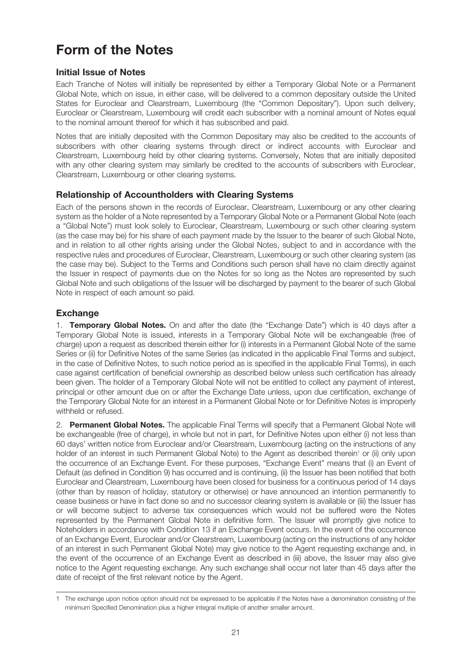## Form of the Notes

## Initial Issue of Notes

Each Tranche of Notes will initially be represented by either a Temporary Global Note or a Permanent Global Note, which on issue, in either case, will be delivered to a common depositary outside the United States for Euroclear and Clearstream, Luxembourg (the "Common Depositary"). Upon such delivery, Euroclear or Clearstream, Luxembourg will credit each subscriber with a nominal amount of Notes equal to the nominal amount thereof for which it has subscribed and paid.

Notes that are initially deposited with the Common Depositary may also be credited to the accounts of subscribers with other clearing systems through direct or indirect accounts with Euroclear and Clearstream, Luxembourg held by other clearing systems. Conversely, Notes that are initially deposited with any other clearing system may similarly be credited to the accounts of subscribers with Euroclear, Clearstream, Luxembourg or other clearing systems.

## Relationship of Accountholders with Clearing Systems

Each of the persons shown in the records of Euroclear, Clearstream, Luxembourg or any other clearing system as the holder of a Note represented by a Temporary Global Note or a Permanent Global Note (each a "Global Note") must look solely to Euroclear, Clearstream, Luxembourg or such other clearing system (as the case may be) for his share of each payment made by the Issuer to the bearer of such Global Note, and in relation to all other rights arising under the Global Notes, subject to and in accordance with the respective rules and procedures of Euroclear, Clearstream, Luxembourg or such other clearing system (as the case may be). Subject to the Terms and Conditions such person shall have no claim directly against the Issuer in respect of payments due on the Notes for so long as the Notes are represented by such Global Note and such obligations of the Issuer will be discharged by payment to the bearer of such Global Note in respect of each amount so paid.

## Exchange

1. Temporary Global Notes. On and after the date (the "Exchange Date") which is 40 days after a Temporary Global Note is issued, interests in a Temporary Global Note will be exchangeable (free of charge) upon a request as described therein either for (i) interests in a Permanent Global Note of the same Series or (ii) for Definitive Notes of the same Series (as indicated in the applicable Final Terms and subject, in the case of Definitive Notes, to such notice period as is specified in the applicable Final Terms), in each case against certification of beneficial ownership as described below unless such certification has already been given. The holder of a Temporary Global Note will not be entitled to collect any payment of interest, principal or other amount due on or after the Exchange Date unless, upon due certification, exchange of the Temporary Global Note for an interest in a Permanent Global Note or for Definitive Notes is improperly withheld or refused.

2. Permanent Global Notes. The applicable Final Terms will specify that a Permanent Global Note will be exchangeable (free of charge), in whole but not in part, for Definitive Notes upon either (i) not less than 60 days' written notice from Euroclear and/or Clearstream, Luxembourg (acting on the instructions of any holder of an interest in such Permanent Global Note) to the Agent as described therein<sup>1</sup> or (ii) only upon the occurrence of an Exchange Event. For these purposes, "Exchange Event" means that (i) an Event of Default (as defined in Condition 9) has occurred and is continuing, (ii) the Issuer has been notified that both Euroclear and Clearstream, Luxembourg have been closed for business for a continuous period of 14 days (other than by reason of holiday, statutory or otherwise) or have announced an intention permanently to cease business or have in fact done so and no successor clearing system is available or (iii) the Issuer has or will become subject to adverse tax consequences which would not be suffered were the Notes represented by the Permanent Global Note in definitive form. The Issuer will promptly give notice to Noteholders in accordance with Condition 13 if an Exchange Event occurs. In the event of the occurrence of an Exchange Event, Euroclear and/or Clearstream, Luxembourg (acting on the instructions of any holder of an interest in such Permanent Global Note) may give notice to the Agent requesting exchange and, in the event of the occurrence of an Exchange Event as described in (iii) above, the Issuer may also give notice to the Agent requesting exchange. Any such exchange shall occur not later than 45 days after the date of receipt of the first relevant notice by the Agent.

<sup>1</sup> The exchange upon notice option should not be expressed to be applicable if the Notes have a denomination consisting of the minimum Specified Denomination plus a higher integral multiple of another smaller amount.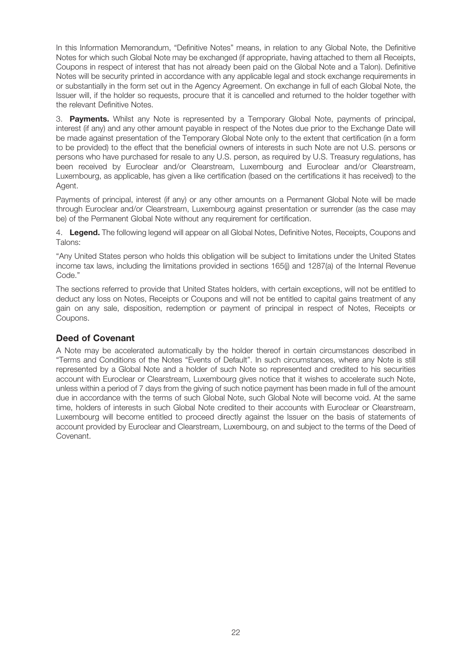In this Information Memorandum, "Definitive Notes" means, in relation to any Global Note, the Definitive Notes for which such Global Note may be exchanged (if appropriate, having attached to them all Receipts, Coupons in respect of interest that has not already been paid on the Global Note and a Talon). Definitive Notes will be security printed in accordance with any applicable legal and stock exchange requirements in or substantially in the form set out in the Agency Agreement. On exchange in full of each Global Note, the Issuer will, if the holder so requests, procure that it is cancelled and returned to the holder together with the relevant Definitive Notes.

3. **Payments.** Whilst any Note is represented by a Temporary Global Note, payments of principal, interest (if any) and any other amount payable in respect of the Notes due prior to the Exchange Date will be made against presentation of the Temporary Global Note only to the extent that certification (in a form to be provided) to the effect that the beneficial owners of interests in such Note are not U.S. persons or persons who have purchased for resale to any U.S. person, as required by U.S. Treasury regulations, has been received by Euroclear and/or Clearstream, Luxembourg and Euroclear and/or Clearstream, Luxembourg, as applicable, has given a like certification (based on the certifications it has received) to the Agent.

Payments of principal, interest (if any) or any other amounts on a Permanent Global Note will be made through Euroclear and/or Clearstream, Luxembourg against presentation or surrender (as the case may be) of the Permanent Global Note without any requirement for certification.

4. Legend. The following legend will appear on all Global Notes, Definitive Notes, Receipts, Coupons and Talons:

"Any United States person who holds this obligation will be subject to limitations under the United States income tax laws, including the limitations provided in sections 165(j) and 1287(a) of the Internal Revenue Code."

The sections referred to provide that United States holders, with certain exceptions, will not be entitled to deduct any loss on Notes, Receipts or Coupons and will not be entitled to capital gains treatment of any gain on any sale, disposition, redemption or payment of principal in respect of Notes, Receipts or Coupons.

## Deed of Covenant

A Note may be accelerated automatically by the holder thereof in certain circumstances described in "Terms and Conditions of the Notes "Events of Default". In such circumstances, where any Note is still represented by a Global Note and a holder of such Note so represented and credited to his securities account with Euroclear or Clearstream, Luxembourg gives notice that it wishes to accelerate such Note, unless within a period of 7 days from the giving of such notice payment has been made in full of the amount due in accordance with the terms of such Global Note, such Global Note will become void. At the same time, holders of interests in such Global Note credited to their accounts with Euroclear or Clearstream, Luxembourg will become entitled to proceed directly against the Issuer on the basis of statements of account provided by Euroclear and Clearstream, Luxembourg, on and subject to the terms of the Deed of Covenant.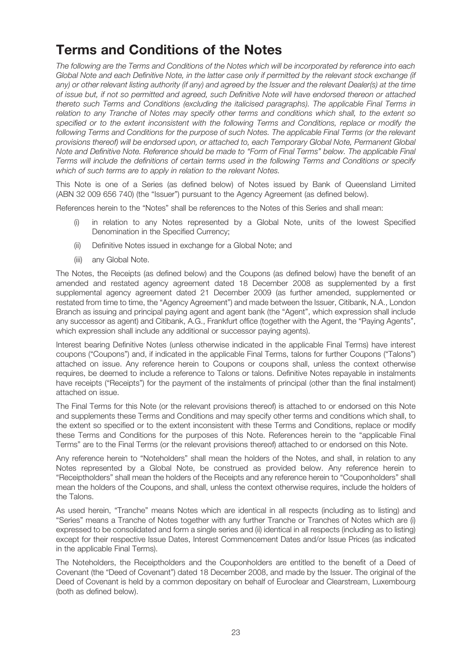## Terms and Conditions of the Notes

The following are the Terms and Conditions of the Notes which will be incorporated by reference into each Global Note and each Definitive Note, in the latter case only if permitted by the relevant stock exchange (if any) or other relevant listing authority (if any) and agreed by the Issuer and the relevant Dealer(s) at the time of issue but, if not so permitted and agreed, such Definitive Note will have endorsed thereon or attached thereto such Terms and Conditions (excluding the italicised paragraphs). The applicable Final Terms in relation to any Tranche of Notes may specify other terms and conditions which shall, to the extent so specified or to the extent inconsistent with the following Terms and Conditions, replace or modify the following Terms and Conditions for the purpose of such Notes. The applicable Final Terms (or the relevant provisions thereof) will be endorsed upon, or attached to, each Temporary Global Note, Permanent Global Note and Definitive Note. Reference should be made to "Form of Final Terms" below. The applicable Final Terms will include the definitions of certain terms used in the following Terms and Conditions or specify which of such terms are to apply in relation to the relevant Notes.

This Note is one of a Series (as defined below) of Notes issued by Bank of Queensland Limited (ABN 32 009 656 740) (the "Issuer") pursuant to the Agency Agreement (as defined below).

References herein to the "Notes" shall be references to the Notes of this Series and shall mean:

- (i) in relation to any Notes represented by a Global Note, units of the lowest Specified Denomination in the Specified Currency;
- (ii) Definitive Notes issued in exchange for a Global Note; and
- (iii) any Global Note.

The Notes, the Receipts (as defined below) and the Coupons (as defined below) have the benefit of an amended and restated agency agreement dated 18 December 2008 as supplemented by a first supplemental agency agreement dated 21 December 2009 (as further amended, supplemented or restated from time to time, the "Agency Agreement") and made between the Issuer, Citibank, N.A., London Branch as issuing and principal paying agent and agent bank (the "Agent", which expression shall include any successor as agent) and Citibank, A.G., Frankfurt office (together with the Agent, the "Paying Agents", which expression shall include any additional or successor paying agents).

Interest bearing Definitive Notes (unless otherwise indicated in the applicable Final Terms) have interest coupons ("Coupons") and, if indicated in the applicable Final Terms, talons for further Coupons ("Talons") attached on issue. Any reference herein to Coupons or coupons shall, unless the context otherwise requires, be deemed to include a reference to Talons or talons. Definitive Notes repayable in instalments have receipts ("Receipts") for the payment of the instalments of principal (other than the final instalment) attached on issue.

The Final Terms for this Note (or the relevant provisions thereof) is attached to or endorsed on this Note and supplements these Terms and Conditions and may specify other terms and conditions which shall, to the extent so specified or to the extent inconsistent with these Terms and Conditions, replace or modify these Terms and Conditions for the purposes of this Note. References herein to the "applicable Final Terms" are to the Final Terms (or the relevant provisions thereof) attached to or endorsed on this Note.

Any reference herein to "Noteholders" shall mean the holders of the Notes, and shall, in relation to any Notes represented by a Global Note, be construed as provided below. Any reference herein to "Receiptholders" shall mean the holders of the Receipts and any reference herein to "Couponholders" shall mean the holders of the Coupons, and shall, unless the context otherwise requires, include the holders of the Talons.

As used herein, "Tranche" means Notes which are identical in all respects (including as to listing) and "Series" means a Tranche of Notes together with any further Tranche or Tranches of Notes which are (i) expressed to be consolidated and form a single series and (ii) identical in all respects (including as to listing) except for their respective Issue Dates, Interest Commencement Dates and/or Issue Prices (as indicated in the applicable Final Terms).

The Noteholders, the Receiptholders and the Couponholders are entitled to the benefit of a Deed of Covenant (the "Deed of Covenant") dated 18 December 2008, and made by the Issuer. The original of the Deed of Covenant is held by a common depositary on behalf of Euroclear and Clearstream, Luxembourg (both as defined below).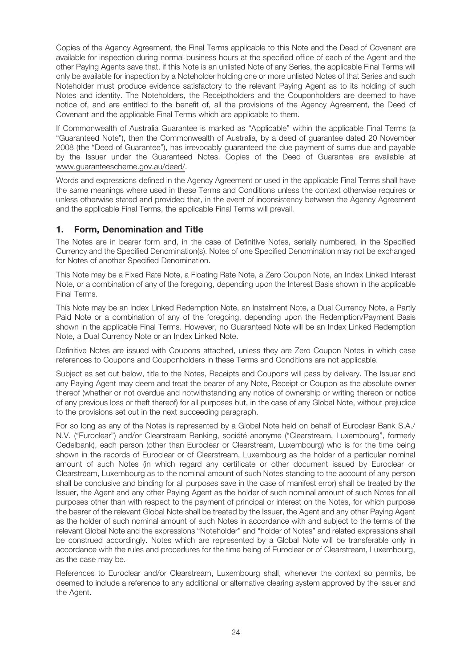Copies of the Agency Agreement, the Final Terms applicable to this Note and the Deed of Covenant are available for inspection during normal business hours at the specified office of each of the Agent and the other Paying Agents save that, if this Note is an unlisted Note of any Series, the applicable Final Terms will only be available for inspection by a Noteholder holding one or more unlisted Notes of that Series and such Noteholder must produce evidence satisfactory to the relevant Paying Agent as to its holding of such Notes and identity. The Noteholders, the Receiptholders and the Couponholders are deemed to have notice of, and are entitled to the benefit of, all the provisions of the Agency Agreement, the Deed of Covenant and the applicable Final Terms which are applicable to them.

If Commonwealth of Australia Guarantee is marked as "Applicable" within the applicable Final Terms (a "Guaranteed Note"), then the Commonwealth of Australia, by a deed of guarantee dated 20 November 2008 (the "Deed of Guarantee"), has irrevocably guaranteed the due payment of sums due and payable by the Issuer under the Guaranteed Notes. Copies of the Deed of Guarantee are available at www.guaranteescheme.gov.au/deed/.

Words and expressions defined in the Agency Agreement or used in the applicable Final Terms shall have the same meanings where used in these Terms and Conditions unless the context otherwise requires or unless otherwise stated and provided that, in the event of inconsistency between the Agency Agreement and the applicable Final Terms, the applicable Final Terms will prevail.

## 1. Form, Denomination and Title

The Notes are in bearer form and, in the case of Definitive Notes, serially numbered, in the Specified Currency and the Specified Denomination(s). Notes of one Specified Denomination may not be exchanged for Notes of another Specified Denomination.

This Note may be a Fixed Rate Note, a Floating Rate Note, a Zero Coupon Note, an Index Linked Interest Note, or a combination of any of the foregoing, depending upon the Interest Basis shown in the applicable Final Terms.

This Note may be an Index Linked Redemption Note, an Instalment Note, a Dual Currency Note, a Partly Paid Note or a combination of any of the foregoing, depending upon the Redemption/Payment Basis shown in the applicable Final Terms. However, no Guaranteed Note will be an Index Linked Redemption Note, a Dual Currency Note or an Index Linked Note.

Definitive Notes are issued with Coupons attached, unless they are Zero Coupon Notes in which case references to Coupons and Couponholders in these Terms and Conditions are not applicable.

Subject as set out below, title to the Notes, Receipts and Coupons will pass by delivery. The Issuer and any Paying Agent may deem and treat the bearer of any Note, Receipt or Coupon as the absolute owner thereof (whether or not overdue and notwithstanding any notice of ownership or writing thereon or notice of any previous loss or theft thereof) for all purposes but, in the case of any Global Note, without prejudice to the provisions set out in the next succeeding paragraph.

For so long as any of the Notes is represented by a Global Note held on behalf of Euroclear Bank S.A./ N.V. ("Euroclear") and/or Clearstream Banking, société anonyme ("Clearstream, Luxembourg", formerly Cedelbank), each person (other than Euroclear or Clearstream, Luxembourg) who is for the time being shown in the records of Euroclear or of Clearstream, Luxembourg as the holder of a particular nominal amount of such Notes (in which regard any certificate or other document issued by Euroclear or Clearstream, Luxembourg as to the nominal amount of such Notes standing to the account of any person shall be conclusive and binding for all purposes save in the case of manifest error) shall be treated by the Issuer, the Agent and any other Paying Agent as the holder of such nominal amount of such Notes for all purposes other than with respect to the payment of principal or interest on the Notes, for which purpose the bearer of the relevant Global Note shall be treated by the Issuer, the Agent and any other Paying Agent as the holder of such nominal amount of such Notes in accordance with and subject to the terms of the relevant Global Note and the expressions "Noteholder" and "holder of Notes" and related expressions shall be construed accordingly. Notes which are represented by a Global Note will be transferable only in accordance with the rules and procedures for the time being of Euroclear or of Clearstream, Luxembourg, as the case may be.

References to Euroclear and/or Clearstream, Luxembourg shall, whenever the context so permits, be deemed to include a reference to any additional or alternative clearing system approved by the Issuer and the Agent.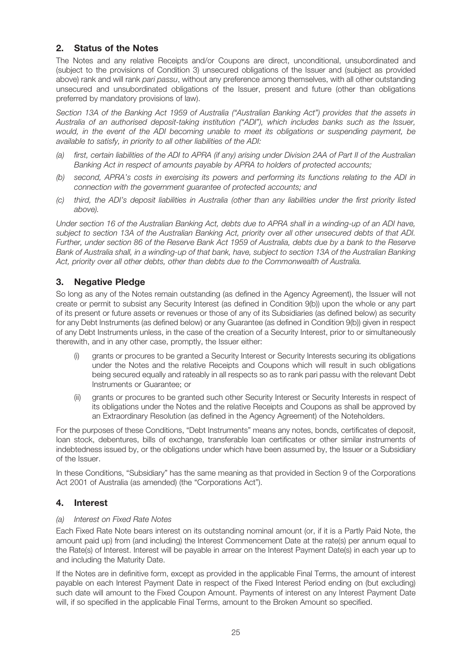## 2. Status of the Notes

The Notes and any relative Receipts and/or Coupons are direct, unconditional, unsubordinated and (subject to the provisions of Condition 3) unsecured obligations of the Issuer and (subject as provided above) rank and will rank pari passu, without any preference among themselves, with all other outstanding unsecured and unsubordinated obligations of the Issuer, present and future (other than obligations preferred by mandatory provisions of law).

Section 13A of the Banking Act 1959 of Australia ("Australian Banking Act") provides that the assets in Australia of an authorised deposit-taking institution ("ADI"), which includes banks such as the Issuer, would, in the event of the ADI becoming unable to meet its obligations or suspending payment, be available to satisfy, in priority to all other liabilities of the ADI:

- (a) first, certain liabilities of the ADI to APRA (if any) arising under Division 2AA of Part II of the Australian Banking Act in respect of amounts payable by APRA to holders of protected accounts;
- (b) second, APRA's costs in exercising its powers and performing its functions relating to the ADI in connection with the government guarantee of protected accounts; and
- (c) third, the ADI's deposit liabilities in Australia (other than any liabilities under the first priority listed above).

Under section 16 of the Australian Banking Act, debts due to APRA shall in a winding-up of an ADI have, subject to section 13A of the Australian Banking Act, priority over all other unsecured debts of that ADI. Further, under section 86 of the Reserve Bank Act 1959 of Australia, debts due by a bank to the Reserve Bank of Australia shall, in a winding-up of that bank, have, subject to section 13A of the Australian Banking Act, priority over all other debts, other than debts due to the Commonwealth of Australia.

## 3. Negative Pledge

So long as any of the Notes remain outstanding (as defined in the Agency Agreement), the Issuer will not create or permit to subsist any Security Interest (as defined in Condition 9(b)) upon the whole or any part of its present or future assets or revenues or those of any of its Subsidiaries (as defined below) as security for any Debt Instruments (as defined below) or any Guarantee (as defined in Condition 9(b)) given in respect of any Debt Instruments unless, in the case of the creation of a Security Interest, prior to or simultaneously therewith, and in any other case, promptly, the Issuer either:

- (i) grants or procures to be granted a Security Interest or Security Interests securing its obligations under the Notes and the relative Receipts and Coupons which will result in such obligations being secured equally and rateably in all respects so as to rank pari passu with the relevant Debt Instruments or Guarantee; or
- (ii) grants or procures to be granted such other Security Interest or Security Interests in respect of its obligations under the Notes and the relative Receipts and Coupons as shall be approved by an Extraordinary Resolution (as defined in the Agency Agreement) of the Noteholders.

For the purposes of these Conditions, "Debt Instruments" means any notes, bonds, certificates of deposit, loan stock, debentures, bills of exchange, transferable loan certificates or other similar instruments of indebtedness issued by, or the obligations under which have been assumed by, the Issuer or a Subsidiary of the Issuer.

In these Conditions, "Subsidiary" has the same meaning as that provided in Section 9 of the Corporations Act 2001 of Australia (as amended) (the "Corporations Act").

## 4. Interest

## (a) Interest on Fixed Rate Notes

Each Fixed Rate Note bears interest on its outstanding nominal amount (or, if it is a Partly Paid Note, the amount paid up) from (and including) the Interest Commencement Date at the rate(s) per annum equal to the Rate(s) of Interest. Interest will be payable in arrear on the Interest Payment Date(s) in each year up to and including the Maturity Date.

If the Notes are in definitive form, except as provided in the applicable Final Terms, the amount of interest payable on each Interest Payment Date in respect of the Fixed Interest Period ending on (but excluding) such date will amount to the Fixed Coupon Amount. Payments of interest on any Interest Payment Date will, if so specified in the applicable Final Terms, amount to the Broken Amount so specified.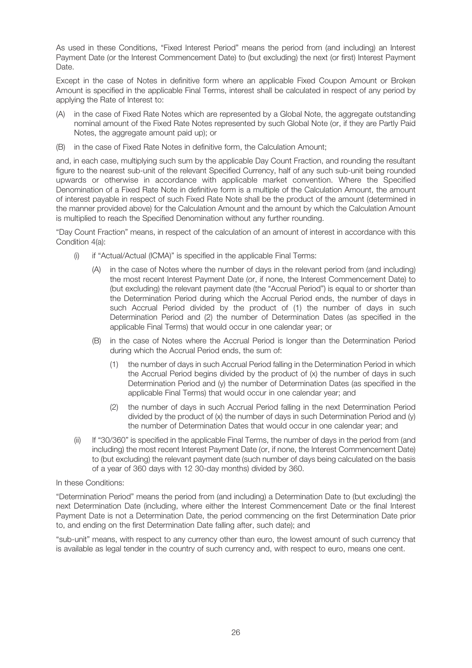As used in these Conditions, "Fixed Interest Period" means the period from (and including) an Interest Payment Date (or the Interest Commencement Date) to (but excluding) the next (or first) Interest Payment Date.

Except in the case of Notes in definitive form where an applicable Fixed Coupon Amount or Broken Amount is specified in the applicable Final Terms, interest shall be calculated in respect of any period by applying the Rate of Interest to:

- (A) in the case of Fixed Rate Notes which are represented by a Global Note, the aggregate outstanding nominal amount of the Fixed Rate Notes represented by such Global Note (or, if they are Partly Paid Notes, the aggregate amount paid up); or
- (B) in the case of Fixed Rate Notes in definitive form, the Calculation Amount;

and, in each case, multiplying such sum by the applicable Day Count Fraction, and rounding the resultant figure to the nearest sub-unit of the relevant Specified Currency, half of any such sub-unit being rounded upwards or otherwise in accordance with applicable market convention. Where the Specified Denomination of a Fixed Rate Note in definitive form is a multiple of the Calculation Amount, the amount of interest payable in respect of such Fixed Rate Note shall be the product of the amount (determined in the manner provided above) for the Calculation Amount and the amount by which the Calculation Amount is multiplied to reach the Specified Denomination without any further rounding.

"Day Count Fraction" means, in respect of the calculation of an amount of interest in accordance with this Condition 4(a):

- (i) if "Actual/Actual (ICMA)" is specified in the applicable Final Terms:
	- (A) in the case of Notes where the number of days in the relevant period from (and including) the most recent Interest Payment Date (or, if none, the Interest Commencement Date) to (but excluding) the relevant payment date (the "Accrual Period") is equal to or shorter than the Determination Period during which the Accrual Period ends, the number of days in such Accrual Period divided by the product of (1) the number of days in such Determination Period and (2) the number of Determination Dates (as specified in the applicable Final Terms) that would occur in one calendar year; or
	- (B) in the case of Notes where the Accrual Period is longer than the Determination Period during which the Accrual Period ends, the sum of:
		- (1) the number of days in such Accrual Period falling in the Determination Period in which the Accrual Period begins divided by the product of (x) the number of days in such Determination Period and (y) the number of Determination Dates (as specified in the applicable Final Terms) that would occur in one calendar year; and
		- (2) the number of days in such Accrual Period falling in the next Determination Period divided by the product of  $(x)$  the number of days in such Determination Period and  $(y)$ the number of Determination Dates that would occur in one calendar year; and
- (ii) If "30/360" is specified in the applicable Final Terms, the number of days in the period from (and including) the most recent Interest Payment Date (or, if none, the Interest Commencement Date) to (but excluding) the relevant payment date (such number of days being calculated on the basis of a year of 360 days with 12 30-day months) divided by 360.

## In these Conditions:

"Determination Period" means the period from (and including) a Determination Date to (but excluding) the next Determination Date (including, where either the Interest Commencement Date or the final Interest Payment Date is not a Determination Date, the period commencing on the first Determination Date prior to, and ending on the first Determination Date falling after, such date); and

"sub-unit" means, with respect to any currency other than euro, the lowest amount of such currency that is available as legal tender in the country of such currency and, with respect to euro, means one cent.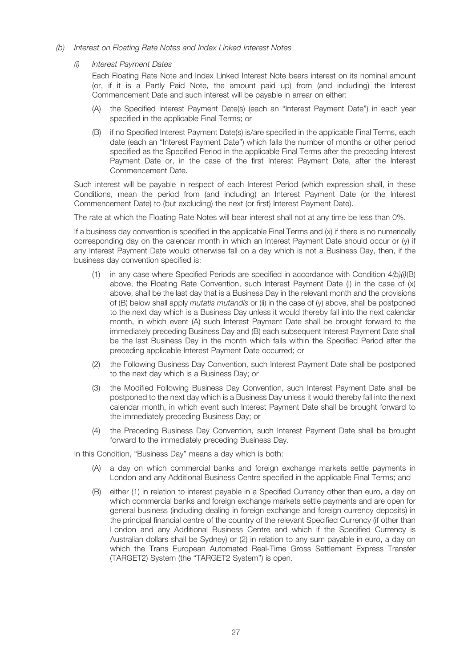- (b) Interest on Floating Rate Notes and Index Linked Interest Notes
	- (i) Interest Payment Dates

Each Floating Rate Note and Index Linked Interest Note bears interest on its nominal amount (or, if it is a Partly Paid Note, the amount paid up) from (and including) the Interest Commencement Date and such interest will be payable in arrear on either:

- (A) the Specified Interest Payment Date(s) (each an "Interest Payment Date") in each year specified in the applicable Final Terms; or
- (B) if no Specified Interest Payment Date(s) is/are specified in the applicable Final Terms, each date (each an "Interest Payment Date") which falls the number of months or other period specified as the Specified Period in the applicable Final Terms after the preceding Interest Payment Date or, in the case of the first Interest Payment Date, after the Interest Commencement Date.

Such interest will be payable in respect of each Interest Period (which expression shall, in these Conditions, mean the period from (and including) an Interest Payment Date (or the Interest Commencement Date) to (but excluding) the next (or first) Interest Payment Date).

The rate at which the Floating Rate Notes will bear interest shall not at any time be less than 0%.

If a business day convention is specified in the applicable Final Terms and (x) if there is no numerically corresponding day on the calendar month in which an Interest Payment Date should occur or (y) if any Interest Payment Date would otherwise fall on a day which is not a Business Day, then, if the business day convention specified is:

- (1) in any case where Specified Periods are specified in accordance with Condition  $4(b)/i/(B)$ above, the Floating Rate Convention, such Interest Payment Date (i) in the case of (x) above, shall be the last day that is a Business Day in the relevant month and the provisions of (B) below shall apply *mutatis mutandis* or (ii) in the case of  $(y)$  above, shall be postponed to the next day which is a Business Day unless it would thereby fall into the next calendar month, in which event (A) such Interest Payment Date shall be brought forward to the immediately preceding Business Day and (B) each subsequent Interest Payment Date shall be the last Business Day in the month which falls within the Specified Period after the preceding applicable Interest Payment Date occurred; or
- (2) the Following Business Day Convention, such Interest Payment Date shall be postponed to the next day which is a Business Day; or
- (3) the Modified Following Business Day Convention, such Interest Payment Date shall be postponed to the next day which is a Business Day unless it would thereby fall into the next calendar month, in which event such Interest Payment Date shall be brought forward to the immediately preceding Business Day; or
- (4) the Preceding Business Day Convention, such Interest Payment Date shall be brought forward to the immediately preceding Business Day.

In this Condition, "Business Day" means a day which is both:

- (A) a day on which commercial banks and foreign exchange markets settle payments in London and any Additional Business Centre specified in the applicable Final Terms; and
- (B) either (1) in relation to interest payable in a Specified Currency other than euro, a day on which commercial banks and foreign exchange markets settle payments and are open for general business (including dealing in foreign exchange and foreign currency deposits) in the principal financial centre of the country of the relevant Specified Currency (if other than London and any Additional Business Centre and which if the Specified Currency is Australian dollars shall be Sydney) or (2) in relation to any sum payable in euro, a day on which the Trans European Automated Real-Time Gross Settlement Express Transfer (TARGET2) System (the "TARGET2 System") is open.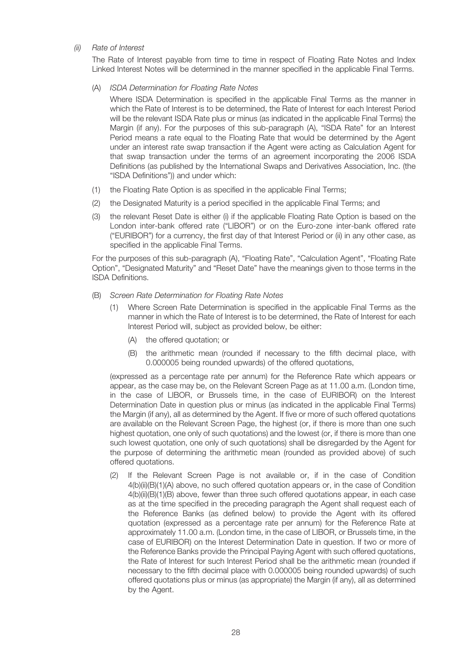#### (ii) Rate of Interest

The Rate of Interest payable from time to time in respect of Floating Rate Notes and Index Linked Interest Notes will be determined in the manner specified in the applicable Final Terms.

#### (A) ISDA Determination for Floating Rate Notes

Where ISDA Determination is specified in the applicable Final Terms as the manner in which the Rate of Interest is to be determined, the Rate of Interest for each Interest Period will be the relevant ISDA Rate plus or minus (as indicated in the applicable Final Terms) the Margin (if any). For the purposes of this sub-paragraph (A), "ISDA Rate" for an Interest Period means a rate equal to the Floating Rate that would be determined by the Agent under an interest rate swap transaction if the Agent were acting as Calculation Agent for that swap transaction under the terms of an agreement incorporating the 2006 ISDA Definitions (as published by the International Swaps and Derivatives Association, Inc. (the "ISDA Definitions")) and under which:

- (1) the Floating Rate Option is as specified in the applicable Final Terms;
- (2) the Designated Maturity is a period specified in the applicable Final Terms; and
- (3) the relevant Reset Date is either (i) if the applicable Floating Rate Option is based on the London inter-bank offered rate ("LIBOR") or on the Euro-zone inter-bank offered rate ("EURIBOR") for a currency, the first day of that Interest Period or (ii) in any other case, as specified in the applicable Final Terms.

For the purposes of this sub-paragraph (A), "Floating Rate", "Calculation Agent", "Floating Rate Option", "Designated Maturity" and "Reset Date" have the meanings given to those terms in the ISDA Definitions.

- (B) Screen Rate Determination for Floating Rate Notes
	- (1) Where Screen Rate Determination is specified in the applicable Final Terms as the manner in which the Rate of Interest is to be determined, the Rate of Interest for each Interest Period will, subject as provided below, be either:
		- (A) the offered quotation; or
		- (B) the arithmetic mean (rounded if necessary to the fifth decimal place, with 0.000005 being rounded upwards) of the offered quotations,

(expressed as a percentage rate per annum) for the Reference Rate which appears or appear, as the case may be, on the Relevant Screen Page as at 11.00 a.m. (London time, in the case of LIBOR, or Brussels time, in the case of EURIBOR) on the Interest Determination Date in question plus or minus (as indicated in the applicable Final Terms) the Margin (if any), all as determined by the Agent. If five or more of such offered quotations are available on the Relevant Screen Page, the highest (or, if there is more than one such highest quotation, one only of such quotations) and the lowest (or, if there is more than one such lowest quotation, one only of such quotations) shall be disregarded by the Agent for the purpose of determining the arithmetic mean (rounded as provided above) of such offered quotations.

(2) If the Relevant Screen Page is not available or, if in the case of Condition 4(b)(ii)(B)(1)(A) above, no such offered quotation appears or, in the case of Condition 4(b)(ii)(B)(1)(B) above, fewer than three such offered quotations appear, in each case as at the time specified in the preceding paragraph the Agent shall request each of the Reference Banks (as defined below) to provide the Agent with its offered quotation (expressed as a percentage rate per annum) for the Reference Rate at approximately 11.00 a.m. (London time, in the case of LIBOR, or Brussels time, in the case of EURIBOR) on the Interest Determination Date in question. If two or more of the Reference Banks provide the Principal Paying Agent with such offered quotations, the Rate of Interest for such Interest Period shall be the arithmetic mean (rounded if necessary to the fifth decimal place with 0.000005 being rounded upwards) of such offered quotations plus or minus (as appropriate) the Margin (if any), all as determined by the Agent.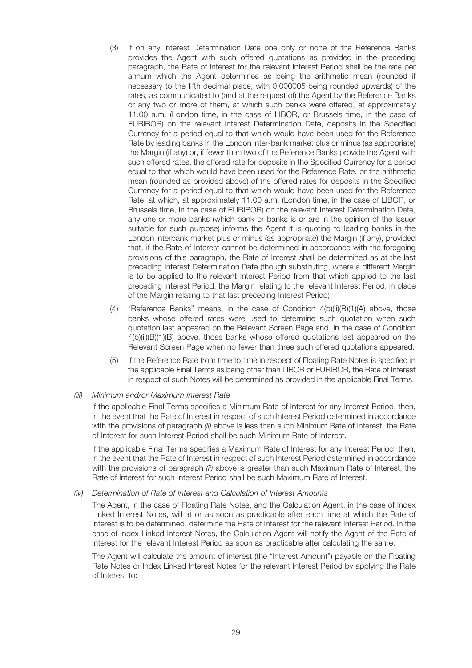- (3) If on any Interest Determination Date one only or none of the Reference Banks provides the Agent with such offered quotations as provided in the preceding paragraph, the Rate of Interest for the relevant Interest Period shall be the rate per annum which the Agent determines as being the arithmetic mean (rounded if necessary to the fifth decimal place, with 0.000005 being rounded upwards) of the rates, as communicated to (and at the request of) the Agent by the Reference Banks or any two or more of them, at which such banks were offered, at approximately 11.00 a.m. (London time, in the case of LIBOR, or Brussels time, in the case of EURIBOR) on the relevant Interest Determination Date, deposits in the Specified Currency for a period equal to that which would have been used for the Reference Rate by leading banks in the London inter-bank market plus or minus (as appropriate) the Margin (if any) or, if fewer than two of the Reference Banks provide the Agent with such offered rates, the offered rate for deposits in the Specified Currency for a period equal to that which would have been used for the Reference Rate, or the arithmetic mean (rounded as provided above) of the offered rates for deposits in the Specified Currency for a period equal to that which would have been used for the Reference Rate, at which, at approximately 11.00 a.m. (London time, in the case of LIBOR, or Brussels time, in the case of EURIBOR) on the relevant Interest Determination Date, any one or more banks (which bank or banks is or are in the opinion of the Issuer suitable for such purpose) informs the Agent it is quoting to leading banks in the London interbank market plus or minus (as appropriate) the Margin (if any), provided that, if the Rate of Interest cannot be determined in accordance with the foregoing provisions of this paragraph, the Rate of Interest shall be determined as at the last preceding Interest Determination Date (though substituting, where a different Margin is to be applied to the relevant Interest Period from that which applied to the last preceding Interest Period, the Margin relating to the relevant Interest Period, in place of the Margin relating to that last preceding Interest Period).
- (4) "Reference Banks" means, in the case of Condition 4(b)(ii)(B)(1)(A) above, those banks whose offered rates were used to determine such quotation when such quotation last appeared on the Relevant Screen Page and, in the case of Condition 4(b)(ii)(B)(1)(B) above, those banks whose offered quotations last appeared on the Relevant Screen Page when no fewer than three such offered quotations appeared.
- (5) If the Reference Rate from time to time in respect of Floating Rate Notes is specified in the applicable Final Terms as being other than LIBOR or EURIBOR, the Rate of Interest in respect of such Notes will be determined as provided in the applicable Final Terms.

#### (iii) Minimum and/or Maximum Interest Rate

If the applicable Final Terms specifies a Minimum Rate of Interest for any Interest Period, then, in the event that the Rate of Interest in respect of such Interest Period determined in accordance with the provisions of paragraph (ii) above is less than such Minimum Rate of Interest, the Rate of Interest for such Interest Period shall be such Minimum Rate of Interest.

If the applicable Final Terms specifies a Maximum Rate of Interest for any Interest Period, then, in the event that the Rate of Interest in respect of such Interest Period determined in accordance with the provisions of paragraph (ii) above is greater than such Maximum Rate of Interest, the Rate of Interest for such Interest Period shall be such Maximum Rate of Interest.

#### (iv) Determination of Rate of Interest and Calculation of Interest Amounts

The Agent, in the case of Floating Rate Notes, and the Calculation Agent, in the case of Index Linked Interest Notes, will at or as soon as practicable after each time at which the Rate of Interest is to be determined, determine the Rate of Interest for the relevant Interest Period. In the case of Index Linked Interest Notes, the Calculation Agent will notify the Agent of the Rate of Interest for the relevant Interest Period as soon as practicable after calculating the same.

The Agent will calculate the amount of interest (the "Interest Amount") payable on the Floating Rate Notes or Index Linked Interest Notes for the relevant Interest Period by applying the Rate of Interest to: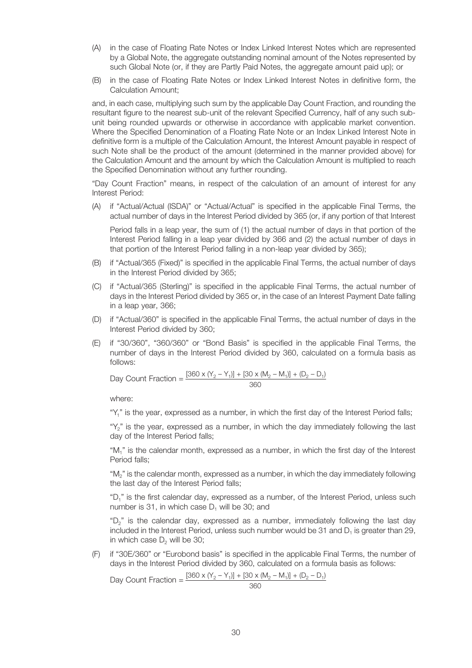- (A) in the case of Floating Rate Notes or Index Linked Interest Notes which are represented by a Global Note, the aggregate outstanding nominal amount of the Notes represented by such Global Note (or, if they are Partly Paid Notes, the aggregate amount paid up); or
- (B) in the case of Floating Rate Notes or Index Linked Interest Notes in definitive form, the Calculation Amount;

and, in each case, multiplying such sum by the applicable Day Count Fraction, and rounding the resultant figure to the nearest sub-unit of the relevant Specified Currency, half of any such subunit being rounded upwards or otherwise in accordance with applicable market convention. Where the Specified Denomination of a Floating Rate Note or an Index Linked Interest Note in definitive form is a multiple of the Calculation Amount, the Interest Amount payable in respect of such Note shall be the product of the amount (determined in the manner provided above) for the Calculation Amount and the amount by which the Calculation Amount is multiplied to reach the Specified Denomination without any further rounding.

"Day Count Fraction" means, in respect of the calculation of an amount of interest for any Interest Period:

(A) if "Actual/Actual (ISDA)" or "Actual/Actual" is specified in the applicable Final Terms, the actual number of days in the Interest Period divided by 365 (or, if any portion of that Interest

Period falls in a leap year, the sum of (1) the actual number of days in that portion of the Interest Period falling in a leap year divided by 366 and (2) the actual number of days in that portion of the Interest Period falling in a non-leap year divided by 365);

- (B) if "Actual/365 (Fixed)" is specified in the applicable Final Terms, the actual number of days in the Interest Period divided by 365;
- (C) if "Actual/365 (Sterling)" is specified in the applicable Final Terms, the actual number of days in the Interest Period divided by 365 or, in the case of an Interest Payment Date falling in a leap year, 366;
- (D) if "Actual/360" is specified in the applicable Final Terms, the actual number of days in the Interest Period divided by 360;
- (E) if "30/360", "360/360" or "Bond Basis" is specified in the applicable Final Terms, the number of days in the Interest Period divided by 360, calculated on a formula basis as follows:

Day Count Fraction = 
$$
\frac{[360 \times (Y_2 - Y_1)] + [30 \times (M_2 - M_1)] + (D_2 - D_1)}{360}
$$

where:

"Y<sub>1</sub>" is the year, expressed as a number, in which the first day of the Interest Period falls;

"Y<sub>2</sub>" is the year, expressed as a number, in which the day immediately following the last day of the Interest Period falls;

"M<sub>1</sub>" is the calendar month, expressed as a number, in which the first day of the Interest Period falls;

"M2" is the calendar month, expressed as a number, in which the day immediately following the last day of the Interest Period falls;

"D<sub>1</sub>" is the first calendar day, expressed as a number, of the Interest Period, unless such number is 31, in which case  $D_1$  will be 30; and

"D<sub>2</sub>" is the calendar day, expressed as a number, immediately following the last day included in the Interest Period, unless such number would be  $31$  and  $D_1$  is greater than 29, in which case  $D<sub>2</sub>$  will be 30;

(F) if "30E/360" or "Eurobond basis" is specified in the applicable Final Terms, the number of days in the Interest Period divided by 360, calculated on a formula basis as follows:

Day Count Fraction =  $\frac{[360 \times (Y_2 - Y_1)] + [30 \times (M_2 - M_1)] + (D_2 - D_1)}{[360 \times (M_2 - M_1)] + (D_2 - D_1)}$ 360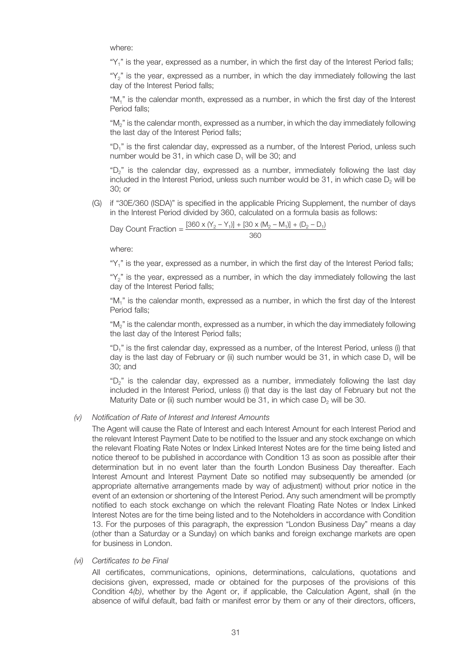where:

" $Y_1$ " is the year, expressed as a number, in which the first day of the Interest Period falls;

"Y2" is the year, expressed as a number, in which the day immediately following the last day of the Interest Period falls;

"M<sub>1</sub>" is the calendar month, expressed as a number, in which the first day of the Interest Period falls;

"M2" is the calendar month, expressed as a number, in which the day immediately following the last day of the Interest Period falls;

"D1" is the first calendar day, expressed as a number, of the Interest Period, unless such number would be  $31$ , in which case  $D_1$  will be  $30$ ; and

"D<sub>2</sub>" is the calendar day, expressed as a number, immediately following the last day included in the Interest Period, unless such number would be  $31$ , in which case  $D<sub>2</sub>$  will be 30; or

(G) if "30E/360 (ISDA)" is specified in the applicable Pricing Supplement, the number of days in the Interest Period divided by 360, calculated on a formula basis as follows:

Day Count Fraction =  $\frac{[360 \times (Y_2 - Y_1)] + [30 \times (M_2 - M_1)] + (D_2 - D_1)}{360}$ 

where:

"Y<sub>1</sub>" is the year, expressed as a number, in which the first day of the Interest Period falls;

" $Y_2$ " is the year, expressed as a number, in which the day immediately following the last day of the Interest Period falls;

"M1" is the calendar month, expressed as a number, in which the first day of the Interest Period falls;

"M2" is the calendar month, expressed as a number, in which the day immediately following the last day of the Interest Period falls;

"D1" is the first calendar day, expressed as a number, of the Interest Period, unless (i) that day is the last day of February or (ii) such number would be 31, in which case  $D_1$  will be 30; and

"D<sub>2</sub>" is the calendar day, expressed as a number, immediately following the last day included in the Interest Period, unless (i) that day is the last day of February but not the Maturity Date or (ii) such number would be 31, in which case  $D_2$  will be 30.

#### (v) Notification of Rate of Interest and Interest Amounts

The Agent will cause the Rate of Interest and each Interest Amount for each Interest Period and the relevant Interest Payment Date to be notified to the Issuer and any stock exchange on which the relevant Floating Rate Notes or Index Linked Interest Notes are for the time being listed and notice thereof to be published in accordance with Condition 13 as soon as possible after their determination but in no event later than the fourth London Business Day thereafter. Each Interest Amount and Interest Payment Date so notified may subsequently be amended (or appropriate alternative arrangements made by way of adjustment) without prior notice in the event of an extension or shortening of the Interest Period. Any such amendment will be promptly notified to each stock exchange on which the relevant Floating Rate Notes or Index Linked Interest Notes are for the time being listed and to the Noteholders in accordance with Condition 13. For the purposes of this paragraph, the expression "London Business Day" means a day (other than a Saturday or a Sunday) on which banks and foreign exchange markets are open for business in London.

(vi) Certificates to be Final

All certificates, communications, opinions, determinations, calculations, quotations and decisions given, expressed, made or obtained for the purposes of the provisions of this Condition 4(b), whether by the Agent or, if applicable, the Calculation Agent, shall (in the absence of wilful default, bad faith or manifest error by them or any of their directors, officers,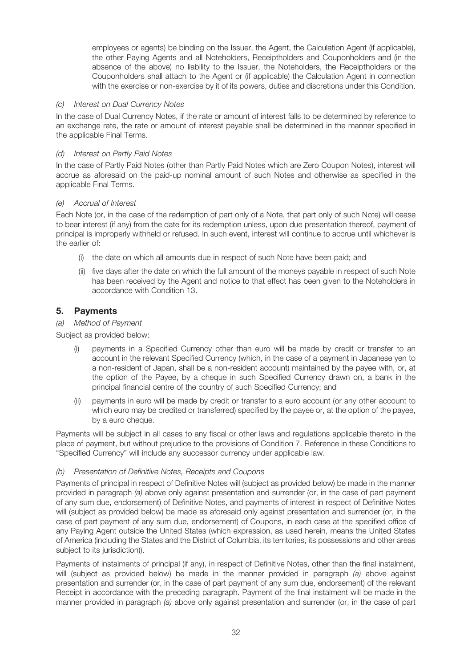employees or agents) be binding on the Issuer, the Agent, the Calculation Agent (if applicable), the other Paying Agents and all Noteholders, Receiptholders and Couponholders and (in the absence of the above) no liability to the Issuer, the Noteholders, the Receiptholders or the Couponholders shall attach to the Agent or (if applicable) the Calculation Agent in connection with the exercise or non-exercise by it of its powers, duties and discretions under this Condition.

## (c) Interest on Dual Currency Notes

In the case of Dual Currency Notes, if the rate or amount of interest falls to be determined by reference to an exchange rate, the rate or amount of interest payable shall be determined in the manner specified in the applicable Final Terms.

#### (d) Interest on Partly Paid Notes

In the case of Partly Paid Notes (other than Partly Paid Notes which are Zero Coupon Notes), interest will accrue as aforesaid on the paid-up nominal amount of such Notes and otherwise as specified in the applicable Final Terms.

#### (e) Accrual of Interest

Each Note (or, in the case of the redemption of part only of a Note, that part only of such Note) will cease to bear interest (if any) from the date for its redemption unless, upon due presentation thereof, payment of principal is improperly withheld or refused. In such event, interest will continue to accrue until whichever is the earlier of:

- (i) the date on which all amounts due in respect of such Note have been paid; and
- (ii) five days after the date on which the full amount of the moneys payable in respect of such Note has been received by the Agent and notice to that effect has been given to the Noteholders in accordance with Condition 13.

## 5. Payments

#### (a) Method of Payment

Subject as provided below:

- payments in a Specified Currency other than euro will be made by credit or transfer to an account in the relevant Specified Currency (which, in the case of a payment in Japanese yen to a non-resident of Japan, shall be a non-resident account) maintained by the payee with, or, at the option of the Payee, by a cheque in such Specified Currency drawn on, a bank in the principal financial centre of the country of such Specified Currency; and
- (ii) payments in euro will be made by credit or transfer to a euro account (or any other account to which euro may be credited or transferred) specified by the payee or, at the option of the payee, by a euro cheque.

Payments will be subject in all cases to any fiscal or other laws and regulations applicable thereto in the place of payment, but without prejudice to the provisions of Condition 7. Reference in these Conditions to "Specified Currency" will include any successor currency under applicable law.

## (b) Presentation of Definitive Notes, Receipts and Coupons

Payments of principal in respect of Definitive Notes will (subject as provided below) be made in the manner provided in paragraph (a) above only against presentation and surrender (or, in the case of part payment of any sum due, endorsement) of Definitive Notes, and payments of interest in respect of Definitive Notes will (subject as provided below) be made as aforesaid only against presentation and surrender (or, in the case of part payment of any sum due, endorsement) of Coupons, in each case at the specified office of any Paying Agent outside the United States (which expression, as used herein, means the United States of America (including the States and the District of Columbia, its territories, its possessions and other areas subject to its jurisdiction)).

Payments of instalments of principal (if any), in respect of Definitive Notes, other than the final instalment, will (subject as provided below) be made in the manner provided in paragraph (a) above against presentation and surrender (or, in the case of part payment of any sum due, endorsement) of the relevant Receipt in accordance with the preceding paragraph. Payment of the final instalment will be made in the manner provided in paragraph (a) above only against presentation and surrender (or, in the case of part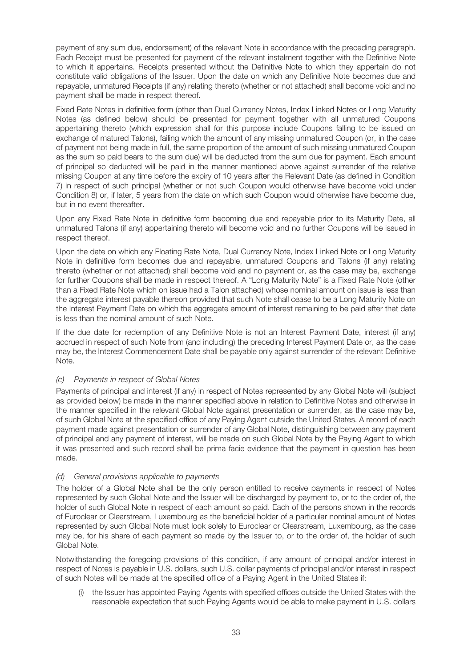payment of any sum due, endorsement) of the relevant Note in accordance with the preceding paragraph. Each Receipt must be presented for payment of the relevant instalment together with the Definitive Note to which it appertains. Receipts presented without the Definitive Note to which they appertain do not constitute valid obligations of the Issuer. Upon the date on which any Definitive Note becomes due and repayable, unmatured Receipts (if any) relating thereto (whether or not attached) shall become void and no payment shall be made in respect thereof.

Fixed Rate Notes in definitive form (other than Dual Currency Notes, Index Linked Notes or Long Maturity Notes (as defined below) should be presented for payment together with all unmatured Coupons appertaining thereto (which expression shall for this purpose include Coupons falling to be issued on exchange of matured Talons), failing which the amount of any missing unmatured Coupon (or, in the case of payment not being made in full, the same proportion of the amount of such missing unmatured Coupon as the sum so paid bears to the sum due) will be deducted from the sum due for payment. Each amount of principal so deducted will be paid in the manner mentioned above against surrender of the relative missing Coupon at any time before the expiry of 10 years after the Relevant Date (as defined in Condition 7) in respect of such principal (whether or not such Coupon would otherwise have become void under Condition 8) or, if later, 5 years from the date on which such Coupon would otherwise have become due, but in no event thereafter.

Upon any Fixed Rate Note in definitive form becoming due and repayable prior to its Maturity Date, all unmatured Talons (if any) appertaining thereto will become void and no further Coupons will be issued in respect thereof.

Upon the date on which any Floating Rate Note, Dual Currency Note, Index Linked Note or Long Maturity Note in definitive form becomes due and repayable, unmatured Coupons and Talons (if any) relating thereto (whether or not attached) shall become void and no payment or, as the case may be, exchange for further Coupons shall be made in respect thereof. A "Long Maturity Note" is a Fixed Rate Note (other than a Fixed Rate Note which on issue had a Talon attached) whose nominal amount on issue is less than the aggregate interest payable thereon provided that such Note shall cease to be a Long Maturity Note on the Interest Payment Date on which the aggregate amount of interest remaining to be paid after that date is less than the nominal amount of such Note.

If the due date for redemption of any Definitive Note is not an Interest Payment Date, interest (if any) accrued in respect of such Note from (and including) the preceding Interest Payment Date or, as the case may be, the Interest Commencement Date shall be payable only against surrender of the relevant Definitive Note.

## (c) Payments in respect of Global Notes

Payments of principal and interest (if any) in respect of Notes represented by any Global Note will (subject as provided below) be made in the manner specified above in relation to Definitive Notes and otherwise in the manner specified in the relevant Global Note against presentation or surrender, as the case may be, of such Global Note at the specified office of any Paying Agent outside the United States. A record of each payment made against presentation or surrender of any Global Note, distinguishing between any payment of principal and any payment of interest, will be made on such Global Note by the Paying Agent to which it was presented and such record shall be prima facie evidence that the payment in question has been made.

## (d) General provisions applicable to payments

The holder of a Global Note shall be the only person entitled to receive payments in respect of Notes represented by such Global Note and the Issuer will be discharged by payment to, or to the order of, the holder of such Global Note in respect of each amount so paid. Each of the persons shown in the records of Euroclear or Clearstream, Luxembourg as the beneficial holder of a particular nominal amount of Notes represented by such Global Note must look solely to Euroclear or Clearstream, Luxembourg, as the case may be, for his share of each payment so made by the Issuer to, or to the order of, the holder of such Global Note.

Notwithstanding the foregoing provisions of this condition, if any amount of principal and/or interest in respect of Notes is payable in U.S. dollars, such U.S. dollar payments of principal and/or interest in respect of such Notes will be made at the specified office of a Paying Agent in the United States if:

(i) the Issuer has appointed Paying Agents with specified offices outside the United States with the reasonable expectation that such Paying Agents would be able to make payment in U.S. dollars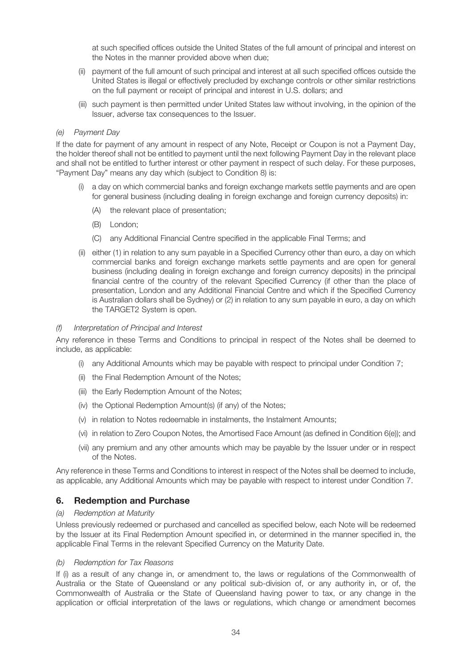at such specified offices outside the United States of the full amount of principal and interest on the Notes in the manner provided above when due;

- (ii) payment of the full amount of such principal and interest at all such specified offices outside the United States is illegal or effectively precluded by exchange controls or other similar restrictions on the full payment or receipt of principal and interest in U.S. dollars; and
- (iii) such payment is then permitted under United States law without involving, in the opinion of the Issuer, adverse tax consequences to the Issuer.

#### (e) Payment Day

If the date for payment of any amount in respect of any Note, Receipt or Coupon is not a Payment Day, the holder thereof shall not be entitled to payment until the next following Payment Day in the relevant place and shall not be entitled to further interest or other payment in respect of such delay. For these purposes, "Payment Day" means any day which (subject to Condition 8) is:

- a day on which commercial banks and foreign exchange markets settle payments and are open for general business (including dealing in foreign exchange and foreign currency deposits) in:
	- (A) the relevant place of presentation;
	- (B) London;
	- (C) any Additional Financial Centre specified in the applicable Final Terms; and
- (ii) either (1) in relation to any sum payable in a Specified Currency other than euro, a day on which commercial banks and foreign exchange markets settle payments and are open for general business (including dealing in foreign exchange and foreign currency deposits) in the principal financial centre of the country of the relevant Specified Currency (if other than the place of presentation, London and any Additional Financial Centre and which if the Specified Currency is Australian dollars shall be Sydney) or (2) in relation to any sum payable in euro, a day on which the TARGET2 System is open.

#### (f) Interpretation of Principal and Interest

Any reference in these Terms and Conditions to principal in respect of the Notes shall be deemed to include, as applicable:

- (i) any Additional Amounts which may be payable with respect to principal under Condition 7;
- (ii) the Final Redemption Amount of the Notes;
- (iii) the Early Redemption Amount of the Notes;
- (iv) the Optional Redemption Amount(s) (if any) of the Notes;
- (v) in relation to Notes redeemable in instalments, the Instalment Amounts;
- (vi) in relation to Zero Coupon Notes, the Amortised Face Amount (as defined in Condition 6(e)); and
- (vii) any premium and any other amounts which may be payable by the Issuer under or in respect of the Notes.

Any reference in these Terms and Conditions to interest in respect of the Notes shall be deemed to include, as applicable, any Additional Amounts which may be payable with respect to interest under Condition 7.

## 6. Redemption and Purchase

#### (a) Redemption at Maturity

Unless previously redeemed or purchased and cancelled as specified below, each Note will be redeemed by the Issuer at its Final Redemption Amount specified in, or determined in the manner specified in, the applicable Final Terms in the relevant Specified Currency on the Maturity Date.

#### (b) Redemption for Tax Reasons

If (i) as a result of any change in, or amendment to, the laws or regulations of the Commonwealth of Australia or the State of Queensland or any political sub-division of, or any authority in, or of, the Commonwealth of Australia or the State of Queensland having power to tax, or any change in the application or official interpretation of the laws or regulations, which change or amendment becomes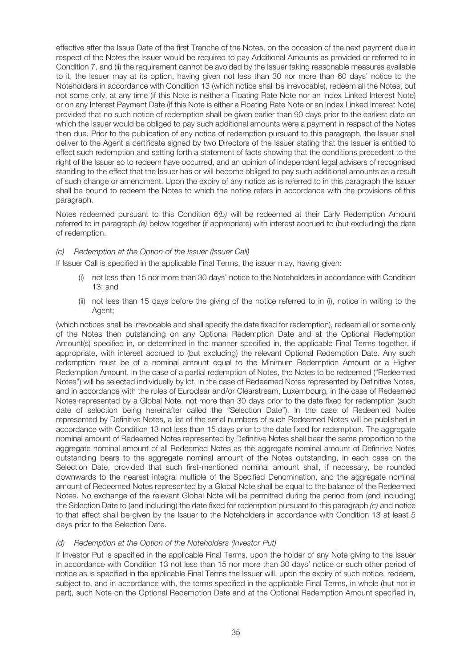effective after the Issue Date of the first Tranche of the Notes, on the occasion of the next payment due in respect of the Notes the Issuer would be required to pay Additional Amounts as provided or referred to in Condition 7, and (ii) the requirement cannot be avoided by the Issuer taking reasonable measures available to it, the Issuer may at its option, having given not less than 30 nor more than 60 days' notice to the Noteholders in accordance with Condition 13 (which notice shall be irrevocable), redeem all the Notes, but not some only, at any time (if this Note is neither a Floating Rate Note nor an Index Linked Interest Note) or on any Interest Payment Date (if this Note is either a Floating Rate Note or an Index Linked Interest Note) provided that no such notice of redemption shall be given earlier than 90 days prior to the earliest date on which the Issuer would be obliged to pay such additional amounts were a payment in respect of the Notes then due. Prior to the publication of any notice of redemption pursuant to this paragraph, the Issuer shall deliver to the Agent a certificate signed by two Directors of the Issuer stating that the Issuer is entitled to effect such redemption and setting forth a statement of facts showing that the conditions precedent to the right of the Issuer so to redeem have occurred, and an opinion of independent legal advisers of recognised standing to the effect that the Issuer has or will become obliged to pay such additional amounts as a result of such change or amendment. Upon the expiry of any notice as is referred to in this paragraph the Issuer shall be bound to redeem the Notes to which the notice refers in accordance with the provisions of this paragraph.

Notes redeemed pursuant to this Condition 6(b) will be redeemed at their Early Redemption Amount referred to in paragraph (e) below together (if appropriate) with interest accrued to (but excluding) the date of redemption.

## (c) Redemption at the Option of the Issuer (Issuer Call)

If Issuer Call is specified in the applicable Final Terms, the issuer may, having given:

- (i) not less than 15 nor more than 30 days' notice to the Noteholders in accordance with Condition 13; and
- (ii) not less than 15 days before the giving of the notice referred to in (i), notice in writing to the Agent;

(which notices shall be irrevocable and shall specify the date fixed for redemption), redeem all or some only of the Notes then outstanding on any Optional Redemption Date and at the Optional Redemption Amount(s) specified in, or determined in the manner specified in, the applicable Final Terms together, if appropriate, with interest accrued to (but excluding) the relevant Optional Redemption Date. Any such redemption must be of a nominal amount equal to the Minimum Redemption Amount or a Higher Redemption Amount. In the case of a partial redemption of Notes, the Notes to be redeemed ("Redeemed Notes") will be selected individually by lot, in the case of Redeemed Notes represented by Definitive Notes, and in accordance with the rules of Euroclear and/or Clearstream, Luxembourg, in the case of Redeemed Notes represented by a Global Note, not more than 30 days prior to the date fixed for redemption (such date of selection being hereinafter called the "Selection Date"). In the case of Redeemed Notes represented by Definitive Notes, a list of the serial numbers of such Redeemed Notes will be published in accordance with Condition 13 not less than 15 days prior to the date fixed for redemption. The aggregate nominal amount of Redeemed Notes represented by Definitive Notes shall bear the same proportion to the aggregate nominal amount of all Redeemed Notes as the aggregate nominal amount of Definitive Notes outstanding bears to the aggregate nominal amount of the Notes outstanding, in each case on the Selection Date, provided that such first-mentioned nominal amount shall, if necessary, be rounded downwards to the nearest integral multiple of the Specified Denomination, and the aggregate nominal amount of Redeemed Notes represented by a Global Note shall be equal to the balance of the Redeemed Notes. No exchange of the relevant Global Note will be permitted during the period from (and including) the Selection Date to (and including) the date fixed for redemption pursuant to this paragraph (c) and notice to that effect shall be given by the Issuer to the Noteholders in accordance with Condition 13 at least 5 days prior to the Selection Date.

## (d) Redemption at the Option of the Noteholders (Investor Put)

If Investor Put is specified in the applicable Final Terms, upon the holder of any Note giving to the Issuer in accordance with Condition 13 not less than 15 nor more than 30 days' notice or such other period of notice as is specified in the applicable Final Terms the Issuer will, upon the expiry of such notice, redeem, subject to, and in accordance with, the terms specified in the applicable Final Terms, in whole (but not in part), such Note on the Optional Redemption Date and at the Optional Redemption Amount specified in,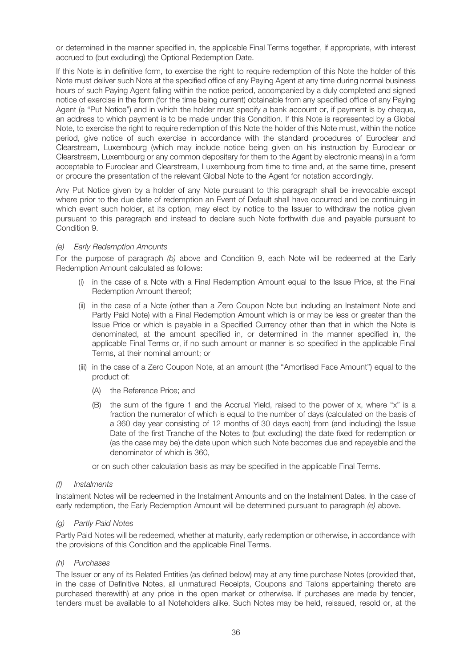or determined in the manner specified in, the applicable Final Terms together, if appropriate, with interest accrued to (but excluding) the Optional Redemption Date.

If this Note is in definitive form, to exercise the right to require redemption of this Note the holder of this Note must deliver such Note at the specified office of any Paying Agent at any time during normal business hours of such Paying Agent falling within the notice period, accompanied by a duly completed and signed notice of exercise in the form (for the time being current) obtainable from any specified office of any Paying Agent (a "Put Notice") and in which the holder must specify a bank account or, if payment is by cheque, an address to which payment is to be made under this Condition. If this Note is represented by a Global Note, to exercise the right to require redemption of this Note the holder of this Note must, within the notice period, give notice of such exercise in accordance with the standard procedures of Euroclear and Clearstream, Luxembourg (which may include notice being given on his instruction by Euroclear or Clearstream, Luxembourg or any common depositary for them to the Agent by electronic means) in a form acceptable to Euroclear and Clearstream, Luxembourg from time to time and, at the same time, present or procure the presentation of the relevant Global Note to the Agent for notation accordingly.

Any Put Notice given by a holder of any Note pursuant to this paragraph shall be irrevocable except where prior to the due date of redemption an Event of Default shall have occurred and be continuing in which event such holder, at its option, may elect by notice to the Issuer to withdraw the notice given pursuant to this paragraph and instead to declare such Note forthwith due and payable pursuant to Condition 9.

#### (e) Early Redemption Amounts

For the purpose of paragraph (b) above and Condition 9, each Note will be redeemed at the Early Redemption Amount calculated as follows:

- (i) in the case of a Note with a Final Redemption Amount equal to the Issue Price, at the Final Redemption Amount thereof;
- (ii) in the case of a Note (other than a Zero Coupon Note but including an Instalment Note and Partly Paid Note) with a Final Redemption Amount which is or may be less or greater than the Issue Price or which is payable in a Specified Currency other than that in which the Note is denominated, at the amount specified in, or determined in the manner specified in, the applicable Final Terms or, if no such amount or manner is so specified in the applicable Final Terms, at their nominal amount; or
- (iii) in the case of a Zero Coupon Note, at an amount (the "Amortised Face Amount") equal to the product of:
	- (A) the Reference Price; and
	- (B) the sum of the figure 1 and the Accrual Yield, raised to the power of x, where "x" is a fraction the numerator of which is equal to the number of days (calculated on the basis of a 360 day year consisting of 12 months of 30 days each) from (and including) the Issue Date of the first Tranche of the Notes to (but excluding) the date fixed for redemption or (as the case may be) the date upon which such Note becomes due and repayable and the denominator of which is 360,

or on such other calculation basis as may be specified in the applicable Final Terms.

#### (f) Instalments

Instalment Notes will be redeemed in the Instalment Amounts and on the Instalment Dates. In the case of early redemption, the Early Redemption Amount will be determined pursuant to paragraph (e) above.

#### (g) Partly Paid Notes

Partly Paid Notes will be redeemed, whether at maturity, early redemption or otherwise, in accordance with the provisions of this Condition and the applicable Final Terms.

#### (h) Purchases

The Issuer or any of its Related Entities (as defined below) may at any time purchase Notes (provided that, in the case of Definitive Notes, all unmatured Receipts, Coupons and Talons appertaining thereto are purchased therewith) at any price in the open market or otherwise. If purchases are made by tender, tenders must be available to all Noteholders alike. Such Notes may be held, reissued, resold or, at the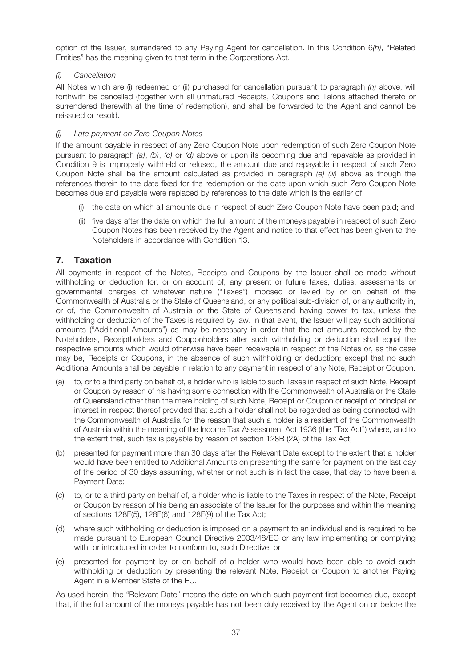option of the Issuer, surrendered to any Paying Agent for cancellation. In this Condition 6(h), "Related Entities" has the meaning given to that term in the Corporations Act.

### (i) Cancellation

All Notes which are (i) redeemed or (ii) purchased for cancellation pursuant to paragraph  $(h)$  above, will forthwith be cancelled (together with all unmatured Receipts, Coupons and Talons attached thereto or surrendered therewith at the time of redemption), and shall be forwarded to the Agent and cannot be reissued or resold.

### Late payment on Zero Coupon Notes

If the amount payable in respect of any Zero Coupon Note upon redemption of such Zero Coupon Note pursuant to paragraph (a), (b), (c) or (d) above or upon its becoming due and repayable as provided in Condition 9 is improperly withheld or refused, the amount due and repayable in respect of such Zero Coupon Note shall be the amount calculated as provided in paragraph (e) (iii) above as though the references therein to the date fixed for the redemption or the date upon which such Zero Coupon Note becomes due and payable were replaced by references to the date which is the earlier of:

- (i) the date on which all amounts due in respect of such Zero Coupon Note have been paid; and
- (ii) five days after the date on which the full amount of the moneys payable in respect of such Zero Coupon Notes has been received by the Agent and notice to that effect has been given to the Noteholders in accordance with Condition 13.

# 7. Taxation

All payments in respect of the Notes, Receipts and Coupons by the Issuer shall be made without withholding or deduction for, or on account of, any present or future taxes, duties, assessments or governmental charges of whatever nature ("Taxes") imposed or levied by or on behalf of the Commonwealth of Australia or the State of Queensland, or any political sub-division of, or any authority in, or of, the Commonwealth of Australia or the State of Queensland having power to tax, unless the withholding or deduction of the Taxes is required by law. In that event, the Issuer will pay such additional amounts ("Additional Amounts") as may be necessary in order that the net amounts received by the Noteholders, Receiptholders and Couponholders after such withholding or deduction shall equal the respective amounts which would otherwise have been receivable in respect of the Notes or, as the case may be, Receipts or Coupons, in the absence of such withholding or deduction; except that no such Additional Amounts shall be payable in relation to any payment in respect of any Note, Receipt or Coupon:

- (a) to, or to a third party on behalf of, a holder who is liable to such Taxes in respect of such Note, Receipt or Coupon by reason of his having some connection with the Commonwealth of Australia or the State of Queensland other than the mere holding of such Note, Receipt or Coupon or receipt of principal or interest in respect thereof provided that such a holder shall not be regarded as being connected with the Commonwealth of Australia for the reason that such a holder is a resident of the Commonwealth of Australia within the meaning of the Income Tax Assessment Act 1936 (the "Tax Act") where, and to the extent that, such tax is payable by reason of section 128B (2A) of the Tax Act;
- (b) presented for payment more than 30 days after the Relevant Date except to the extent that a holder would have been entitled to Additional Amounts on presenting the same for payment on the last day of the period of 30 days assuming, whether or not such is in fact the case, that day to have been a Payment Date;
- (c) to, or to a third party on behalf of, a holder who is liable to the Taxes in respect of the Note, Receipt or Coupon by reason of his being an associate of the Issuer for the purposes and within the meaning of sections 128F(5), 128F(6) and 128F(9) of the Tax Act;
- (d) where such withholding or deduction is imposed on a payment to an individual and is required to be made pursuant to European Council Directive 2003/48/EC or any law implementing or complying with, or introduced in order to conform to, such Directive; or
- (e) presented for payment by or on behalf of a holder who would have been able to avoid such withholding or deduction by presenting the relevant Note, Receipt or Coupon to another Paying Agent in a Member State of the EU.

As used herein, the "Relevant Date" means the date on which such payment first becomes due, except that, if the full amount of the moneys payable has not been duly received by the Agent on or before the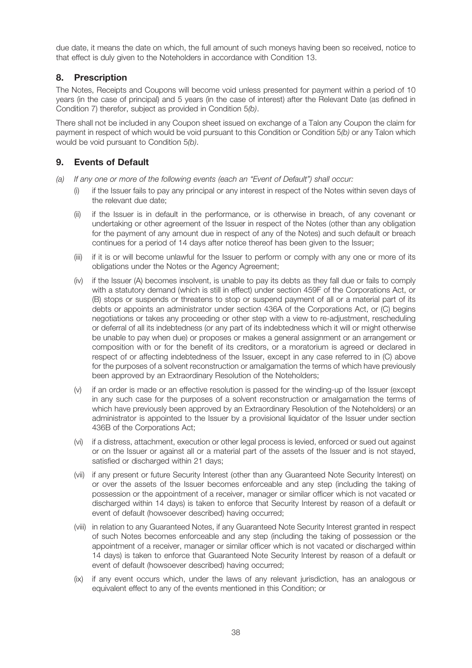due date, it means the date on which, the full amount of such moneys having been so received, notice to that effect is duly given to the Noteholders in accordance with Condition 13.

# 8. Prescription

The Notes, Receipts and Coupons will become void unless presented for payment within a period of 10 years (in the case of principal) and 5 years (in the case of interest) after the Relevant Date (as defined in Condition 7) therefor, subject as provided in Condition 5(b).

There shall not be included in any Coupon sheet issued on exchange of a Talon any Coupon the claim for payment in respect of which would be void pursuant to this Condition or Condition 5(b) or any Talon which would be void pursuant to Condition 5(b).

# 9. Events of Default

- (a) If any one or more of the following events (each an "Event of Default") shall occur:
	- (i) if the Issuer fails to pay any principal or any interest in respect of the Notes within seven days of the relevant due date;
	- (ii) if the Issuer is in default in the performance, or is otherwise in breach, of any covenant or undertaking or other agreement of the Issuer in respect of the Notes (other than any obligation for the payment of any amount due in respect of any of the Notes) and such default or breach continues for a period of 14 days after notice thereof has been given to the Issuer;
	- (iii) if it is or will become unlawful for the Issuer to perform or comply with any one or more of its obligations under the Notes or the Agency Agreement;
	- (iv) if the Issuer (A) becomes insolvent, is unable to pay its debts as they fall due or fails to comply with a statutory demand (which is still in effect) under section 459F of the Corporations Act, or (B) stops or suspends or threatens to stop or suspend payment of all or a material part of its debts or appoints an administrator under section 436A of the Corporations Act, or (C) begins negotiations or takes any proceeding or other step with a view to re-adjustment, rescheduling or deferral of all its indebtedness (or any part of its indebtedness which it will or might otherwise be unable to pay when due) or proposes or makes a general assignment or an arrangement or composition with or for the benefit of its creditors, or a moratorium is agreed or declared in respect of or affecting indebtedness of the Issuer, except in any case referred to in (C) above for the purposes of a solvent reconstruction or amalgamation the terms of which have previously been approved by an Extraordinary Resolution of the Noteholders;
	- (v) if an order is made or an effective resolution is passed for the winding-up of the Issuer (except in any such case for the purposes of a solvent reconstruction or amalgamation the terms of which have previously been approved by an Extraordinary Resolution of the Noteholders) or an administrator is appointed to the Issuer by a provisional liquidator of the Issuer under section 436B of the Corporations Act;
	- (vi) if a distress, attachment, execution or other legal process is levied, enforced or sued out against or on the Issuer or against all or a material part of the assets of the Issuer and is not stayed, satisfied or discharged within 21 days;
	- (vii) if any present or future Security Interest (other than any Guaranteed Note Security Interest) on or over the assets of the Issuer becomes enforceable and any step (including the taking of possession or the appointment of a receiver, manager or similar officer which is not vacated or discharged within 14 days) is taken to enforce that Security Interest by reason of a default or event of default (howsoever described) having occurred;
	- (viii) in relation to any Guaranteed Notes, if any Guaranteed Note Security Interest granted in respect of such Notes becomes enforceable and any step (including the taking of possession or the appointment of a receiver, manager or similar officer which is not vacated or discharged within 14 days) is taken to enforce that Guaranteed Note Security Interest by reason of a default or event of default (howsoever described) having occurred;
	- (ix) if any event occurs which, under the laws of any relevant jurisdiction, has an analogous or equivalent effect to any of the events mentioned in this Condition; or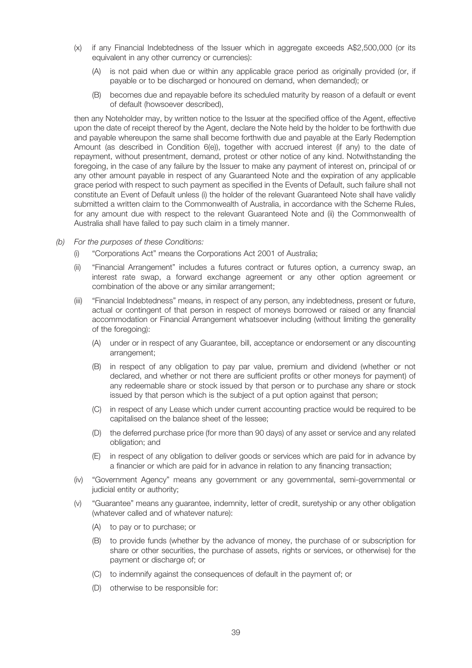- (x) if any Financial Indebtedness of the Issuer which in aggregate exceeds A\$2,500,000 (or its equivalent in any other currency or currencies):
	- (A) is not paid when due or within any applicable grace period as originally provided (or, if payable or to be discharged or honoured on demand, when demanded); or
	- (B) becomes due and repayable before its scheduled maturity by reason of a default or event of default (howsoever described),

then any Noteholder may, by written notice to the Issuer at the specified office of the Agent, effective upon the date of receipt thereof by the Agent, declare the Note held by the holder to be forthwith due and payable whereupon the same shall become forthwith due and payable at the Early Redemption Amount (as described in Condition 6(e)), together with accrued interest (if any) to the date of repayment, without presentment, demand, protest or other notice of any kind. Notwithstanding the foregoing, in the case of any failure by the Issuer to make any payment of interest on, principal of or any other amount payable in respect of any Guaranteed Note and the expiration of any applicable grace period with respect to such payment as specified in the Events of Default, such failure shall not constitute an Event of Default unless (i) the holder of the relevant Guaranteed Note shall have validly submitted a written claim to the Commonwealth of Australia, in accordance with the Scheme Rules, for any amount due with respect to the relevant Guaranteed Note and (ii) the Commonwealth of Australia shall have failed to pay such claim in a timely manner.

- (b) For the purposes of these Conditions:
	- (i) "Corporations Act" means the Corporations Act 2001 of Australia;
	- (ii) "Financial Arrangement" includes a futures contract or futures option, a currency swap, an interest rate swap, a forward exchange agreement or any other option agreement or combination of the above or any similar arrangement;
	- (iii) "Financial Indebtedness" means, in respect of any person, any indebtedness, present or future, actual or contingent of that person in respect of moneys borrowed or raised or any financial accommodation or Financial Arrangement whatsoever including (without limiting the generality of the foregoing):
		- (A) under or in respect of any Guarantee, bill, acceptance or endorsement or any discounting arrangement;
		- (B) in respect of any obligation to pay par value, premium and dividend (whether or not declared, and whether or not there are sufficient profits or other moneys for payment) of any redeemable share or stock issued by that person or to purchase any share or stock issued by that person which is the subject of a put option against that person;
		- (C) in respect of any Lease which under current accounting practice would be required to be capitalised on the balance sheet of the lessee;
		- (D) the deferred purchase price (for more than 90 days) of any asset or service and any related obligation; and
		- (E) in respect of any obligation to deliver goods or services which are paid for in advance by a financier or which are paid for in advance in relation to any financing transaction;
	- (iv) "Government Agency" means any government or any governmental, semi-governmental or judicial entity or authority;
	- (v) "Guarantee" means any guarantee, indemnity, letter of credit, suretyship or any other obligation (whatever called and of whatever nature):
		- (A) to pay or to purchase; or
		- (B) to provide funds (whether by the advance of money, the purchase of or subscription for share or other securities, the purchase of assets, rights or services, or otherwise) for the payment or discharge of; or
		- (C) to indemnify against the consequences of default in the payment of; or
		- (D) otherwise to be responsible for: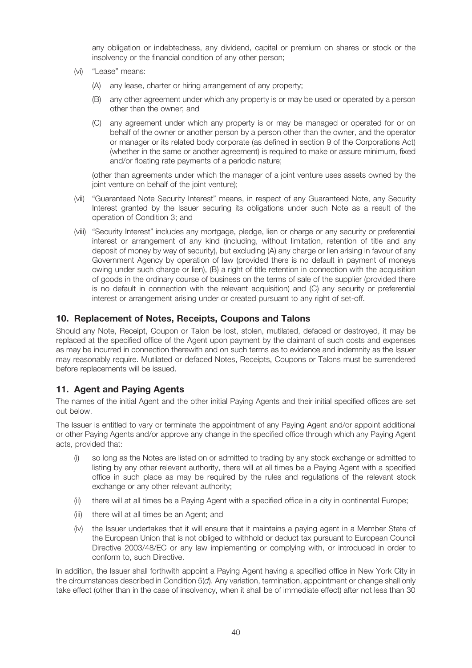any obligation or indebtedness, any dividend, capital or premium on shares or stock or the insolvency or the financial condition of any other person;

- (vi) "Lease" means:
	- (A) any lease, charter or hiring arrangement of any property;
	- (B) any other agreement under which any property is or may be used or operated by a person other than the owner; and
	- (C) any agreement under which any property is or may be managed or operated for or on behalf of the owner or another person by a person other than the owner, and the operator or manager or its related body corporate (as defined in section 9 of the Corporations Act) (whether in the same or another agreement) is required to make or assure minimum, fixed and/or floating rate payments of a periodic nature;

(other than agreements under which the manager of a joint venture uses assets owned by the joint venture on behalf of the joint venture);

- (vii) "Guaranteed Note Security Interest" means, in respect of any Guaranteed Note, any Security Interest granted by the Issuer securing its obligations under such Note as a result of the operation of Condition 3; and
- (viii) "Security Interest" includes any mortgage, pledge, lien or charge or any security or preferential interest or arrangement of any kind (including, without limitation, retention of title and any deposit of money by way of security), but excluding (A) any charge or lien arising in favour of any Government Agency by operation of law (provided there is no default in payment of moneys owing under such charge or lien), (B) a right of title retention in connection with the acquisition of goods in the ordinary course of business on the terms of sale of the supplier (provided there is no default in connection with the relevant acquisition) and (C) any security or preferential interest or arrangement arising under or created pursuant to any right of set-off.

# 10. Replacement of Notes, Receipts, Coupons and Talons

Should any Note, Receipt, Coupon or Talon be lost, stolen, mutilated, defaced or destroyed, it may be replaced at the specified office of the Agent upon payment by the claimant of such costs and expenses as may be incurred in connection therewith and on such terms as to evidence and indemnity as the Issuer may reasonably require. Mutilated or defaced Notes, Receipts, Coupons or Talons must be surrendered before replacements will be issued.

# 11. Agent and Paying Agents

The names of the initial Agent and the other initial Paying Agents and their initial specified offices are set out below.

The Issuer is entitled to vary or terminate the appointment of any Paying Agent and/or appoint additional or other Paying Agents and/or approve any change in the specified office through which any Paying Agent acts, provided that:

- (i) so long as the Notes are listed on or admitted to trading by any stock exchange or admitted to listing by any other relevant authority, there will at all times be a Paying Agent with a specified office in such place as may be required by the rules and regulations of the relevant stock exchange or any other relevant authority;
- (ii) there will at all times be a Paying Agent with a specified office in a city in continental Europe;
- (iii) there will at all times be an Agent; and
- (iv) the Issuer undertakes that it will ensure that it maintains a paying agent in a Member State of the European Union that is not obliged to withhold or deduct tax pursuant to European Council Directive 2003/48/EC or any law implementing or complying with, or introduced in order to conform to, such Directive.

In addition, the Issuer shall forthwith appoint a Paying Agent having a specified office in New York City in the circumstances described in Condition 5(d). Any variation, termination, appointment or change shall only take effect (other than in the case of insolvency, when it shall be of immediate effect) after not less than 30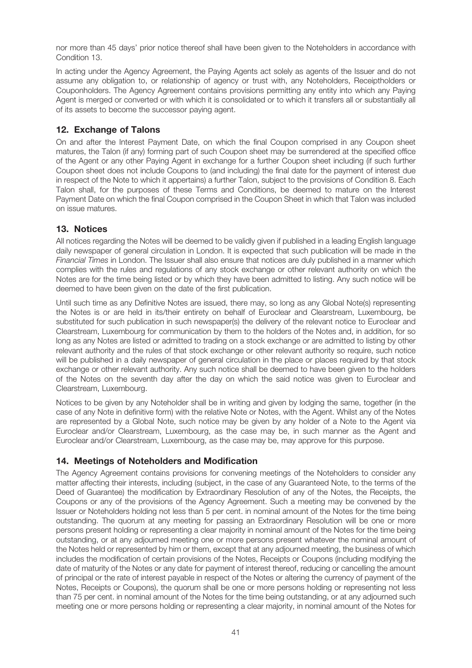nor more than 45 days' prior notice thereof shall have been given to the Noteholders in accordance with Condition 13.

In acting under the Agency Agreement, the Paying Agents act solely as agents of the Issuer and do not assume any obligation to, or relationship of agency or trust with, any Noteholders, Receiptholders or Couponholders. The Agency Agreement contains provisions permitting any entity into which any Paying Agent is merged or converted or with which it is consolidated or to which it transfers all or substantially all of its assets to become the successor paying agent.

# 12. Exchange of Talons

On and after the Interest Payment Date, on which the final Coupon comprised in any Coupon sheet matures, the Talon (if any) forming part of such Coupon sheet may be surrendered at the specified office of the Agent or any other Paying Agent in exchange for a further Coupon sheet including (if such further Coupon sheet does not include Coupons to (and including) the final date for the payment of interest due in respect of the Note to which it appertains) a further Talon, subject to the provisions of Condition 8. Each Talon shall, for the purposes of these Terms and Conditions, be deemed to mature on the Interest Payment Date on which the final Coupon comprised in the Coupon Sheet in which that Talon was included on issue matures.

# 13. Notices

All notices regarding the Notes will be deemed to be validly given if published in a leading English language daily newspaper of general circulation in London. It is expected that such publication will be made in the Financial Times in London. The Issuer shall also ensure that notices are duly published in a manner which complies with the rules and regulations of any stock exchange or other relevant authority on which the Notes are for the time being listed or by which they have been admitted to listing. Any such notice will be deemed to have been given on the date of the first publication.

Until such time as any Definitive Notes are issued, there may, so long as any Global Note(s) representing the Notes is or are held in its/their entirety on behalf of Euroclear and Clearstream, Luxembourg, be substituted for such publication in such newspaper(s) the delivery of the relevant notice to Euroclear and Clearstream, Luxembourg for communication by them to the holders of the Notes and, in addition, for so long as any Notes are listed or admitted to trading on a stock exchange or are admitted to listing by other relevant authority and the rules of that stock exchange or other relevant authority so require, such notice will be published in a daily newspaper of general circulation in the place or places required by that stock exchange or other relevant authority. Any such notice shall be deemed to have been given to the holders of the Notes on the seventh day after the day on which the said notice was given to Euroclear and Clearstream, Luxembourg.

Notices to be given by any Noteholder shall be in writing and given by lodging the same, together (in the case of any Note in definitive form) with the relative Note or Notes, with the Agent. Whilst any of the Notes are represented by a Global Note, such notice may be given by any holder of a Note to the Agent via Euroclear and/or Clearstream, Luxembourg, as the case may be, in such manner as the Agent and Euroclear and/or Clearstream, Luxembourg, as the case may be, may approve for this purpose.

# 14. Meetings of Noteholders and Modification

The Agency Agreement contains provisions for convening meetings of the Noteholders to consider any matter affecting their interests, including (subject, in the case of any Guaranteed Note, to the terms of the Deed of Guarantee) the modification by Extraordinary Resolution of any of the Notes, the Receipts, the Coupons or any of the provisions of the Agency Agreement. Such a meeting may be convened by the Issuer or Noteholders holding not less than 5 per cent. in nominal amount of the Notes for the time being outstanding. The quorum at any meeting for passing an Extraordinary Resolution will be one or more persons present holding or representing a clear majority in nominal amount of the Notes for the time being outstanding, or at any adjourned meeting one or more persons present whatever the nominal amount of the Notes held or represented by him or them, except that at any adjourned meeting, the business of which includes the modification of certain provisions of the Notes, Receipts or Coupons (including modifying the date of maturity of the Notes or any date for payment of interest thereof, reducing or cancelling the amount of principal or the rate of interest payable in respect of the Notes or altering the currency of payment of the Notes, Receipts or Coupons), the quorum shall be one or more persons holding or representing not less than 75 per cent. in nominal amount of the Notes for the time being outstanding, or at any adjourned such meeting one or more persons holding or representing a clear majority, in nominal amount of the Notes for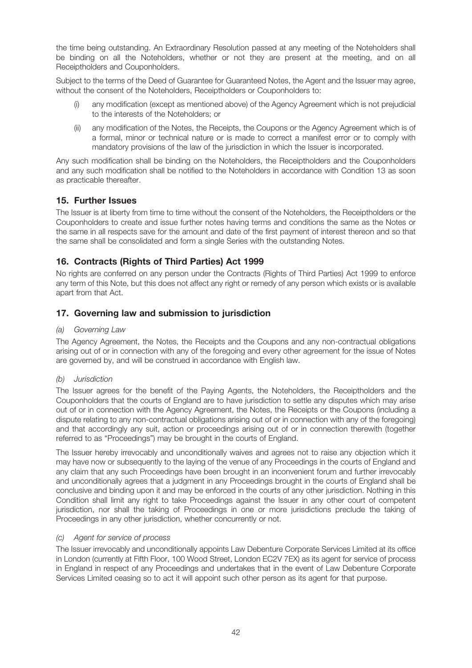the time being outstanding. An Extraordinary Resolution passed at any meeting of the Noteholders shall be binding on all the Noteholders, whether or not they are present at the meeting, and on all Receiptholders and Couponholders.

Subject to the terms of the Deed of Guarantee for Guaranteed Notes, the Agent and the Issuer may agree, without the consent of the Noteholders, Receiptholders or Couponholders to:

- any modification (except as mentioned above) of the Agency Agreement which is not prejudicial to the interests of the Noteholders; or
- (ii) any modification of the Notes, the Receipts, the Coupons or the Agency Agreement which is of a formal, minor or technical nature or is made to correct a manifest error or to comply with mandatory provisions of the law of the jurisdiction in which the Issuer is incorporated.

Any such modification shall be binding on the Noteholders, the Receiptholders and the Couponholders and any such modification shall be notified to the Noteholders in accordance with Condition 13 as soon as practicable thereafter.

# 15. Further Issues

The Issuer is at liberty from time to time without the consent of the Noteholders, the Receiptholders or the Couponholders to create and issue further notes having terms and conditions the same as the Notes or the same in all respects save for the amount and date of the first payment of interest thereon and so that the same shall be consolidated and form a single Series with the outstanding Notes.

# 16. Contracts (Rights of Third Parties) Act 1999

No rights are conferred on any person under the Contracts (Rights of Third Parties) Act 1999 to enforce any term of this Note, but this does not affect any right or remedy of any person which exists or is available apart from that Act.

# 17. Governing law and submission to jurisdiction

#### (a) Governing Law

The Agency Agreement, the Notes, the Receipts and the Coupons and any non-contractual obligations arising out of or in connection with any of the foregoing and every other agreement for the issue of Notes are governed by, and will be construed in accordance with English law.

#### (b) Jurisdiction

The Issuer agrees for the benefit of the Paying Agents, the Noteholders, the Receiptholders and the Couponholders that the courts of England are to have jurisdiction to settle any disputes which may arise out of or in connection with the Agency Agreement, the Notes, the Receipts or the Coupons (including a dispute relating to any non-contractual obligations arising out of or in connection with any of the foregoing) and that accordingly any suit, action or proceedings arising out of or in connection therewith (together referred to as "Proceedings") may be brought in the courts of England.

The Issuer hereby irrevocably and unconditionally waives and agrees not to raise any objection which it may have now or subsequently to the laying of the venue of any Proceedings in the courts of England and any claim that any such Proceedings have been brought in an inconvenient forum and further irrevocably and unconditionally agrees that a judgment in any Proceedings brought in the courts of England shall be conclusive and binding upon it and may be enforced in the courts of any other jurisdiction. Nothing in this Condition shall limit any right to take Proceedings against the Issuer in any other court of competent jurisdiction, nor shall the taking of Proceedings in one or more jurisdictions preclude the taking of Proceedings in any other jurisdiction, whether concurrently or not.

#### (c) Agent for service of process

The Issuer irrevocably and unconditionally appoints Law Debenture Corporate Services Limited at its office in London (currently at Fifth Floor, 100 Wood Street, London EC2V 7EX) as its agent for service of process in England in respect of any Proceedings and undertakes that in the event of Law Debenture Corporate Services Limited ceasing so to act it will appoint such other person as its agent for that purpose.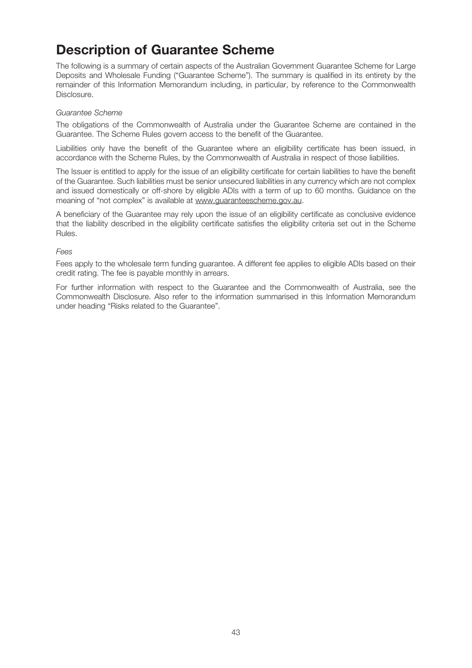# Description of Guarantee Scheme

The following is a summary of certain aspects of the Australian Government Guarantee Scheme for Large Deposits and Wholesale Funding ("Guarantee Scheme"). The summary is qualified in its entirety by the remainder of this Information Memorandum including, in particular, by reference to the Commonwealth Disclosure.

#### Guarantee Scheme

The obligations of the Commonwealth of Australia under the Guarantee Scheme are contained in the Guarantee. The Scheme Rules govern access to the benefit of the Guarantee.

Liabilities only have the benefit of the Guarantee where an eligibility certificate has been issued, in accordance with the Scheme Rules, by the Commonwealth of Australia in respect of those liabilities.

The Issuer is entitled to apply for the issue of an eligibility certificate for certain liabilities to have the benefit of the Guarantee. Such liabilities must be senior unsecured liabilities in any currency which are not complex and issued domestically or off-shore by eligible ADIs with a term of up to 60 months. Guidance on the meaning of "not complex" is available at www.guaranteescheme.gov.au.

A beneficiary of the Guarantee may rely upon the issue of an eligibility certificate as conclusive evidence that the liability described in the eligibility certificate satisfies the eligibility criteria set out in the Scheme Rules.

#### Fees

Fees apply to the wholesale term funding guarantee. A different fee applies to eligible ADIs based on their credit rating. The fee is payable monthly in arrears.

For further information with respect to the Guarantee and the Commonwealth of Australia, see the Commonwealth Disclosure. Also refer to the information summarised in this Information Memorandum under heading "Risks related to the Guarantee".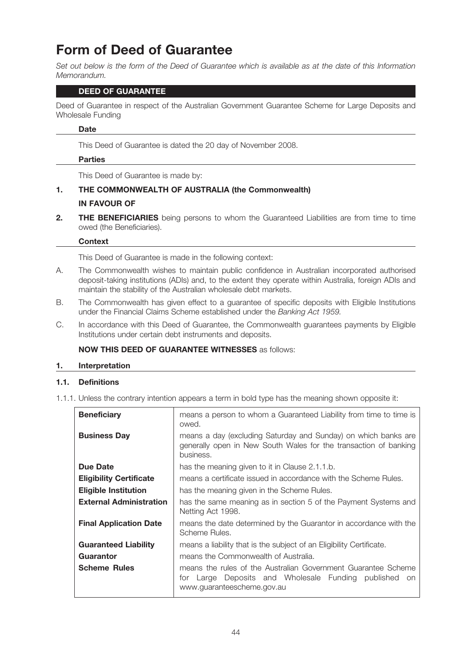# Form of Deed of Guarantee

Set out below is the form of the Deed of Guarantee which is available as at the date of this Information Memorandum.

#### DEED OF GUARANTEE

Deed of Guarantee in respect of the Australian Government Guarantee Scheme for Large Deposits and Wholesale Funding

#### **Date**

This Deed of Guarantee is dated the 20 day of November 2008.

#### Parties

This Deed of Guarantee is made by:

# 1. THE COMMONWEALTH OF AUSTRALIA (the Commonwealth) IN FAVOUR OF

2. THE BENEFICIARIES being persons to whom the Guaranteed Liabilities are from time to time owed (the Beneficiaries).

#### **Context**

This Deed of Guarantee is made in the following context:

- A. The Commonwealth wishes to maintain public confidence in Australian incorporated authorised deposit-taking institutions (ADIs) and, to the extent they operate within Australia, foreign ADIs and maintain the stability of the Australian wholesale debt markets.
- B. The Commonwealth has given effect to a guarantee of specific deposits with Eligible Institutions under the Financial Claims Scheme established under the Banking Act 1959.
- C. In accordance with this Deed of Guarantee, the Commonwealth guarantees payments by Eligible Institutions under certain debt instruments and deposits.

# NOW THIS DEED OF GUARANTEE WITNESSES as follows:

#### 1. Interpretation

#### 1.1. Definitions

1.1.1. Unless the contrary intention appears a term in bold type has the meaning shown opposite it:

| <b>Beneficiary</b>             | means a person to whom a Guaranteed Liability from time to time is<br>owed.                                                                              |  |  |
|--------------------------------|----------------------------------------------------------------------------------------------------------------------------------------------------------|--|--|
| <b>Business Day</b>            | means a day (excluding Saturday and Sunday) on which banks are<br>generally open in New South Wales for the transaction of banking<br>business.          |  |  |
| Due Date                       | has the meaning given to it in Clause 2.1.1.b.                                                                                                           |  |  |
| <b>Eligibility Certificate</b> | means a certificate issued in accordance with the Scheme Rules.                                                                                          |  |  |
| <b>Eligible Institution</b>    | has the meaning given in the Scheme Rules.                                                                                                               |  |  |
| <b>External Administration</b> | has the same meaning as in section 5 of the Payment Systems and<br>Netting Act 1998.                                                                     |  |  |
| <b>Final Application Date</b>  | means the date determined by the Guarantor in accordance with the<br>Scheme Rules.                                                                       |  |  |
| <b>Guaranteed Liability</b>    | means a liability that is the subject of an Eligibility Certificate.                                                                                     |  |  |
| Guarantor                      | means the Commonwealth of Australia.                                                                                                                     |  |  |
| <b>Scheme Rules</b>            | means the rules of the Australian Government Guarantee Scheme<br>for Large Deposits and Wholesale Funding published<br>.on<br>www.guaranteescheme.gov.au |  |  |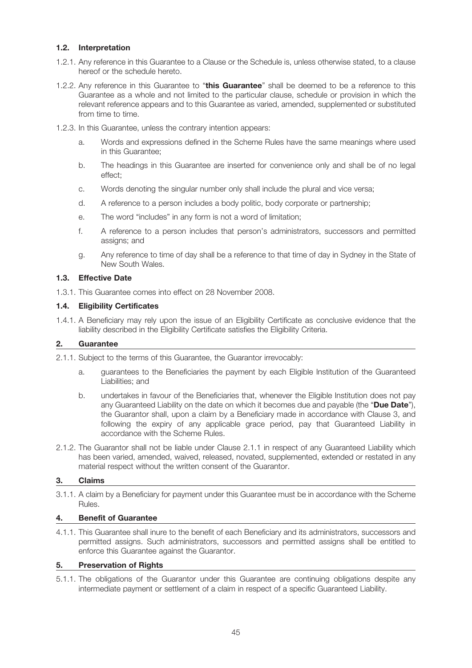### 1.2. Interpretation

- 1.2.1. Any reference in this Guarantee to a Clause or the Schedule is, unless otherwise stated, to a clause hereof or the schedule hereto.
- 1.2.2. Any reference in this Guarantee to "this Guarantee" shall be deemed to be a reference to this Guarantee as a whole and not limited to the particular clause, schedule or provision in which the relevant reference appears and to this Guarantee as varied, amended, supplemented or substituted from time to time.
- 1.2.3. In this Guarantee, unless the contrary intention appears:
	- a. Words and expressions defined in the Scheme Rules have the same meanings where used in this Guarantee;
	- b. The headings in this Guarantee are inserted for convenience only and shall be of no legal effect;
	- c. Words denoting the singular number only shall include the plural and vice versa;
	- d. A reference to a person includes a body politic, body corporate or partnership;
	- e. The word "includes" in any form is not a word of limitation;
	- f. A reference to a person includes that person's administrators, successors and permitted assigns; and
	- g. Any reference to time of day shall be a reference to that time of day in Sydney in the State of New South Wales.

# 1.3. Effective Date

1.3.1. This Guarantee comes into effect on 28 November 2008.

#### 1.4. Eligibility Certificates

1.4.1. A Beneficiary may rely upon the issue of an Eligibility Certificate as conclusive evidence that the liability described in the Eligibility Certificate satisfies the Eligibility Criteria.

#### 2. Guarantee

- 2.1.1. Subject to the terms of this Guarantee, the Guarantor irrevocably:
	- a. guarantees to the Beneficiaries the payment by each Eligible Institution of the Guaranteed Liabilities; and
	- b. undertakes in favour of the Beneficiaries that, whenever the Eligible Institution does not pay any Guaranteed Liability on the date on which it becomes due and payable (the "Due Date"). the Guarantor shall, upon a claim by a Beneficiary made in accordance with Clause 3, and following the expiry of any applicable grace period, pay that Guaranteed Liability in accordance with the Scheme Rules.
- 2.1.2. The Guarantor shall not be liable under Clause 2.1.1 in respect of any Guaranteed Liability which has been varied, amended, waived, released, novated, supplemented, extended or restated in any material respect without the written consent of the Guarantor.

#### 3. Claims

3.1.1. A claim by a Beneficiary for payment under this Guarantee must be in accordance with the Scheme Rules.

#### 4. Benefit of Guarantee

4.1.1. This Guarantee shall inure to the benefit of each Beneficiary and its administrators, successors and permitted assigns. Such administrators, successors and permitted assigns shall be entitled to enforce this Guarantee against the Guarantor.

#### 5. Preservation of Rights

5.1.1. The obligations of the Guarantor under this Guarantee are continuing obligations despite any intermediate payment or settlement of a claim in respect of a specific Guaranteed Liability.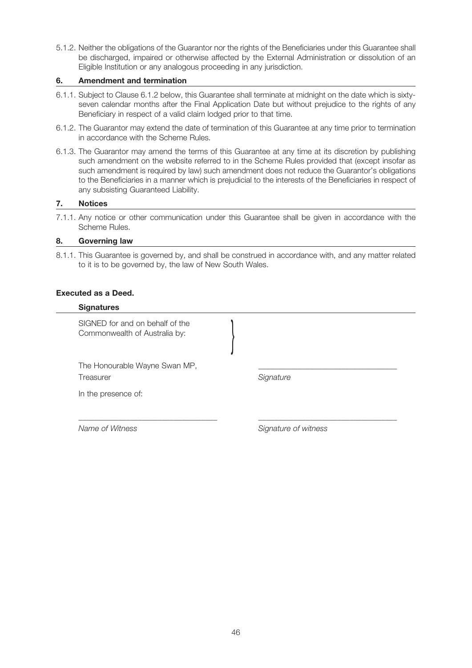5.1.2. Neither the obligations of the Guarantor nor the rights of the Beneficiaries under this Guarantee shall be discharged, impaired or otherwise affected by the External Administration or dissolution of an Eligible Institution or any analogous proceeding in any jurisdiction.

#### 6. Amendment and termination

- 6.1.1. Subject to Clause 6.1.2 below, this Guarantee shall terminate at midnight on the date which is sixtyseven calendar months after the Final Application Date but without prejudice to the rights of any Beneficiary in respect of a valid claim lodged prior to that time.
- 6.1.2. The Guarantor may extend the date of termination of this Guarantee at any time prior to termination in accordance with the Scheme Rules.
- 6.1.3. The Guarantor may amend the terms of this Guarantee at any time at its discretion by publishing such amendment on the website referred to in the Scheme Rules provided that (except insofar as such amendment is required by law) such amendment does not reduce the Guarantor's obligations to the Beneficiaries in a manner which is prejudicial to the interests of the Beneficiaries in respect of any subsisting Guaranteed Liability.

#### 7. Notices

7.1.1. Any notice or other communication under this Guarantee shall be given in accordance with the Scheme Rules.

#### 8. Governing law

8.1.1. This Guarantee is governed by, and shall be construed in accordance with, and any matter related to it is to be governed by, the law of New South Wales.

\_\_\_\_\_\_\_\_\_\_\_\_\_\_\_\_\_\_\_\_\_\_\_\_\_\_\_\_\_\_\_\_\_\_\_ \_\_\_\_\_\_\_\_\_\_\_\_\_\_\_\_\_\_\_\_\_\_\_\_\_\_\_\_\_\_\_\_\_\_\_

#### Executed as a Deed.

#### **Signatures**

SIGNED for and on behalf of the Commonwealth of Australia by: }

The Honourable Wayne Swan MP, Treasurer **Signature** Signature

In the presence of:

Name of Witness Signature of witness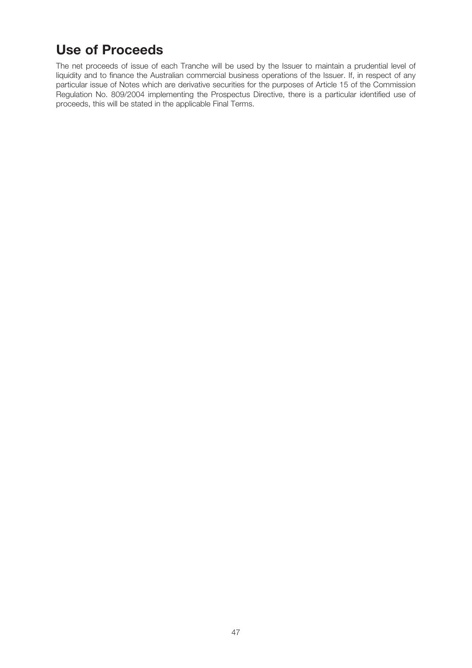# Use of Proceeds

The net proceeds of issue of each Tranche will be used by the Issuer to maintain a prudential level of liquidity and to finance the Australian commercial business operations of the Issuer. If, in respect of any particular issue of Notes which are derivative securities for the purposes of Article 15 of the Commission Regulation No. 809/2004 implementing the Prospectus Directive, there is a particular identified use of proceeds, this will be stated in the applicable Final Terms.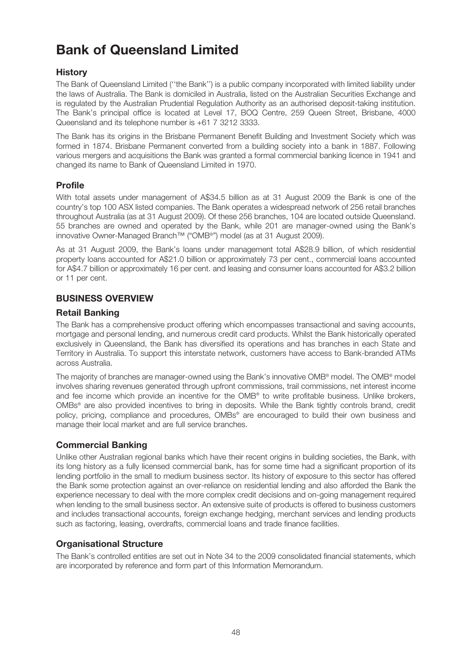# Bank of Queensland Limited

# **History**

The Bank of Queensland Limited (''the Bank'') is a public company incorporated with limited liability under the laws of Australia. The Bank is domiciled in Australia, listed on the Australian Securities Exchange and is regulated by the Australian Prudential Regulation Authority as an authorised deposit-taking institution. The Bank's principal office is located at Level 17, BOQ Centre, 259 Queen Street, Brisbane, 4000 Queensland and its telephone number is +61 7 3212 3333.

The Bank has its origins in the Brisbane Permanent Benefit Building and Investment Society which was formed in 1874. Brisbane Permanent converted from a building society into a bank in 1887. Following various mergers and acquisitions the Bank was granted a formal commercial banking licence in 1941 and changed its name to Bank of Queensland Limited in 1970.

# Profile

With total assets under management of A\$34.5 billion as at 31 August 2009 the Bank is one of the country's top 100 ASX listed companies. The Bank operates a widespread network of 256 retail branches throughout Australia (as at 31 August 2009). Of these 256 branches, 104 are located outside Queensland. 55 branches are owned and operated by the Bank, while 201 are manager-owned using the Bank's innovative Owner-Managed Branch™ ("OMB®") model (as at 31 August 2009).

As at 31 August 2009, the Bank's loans under management total A\$28.9 billion, of which residential property loans accounted for A\$21.0 billion or approximately 73 per cent., commercial loans accounted for A\$4.7 billion or approximately 16 per cent. and leasing and consumer loans accounted for A\$3.2 billion or 11 per cent.

# BUSINESS OVERVIEW

# Retail Banking

The Bank has a comprehensive product offering which encompasses transactional and saving accounts, mortgage and personal lending, and numerous credit card products. Whilst the Bank historically operated exclusively in Queensland, the Bank has diversified its operations and has branches in each State and Territory in Australia. To support this interstate network, customers have access to Bank-branded ATMs across Australia.

The majority of branches are manager-owned using the Bank's innovative OMB® model. The OMB® model involves sharing revenues generated through upfront commissions, trail commissions, net interest income and fee income which provide an incentive for the OMB® to write profitable business. Unlike brokers, OMBs® are also provided incentives to bring in deposits. While the Bank tightly controls brand, credit policy, pricing, compliance and procedures, OMBs® are encouraged to build their own business and manage their local market and are full service branches.

# Commercial Banking

Unlike other Australian regional banks which have their recent origins in building societies, the Bank, with its long history as a fully licensed commercial bank, has for some time had a significant proportion of its lending portfolio in the small to medium business sector. Its history of exposure to this sector has offered the Bank some protection against an over-reliance on residential lending and also afforded the Bank the experience necessary to deal with the more complex credit decisions and on-going management required when lending to the small business sector. An extensive suite of products is offered to business customers and includes transactional accounts, foreign exchange hedging, merchant services and lending products such as factoring, leasing, overdrafts, commercial loans and trade finance facilities.

# Organisational Structure

The Bank's controlled entities are set out in Note 34 to the 2009 consolidated financial statements, which are incorporated by reference and form part of this Information Memorandum.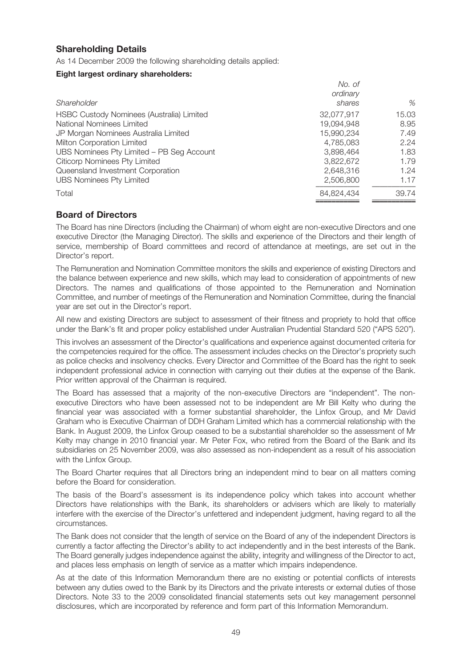# Shareholding Details

As 14 December 2009 the following shareholding details applied:

#### Eight largest ordinary shareholders:

| Shareholder                               | No. of<br>ordinary<br>shares | %     |
|-------------------------------------------|------------------------------|-------|
| HSBC Custody Nominees (Australia) Limited | 32,077,917                   | 15.03 |
| National Nominees Limited                 | 19.094.948                   | 8.95  |
| JP Morgan Nominees Australia Limited      | 15,990,234                   | 7.49  |
| Milton Corporation Limited                | 4.785.083                    | 2.24  |
| UBS Nominees Pty Limited - PB Seg Account | 3.898.464                    | 1.83  |
| Citicorp Nominees Pty Limited             | 3,822,672                    | 1.79  |
| Queensland Investment Corporation         | 2,648,316                    | 1.24  |
| <b>UBS Nominees Pty Limited</b>           | 2,506,800                    | 1.17  |
| Total                                     | 84,824,434                   | 39.74 |
|                                           |                              |       |

# Board of Directors

The Board has nine Directors (including the Chairman) of whom eight are non-executive Directors and one executive Director (the Managing Director). The skills and experience of the Directors and their length of service, membership of Board committees and record of attendance at meetings, are set out in the Director's report.

The Remuneration and Nomination Committee monitors the skills and experience of existing Directors and the balance between experience and new skills, which may lead to consideration of appointments of new Directors. The names and qualifications of those appointed to the Remuneration and Nomination Committee, and number of meetings of the Remuneration and Nomination Committee, during the financial year are set out in the Director's report.

All new and existing Directors are subject to assessment of their fitness and propriety to hold that office under the Bank's fit and proper policy established under Australian Prudential Standard 520 ("APS 520").

This involves an assessment of the Director's qualifications and experience against documented criteria for the competencies required for the office. The assessment includes checks on the Director's propriety such as police checks and insolvency checks. Every Director and Committee of the Board has the right to seek independent professional advice in connection with carrying out their duties at the expense of the Bank. Prior written approval of the Chairman is required.

The Board has assessed that a majority of the non-executive Directors are "independent". The nonexecutive Directors who have been assessed not to be independent are Mr Bill Kelty who during the financial year was associated with a former substantial shareholder, the Linfox Group, and Mr David Graham who is Executive Chairman of DDH Graham Limited which has a commercial relationship with the Bank. In August 2009, the Linfox Group ceased to be a substantial shareholder so the assessment of Mr Kelty may change in 2010 financial year. Mr Peter Fox, who retired from the Board of the Bank and its subsidiaries on 25 November 2009, was also assessed as non-independent as a result of his association with the Linfox Group.

The Board Charter requires that all Directors bring an independent mind to bear on all matters coming before the Board for consideration.

The basis of the Board's assessment is its independence policy which takes into account whether Directors have relationships with the Bank, its shareholders or advisers which are likely to materially interfere with the exercise of the Director's unfettered and independent judgment, having regard to all the circumstances.

The Bank does not consider that the length of service on the Board of any of the independent Directors is currently a factor affecting the Director's ability to act independently and in the best interests of the Bank. The Board generally judges independence against the ability, integrity and willingness of the Director to act, and places less emphasis on length of service as a matter which impairs independence.

As at the date of this Information Memorandum there are no existing or potential conflicts of interests between any duties owed to the Bank by its Directors and the private interests or external duties of those Directors. Note 33 to the 2009 consolidated financial statements sets out key management personnel disclosures, which are incorporated by reference and form part of this Information Memorandum.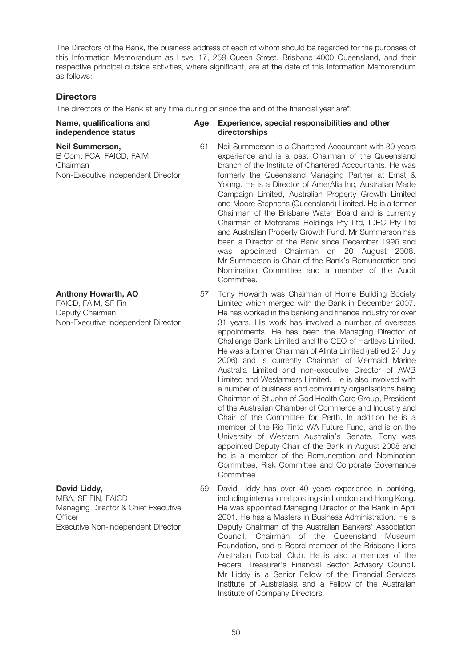The Directors of the Bank, the business address of each of whom should be regarded for the purposes of this Information Memorandum as Level 17, 259 Queen Street, Brisbane 4000 Queensland, and their respective principal outside activities, where significant, are at the date of this Information Memorandum as follows:

# **Directors**

The directors of the Bank at any time during or since the end of the financial year are\*:

#### Name, qualifications and Age Experience, special responsibilities and other independence status directorships

#### Neil Summerson,

B Com, FCA, FAICD, FAIM Chairman Non-Executive Independent Director

#### Anthony Howarth, AO

FAICD, FAIM, SF Fin Deputy Chairman Non-Executive Independent Director

# David Liddy,

MBA, SF FIN, FAICD Managing Director & Chief Executive **Officer** Executive Non-Independent Director

- 61 Neil Summerson is a Chartered Accountant with 39 years experience and is a past Chairman of the Queensland branch of the Institute of Chartered Accountants. He was
	- formerly the Queensland Managing Partner at Ernst & Young. He is a Director of AmerAlia Inc, Australian Made Campaign Limited, Australian Property Growth Limited and Moore Stephens (Queensland) Limited. He is a former Chairman of the Brisbane Water Board and is currently Chairman of Motorama Holdings Pty Ltd, IDEC Pty Ltd and Australian Property Growth Fund. Mr Summerson has been a Director of the Bank since December 1996 and was appointed Chairman on 20 August 2008. Mr Summerson is Chair of the Bank's Remuneration and Nomination Committee and a member of the Audit Committee.
- 57 Tony Howarth was Chairman of Home Building Society Limited which merged with the Bank in December 2007. He has worked in the banking and finance industry for over 31 years. His work has involved a number of overseas appointments. He has been the Managing Director of Challenge Bank Limited and the CEO of Hartleys Limited. He was a former Chairman of Alinta Limited (retired 24 July 2006) and is currently Chairman of Mermaid Marine Australia Limited and non-executive Director of AWB Limited and Wesfarmers Limited. He is also involved with a number of business and community organisations being Chairman of St John of God Health Care Group, President of the Australian Chamber of Commerce and Industry and Chair of the Committee for Perth. In addition he is a member of the Rio Tinto WA Future Fund, and is on the University of Western Australia's Senate. Tony was appointed Deputy Chair of the Bank in August 2008 and he is a member of the Remuneration and Nomination Committee, Risk Committee and Corporate Governance Committee.
- 59 David Liddy has over 40 years experience in banking, including international postings in London and Hong Kong. He was appointed Managing Director of the Bank in April 2001. He has a Masters in Business Administration. He is Deputy Chairman of the Australian Bankers' Association Council, Chairman of the Queensland Museum Foundation, and a Board member of the Brisbane Lions Australian Football Club. He is also a member of the Federal Treasurer's Financial Sector Advisory Council. Mr Liddy is a Senior Fellow of the Financial Services Institute of Australasia and a Fellow of the Australian Institute of Company Directors.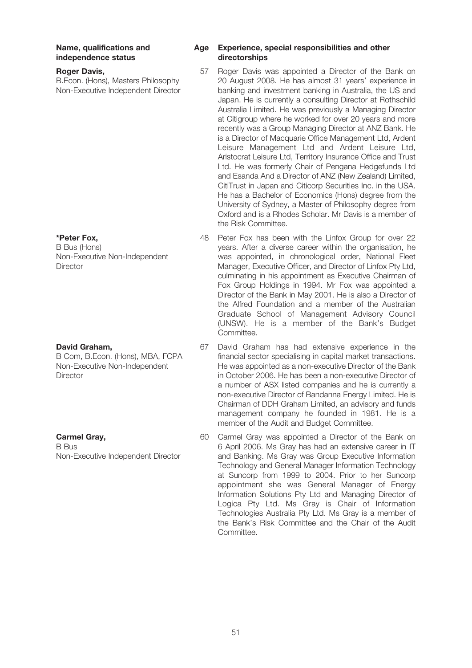# independence status directorships

#### Roger Davis,

B.Econ. (Hons), Masters Philosophy Non-Executive Independent Director

#### \*Peter Fox,

B Bus (Hons) Non-Executive Non-Independent **Director** 

#### David Graham,

B Com, B.Econ. (Hons), MBA, FCPA Non-Executive Non-Independent **Director** 

#### Carmel Gray,

B Bus Non-Executive Independent Director

# Name, qualifications and Age Experience, special responsibilities and other

- 57 Roger Davis was appointed a Director of the Bank on 20 August 2008. He has almost 31 years' experience in banking and investment banking in Australia, the US and Japan. He is currently a consulting Director at Rothschild Australia Limited. He was previously a Managing Director at Citigroup where he worked for over 20 years and more recently was a Group Managing Director at ANZ Bank. He is a Director of Macquarie Office Management Ltd, Ardent Leisure Management Ltd and Ardent Leisure Ltd, Aristocrat Leisure Ltd, Territory Insurance Office and Trust Ltd. He was formerly Chair of Pengana Hedgefunds Ltd and Esanda And a Director of ANZ (New Zealand) Limited, CitiTrust in Japan and Citicorp Securities Inc. in the USA. He has a Bachelor of Economics (Hons) degree from the University of Sydney, a Master of Philosophy degree from Oxford and is a Rhodes Scholar. Mr Davis is a member of the Risk Committee.
- 48 Peter Fox has been with the Linfox Group for over 22 years. After a diverse career within the organisation, he was appointed, in chronological order, National Fleet Manager, Executive Officer, and Director of Linfox Pty Ltd, culminating in his appointment as Executive Chairman of Fox Group Holdings in 1994. Mr Fox was appointed a Director of the Bank in May 2001. He is also a Director of the Alfred Foundation and a member of the Australian Graduate School of Management Advisory Council (UNSW). He is a member of the Bank's Budget Committee.
- 67 David Graham has had extensive experience in the financial sector specialising in capital market transactions. He was appointed as a non-executive Director of the Bank in October 2006. He has been a non-executive Director of a number of ASX listed companies and he is currently a non-executive Director of Bandanna Energy Limited. He is Chairman of DDH Graham Limited, an advisory and funds management company he founded in 1981. He is a member of the Audit and Budget Committee.
- 60 Carmel Gray was appointed a Director of the Bank on 6 April 2006. Ms Gray has had an extensive career in IT and Banking. Ms Gray was Group Executive Information Technology and General Manager Information Technology at Suncorp from 1999 to 2004. Prior to her Suncorp appointment she was General Manager of Energy Information Solutions Pty Ltd and Managing Director of Logica Pty Ltd. Ms Gray is Chair of Information Technologies Australia Pty Ltd. Ms Gray is a member of the Bank's Risk Committee and the Chair of the Audit Committee.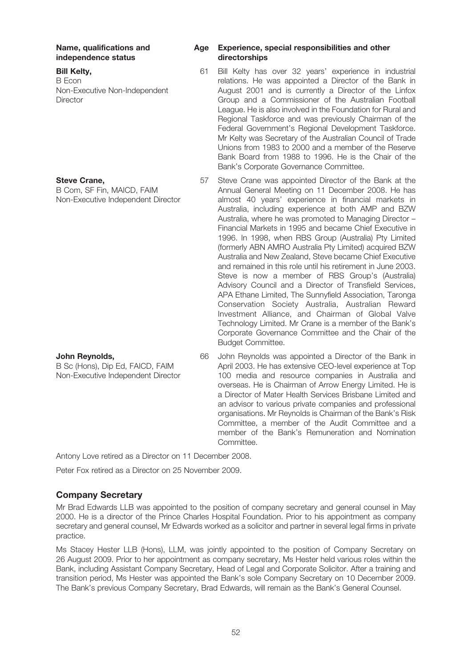independence status directorships

#### Bill Kelty,

B Econ Non-Executive Non-Independent **Director** 

#### Steve Crane,

B Com, SF Fin, MAICD, FAIM Non-Executive Independent Director

#### John Reynolds,

B Sc (Hons), Dip Ed, FAICD, FAIM Non-Executive Independent Director

# Name, qualifications and Age Experience, special responsibilities and other

- 61 Bill Kelty has over 32 years' experience in industrial relations. He was appointed a Director of the Bank in August 2001 and is currently a Director of the Linfox Group and a Commissioner of the Australian Football League. He is also involved in the Foundation for Rural and Regional Taskforce and was previously Chairman of the Federal Government's Regional Development Taskforce. Mr Kelty was Secretary of the Australian Council of Trade Unions from 1983 to 2000 and a member of the Reserve Bank Board from 1988 to 1996. He is the Chair of the Bank's Corporate Governance Committee.
- 57 Steve Crane was appointed Director of the Bank at the Annual General Meeting on 11 December 2008. He has almost 40 years' experience in financial markets in Australia, including experience at both AMP and BZW Australia, where he was promoted to Managing Director – Financial Markets in 1995 and became Chief Executive in 1996. In 1998, when RBS Group (Australia) Pty Limited (formerly ABN AMRO Australia Pty Limited) acquired BZW Australia and New Zealand, Steve became Chief Executive and remained in this role until his retirement in June 2003. Steve is now a member of RBS Group's (Australia) Advisory Council and a Director of Transfield Services, APA Ethane Limited, The Sunnyfield Association, Taronga Conservation Society Australia, Australian Reward Investment Alliance, and Chairman of Global Valve Technology Limited. Mr Crane is a member of the Bank's Corporate Governance Committee and the Chair of the Budget Committee.
- 66 John Reynolds was appointed a Director of the Bank in April 2003. He has extensive CEO-level experience at Top 100 media and resource companies in Australia and overseas. He is Chairman of Arrow Energy Limited. He is a Director of Mater Health Services Brisbane Limited and an advisor to various private companies and professional organisations. Mr Reynolds is Chairman of the Bank's Risk Committee, a member of the Audit Committee and a member of the Bank's Remuneration and Nomination Committee.

Antony Love retired as a Director on 11 December 2008.

Peter Fox retired as a Director on 25 November 2009.

# Company Secretary

Mr Brad Edwards LLB was appointed to the position of company secretary and general counsel in May 2000. He is a director of the Prince Charles Hospital Foundation. Prior to his appointment as company secretary and general counsel, Mr Edwards worked as a solicitor and partner in several legal firms in private practice.

Ms Stacey Hester LLB (Hons), LLM, was jointly appointed to the position of Company Secretary on 26 August 2009. Prior to her appointment as company secretary, Ms Hester held various roles within the Bank, including Assistant Company Secretary, Head of Legal and Corporate Solicitor. After a training and transition period, Ms Hester was appointed the Bank's sole Company Secretary on 10 December 2009. The Bank's previous Company Secretary, Brad Edwards, will remain as the Bank's General Counsel.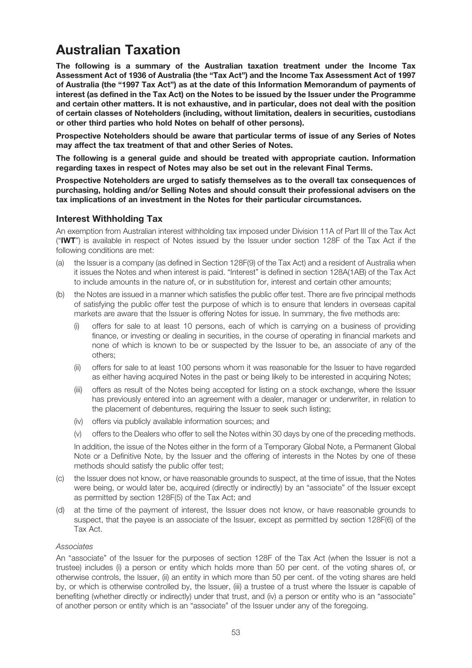# Australian Taxation

The following is a summary of the Australian taxation treatment under the Income Tax Assessment Act of 1936 of Australia (the "Tax Act") and the Income Tax Assessment Act of 1997 of Australia (the "1997 Tax Act") as at the date of this Information Memorandum of payments of interest (as defined in the Tax Act) on the Notes to be issued by the Issuer under the Programme and certain other matters. It is not exhaustive, and in particular, does not deal with the position of certain classes of Noteholders (including, without limitation, dealers in securities, custodians or other third parties who hold Notes on behalf of other persons).

Prospective Noteholders should be aware that particular terms of issue of any Series of Notes may affect the tax treatment of that and other Series of Notes.

The following is a general guide and should be treated with appropriate caution. Information regarding taxes in respect of Notes may also be set out in the relevant Final Terms.

Prospective Noteholders are urged to satisfy themselves as to the overall tax consequences of purchasing, holding and/or Selling Notes and should consult their professional advisers on the tax implications of an investment in the Notes for their particular circumstances.

# Interest Withholding Tax

An exemption from Australian interest withholding tax imposed under Division 11A of Part III of the Tax Act ("IWT") is available in respect of Notes issued by the Issuer under section 128F of the Tax Act if the following conditions are met:

- (a) the Issuer is a company (as defined in Section 128F(9) of the Tax Act) and a resident of Australia when it issues the Notes and when interest is paid. "Interest" is defined in section 128A(1AB) of the Tax Act to include amounts in the nature of, or in substitution for, interest and certain other amounts;
- (b) the Notes are issued in a manner which satisfies the public offer test. There are five principal methods of satisfying the public offer test the purpose of which is to ensure that lenders in overseas capital markets are aware that the Issuer is offering Notes for issue. In summary, the five methods are:
	- (i) offers for sale to at least 10 persons, each of which is carrying on a business of providing finance, or investing or dealing in securities, in the course of operating in financial markets and none of which is known to be or suspected by the Issuer to be, an associate of any of the others;
	- (ii) offers for sale to at least 100 persons whom it was reasonable for the Issuer to have regarded as either having acquired Notes in the past or being likely to be interested in acquiring Notes;
	- (iii) offers as result of the Notes being accepted for listing on a stock exchange, where the Issuer has previously entered into an agreement with a dealer, manager or underwriter, in relation to the placement of debentures, requiring the Issuer to seek such listing;
	- (iv) offers via publicly available information sources; and
	- (v) offers to the Dealers who offer to sell the Notes within 30 days by one of the preceding methods.

In addition, the issue of the Notes either in the form of a Temporary Global Note, a Permanent Global Note or a Definitive Note, by the Issuer and the offering of interests in the Notes by one of these methods should satisfy the public offer test;

- (c) the Issuer does not know, or have reasonable grounds to suspect, at the time of issue, that the Notes were being, or would later be, acquired (directly or indirectly) by an "associate" of the Issuer except as permitted by section 128F(5) of the Tax Act; and
- (d) at the time of the payment of interest, the Issuer does not know, or have reasonable grounds to suspect, that the payee is an associate of the Issuer, except as permitted by section 128F(6) of the Tax Act.

#### Associates

An "associate" of the Issuer for the purposes of section 128F of the Tax Act (when the Issuer is not a trustee) includes (i) a person or entity which holds more than 50 per cent. of the voting shares of, or otherwise controls, the Issuer, (ii) an entity in which more than 50 per cent. of the voting shares are held by, or which is otherwise controlled by, the Issuer, (iii) a trustee of a trust where the Issuer is capable of benefiting (whether directly or indirectly) under that trust, and (iv) a person or entity who is an "associate" of another person or entity which is an "associate" of the Issuer under any of the foregoing.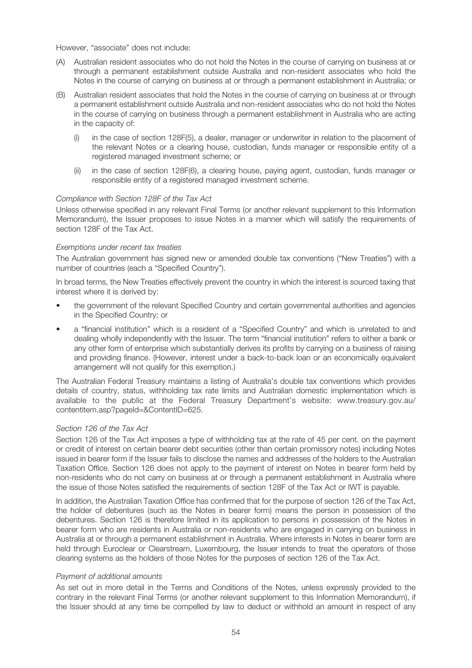However, "associate" does not include:

- (A) Australian resident associates who do not hold the Notes in the course of carrying on business at or through a permanent establishment outside Australia and non-resident associates who hold the Notes in the course of carrying on business at or through a permanent establishment in Australia; or
- (B) Australian resident associates that hold the Notes in the course of carrying on business at or through a permanent establishment outside Australia and non-resident associates who do not hold the Notes in the course of carrying on business through a permanent establishment in Australia who are acting in the capacity of:
	- (i) in the case of section 128F(5), a dealer, manager or underwriter in relation to the placement of the relevant Notes or a clearing house, custodian, funds manager or responsible entity of a registered managed investment scheme; or
	- (ii) in the case of section 128F(6), a clearing house, paying agent, custodian, funds manager or responsible entity of a registered managed investment scheme.

#### Compliance with Section 128F of the Tax Act

Unless otherwise specified in any relevant Final Terms (or another relevant supplement to this Information Memorandum), the Issuer proposes to issue Notes in a manner which will satisfy the requirements of section 128F of the Tax Act.

#### Exemptions under recent tax treaties

The Australian government has signed new or amended double tax conventions ("New Treaties") with a number of countries (each a "Specified Country").

In broad terms, the New Treaties effectively prevent the country in which the interest is sourced taxing that interest where it is derived by:

- the government of the relevant Specified Country and certain governmental authorities and agencies in the Specified Country; or
- a "financial institution" which is a resident of a "Specified Country" and which is unrelated to and dealing wholly independently with the Issuer. The term "financial institution" refers to either a bank or any other form of enterprise which substantially derives its profits by carrying on a business of raising and providing finance. (However, interest under a back-to-back loan or an economically equivalent arrangement will not qualify for this exemption.)

The Australian Federal Treasury maintains a listing of Australia's double tax conventions which provides details of country, status, withholding tax rate limits and Australian domestic implementation which is available to the public at the Federal Treasury Department's website: www.treasury.gov.au/ contentitem.asp?pageId=&ContentID=625.

#### Section 126 of the Tax Act

Section 126 of the Tax Act imposes a type of withholding tax at the rate of 45 per cent. on the payment or credit of interest on certain bearer debt securities (other than certain promissory notes) including Notes issued in bearer form if the Issuer fails to disclose the names and addresses of the holders to the Australian Taxation Office. Section 126 does not apply to the payment of interest on Notes in bearer form held by non-residents who do not carry on business at or through a permanent establishment in Australia where the issue of those Notes satisfied the requirements of section 128F of the Tax Act or IWT is payable.

In addition, the Australian Taxation Office has confirmed that for the purpose of section 126 of the Tax Act, the holder of debentures (such as the Notes in bearer form) means the person in possession of the debentures. Section 126 is therefore limited in its application to persons in possession of the Notes in bearer form who are residents in Australia or non-residents who are engaged in carrying on business in Australia at or through a permanent establishment in Australia. Where interests in Notes in bearer form are held through Euroclear or Clearstream, Luxembourg, the Issuer intends to treat the operators of those clearing systems as the holders of those Notes for the purposes of section 126 of the Tax Act.

#### Payment of additional amounts

As set out in more detail in the Terms and Conditions of the Notes, unless expressly provided to the contrary in the relevant Final Terms (or another relevant supplement to this Information Memorandum), if the Issuer should at any time be compelled by law to deduct or withhold an amount in respect of any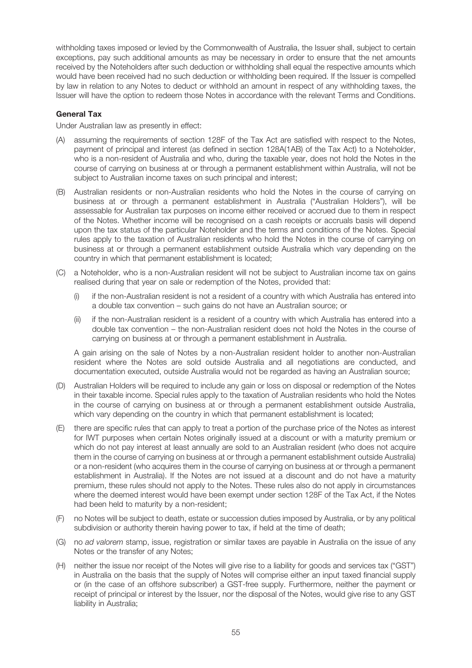withholding taxes imposed or levied by the Commonwealth of Australia, the Issuer shall, subject to certain exceptions, pay such additional amounts as may be necessary in order to ensure that the net amounts received by the Noteholders after such deduction or withholding shall equal the respective amounts which would have been received had no such deduction or withholding been required. If the Issuer is compelled by law in relation to any Notes to deduct or withhold an amount in respect of any withholding taxes, the Issuer will have the option to redeem those Notes in accordance with the relevant Terms and Conditions.

#### General Tax

Under Australian law as presently in effect:

- (A) assuming the requirements of section 128F of the Tax Act are satisfied with respect to the Notes, payment of principal and interest (as defined in section 128A(1AB) of the Tax Act) to a Noteholder, who is a non-resident of Australia and who, during the taxable year, does not hold the Notes in the course of carrying on business at or through a permanent establishment within Australia, will not be subject to Australian income taxes on such principal and interest;
- (B) Australian residents or non-Australian residents who hold the Notes in the course of carrying on business at or through a permanent establishment in Australia ("Australian Holders"), will be assessable for Australian tax purposes on income either received or accrued due to them in respect of the Notes. Whether income will be recognised on a cash receipts or accruals basis will depend upon the tax status of the particular Noteholder and the terms and conditions of the Notes. Special rules apply to the taxation of Australian residents who hold the Notes in the course of carrying on business at or through a permanent establishment outside Australia which vary depending on the country in which that permanent establishment is located;
- (C) a Noteholder, who is a non-Australian resident will not be subject to Australian income tax on gains realised during that year on sale or redemption of the Notes, provided that:
	- (i) if the non-Australian resident is not a resident of a country with which Australia has entered into a double tax convention – such gains do not have an Australian source; or
	- (ii) if the non-Australian resident is a resident of a country with which Australia has entered into a double tax convention – the non-Australian resident does not hold the Notes in the course of carrying on business at or through a permanent establishment in Australia.

A gain arising on the sale of Notes by a non-Australian resident holder to another non-Australian resident where the Notes are sold outside Australia and all negotiations are conducted, and documentation executed, outside Australia would not be regarded as having an Australian source;

- (D) Australian Holders will be required to include any gain or loss on disposal or redemption of the Notes in their taxable income. Special rules apply to the taxation of Australian residents who hold the Notes in the course of carrying on business at or through a permanent establishment outside Australia, which vary depending on the country in which that permanent establishment is located;
- (E) there are specific rules that can apply to treat a portion of the purchase price of the Notes as interest for IWT purposes when certain Notes originally issued at a discount or with a maturity premium or which do not pay interest at least annually are sold to an Australian resident (who does not acquire them in the course of carrying on business at or through a permanent establishment outside Australia) or a non-resident (who acquires them in the course of carrying on business at or through a permanent establishment in Australia). If the Notes are not issued at a discount and do not have a maturity premium, these rules should not apply to the Notes. These rules also do not apply in circumstances where the deemed interest would have been exempt under section 128F of the Tax Act, if the Notes had been held to maturity by a non-resident;
- (F) no Notes will be subject to death, estate or succession duties imposed by Australia, or by any political subdivision or authority therein having power to tax, if held at the time of death;
- (G) no ad valorem stamp, issue, registration or similar taxes are payable in Australia on the issue of any Notes or the transfer of any Notes;
- (H) neither the issue nor receipt of the Notes will give rise to a liability for goods and services tax ("GST") in Australia on the basis that the supply of Notes will comprise either an input taxed financial supply or (in the case of an offshore subscriber) a GST-free supply. Furthermore, neither the payment or receipt of principal or interest by the Issuer, nor the disposal of the Notes, would give rise to any GST liability in Australia;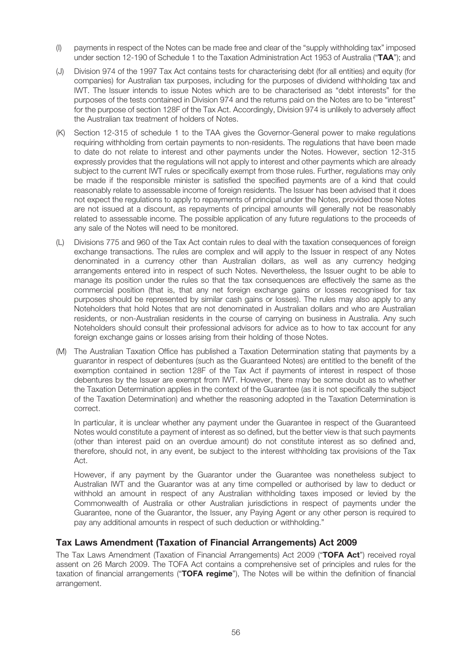- (I) payments in respect of the Notes can be made free and clear of the "supply withholding tax" imposed under section 12-190 of Schedule 1 to the Taxation Administration Act 1953 of Australia ("TAA"); and
- (J) Division 974 of the 1997 Tax Act contains tests for characterising debt (for all entities) and equity (for companies) for Australian tax purposes, including for the purposes of dividend withholding tax and IWT. The Issuer intends to issue Notes which are to be characterised as "debt interests" for the purposes of the tests contained in Division 974 and the returns paid on the Notes are to be "interest" for the purpose of section 128F of the Tax Act. Accordingly, Division 974 is unlikely to adversely affect the Australian tax treatment of holders of Notes.
- (K) Section 12-315 of schedule 1 to the TAA gives the Governor-General power to make regulations requiring withholding from certain payments to non-residents. The regulations that have been made to date do not relate to interest and other payments under the Notes. However, section 12-315 expressly provides that the regulations will not apply to interest and other payments which are already subject to the current IWT rules or specifically exempt from those rules. Further, regulations may only be made if the responsible minister is satisfied the specified payments are of a kind that could reasonably relate to assessable income of foreign residents. The Issuer has been advised that it does not expect the regulations to apply to repayments of principal under the Notes, provided those Notes are not issued at a discount, as repayments of principal amounts will generally not be reasonably related to assessable income. The possible application of any future regulations to the proceeds of any sale of the Notes will need to be monitored.
- (L) Divisions 775 and 960 of the Tax Act contain rules to deal with the taxation consequences of foreign exchange transactions. The rules are complex and will apply to the Issuer in respect of any Notes denominated in a currency other than Australian dollars, as well as any currency hedging arrangements entered into in respect of such Notes. Nevertheless, the Issuer ought to be able to manage its position under the rules so that the tax consequences are effectively the same as the commercial position (that is, that any net foreign exchange gains or losses recognised for tax purposes should be represented by similar cash gains or losses). The rules may also apply to any Noteholders that hold Notes that are not denominated in Australian dollars and who are Australian residents, or non-Australian residents in the course of carrying on business in Australia. Any such Noteholders should consult their professional advisors for advice as to how to tax account for any foreign exchange gains or losses arising from their holding of those Notes.
- (M) The Australian Taxation Office has published a Taxation Determination stating that payments by a guarantor in respect of debentures (such as the Guaranteed Notes) are entitled to the benefit of the exemption contained in section 128F of the Tax Act if payments of interest in respect of those debentures by the Issuer are exempt from IWT. However, there may be some doubt as to whether the Taxation Determination applies in the context of the Guarantee (as it is not specifically the subject of the Taxation Determination) and whether the reasoning adopted in the Taxation Determination is correct.

In particular, it is unclear whether any payment under the Guarantee in respect of the Guaranteed Notes would constitute a payment of interest as so defined, but the better view is that such payments (other than interest paid on an overdue amount) do not constitute interest as so defined and, therefore, should not, in any event, be subject to the interest withholding tax provisions of the Tax Act.

However, if any payment by the Guarantor under the Guarantee was nonetheless subject to Australian IWT and the Guarantor was at any time compelled or authorised by law to deduct or withhold an amount in respect of any Australian withholding taxes imposed or levied by the Commonwealth of Australia or other Australian jurisdictions in respect of payments under the Guarantee, none of the Guarantor, the Issuer, any Paying Agent or any other person is required to pay any additional amounts in respect of such deduction or withholding."

# Tax Laws Amendment (Taxation of Financial Arrangements) Act 2009

The Tax Laws Amendment (Taxation of Financial Arrangements) Act 2009 ("TOFA Act") received royal assent on 26 March 2009. The TOFA Act contains a comprehensive set of principles and rules for the taxation of financial arrangements ("TOFA regime"), The Notes will be within the definition of financial arrangement.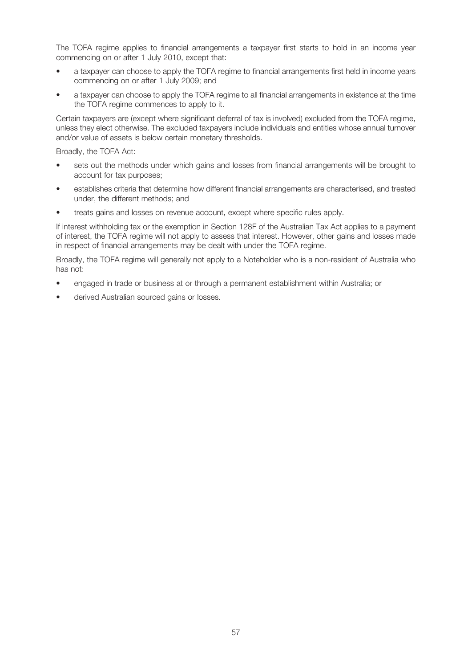The TOFA regime applies to financial arrangements a taxpayer first starts to hold in an income year commencing on or after 1 July 2010, except that:

- a taxpayer can choose to apply the TOFA regime to financial arrangements first held in income years commencing on or after 1 July 2009; and
- a taxpayer can choose to apply the TOFA regime to all financial arrangements in existence at the time the TOFA regime commences to apply to it.

Certain taxpayers are (except where significant deferral of tax is involved) excluded from the TOFA regime, unless they elect otherwise. The excluded taxpayers include individuals and entities whose annual turnover and/or value of assets is below certain monetary thresholds.

Broadly, the TOFA Act:

- sets out the methods under which gains and losses from financial arrangements will be brought to account for tax purposes;
- establishes criteria that determine how different financial arrangements are characterised, and treated under, the different methods; and
- treats gains and losses on revenue account, except where specific rules apply.

If interest withholding tax or the exemption in Section 128F of the Australian Tax Act applies to a payment of interest, the TOFA regime will not apply to assess that interest. However, other gains and losses made in respect of financial arrangements may be dealt with under the TOFA regime.

Broadly, the TOFA regime will generally not apply to a Noteholder who is a non-resident of Australia who has not:

- engaged in trade or business at or through a permanent establishment within Australia; or
- derived Australian sourced gains or losses.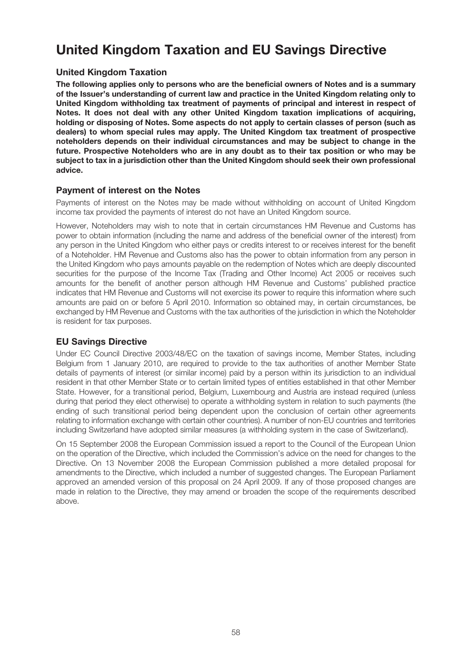# United Kingdom Taxation and EU Savings Directive

# United Kingdom Taxation

The following applies only to persons who are the beneficial owners of Notes and is a summary of the Issuer's understanding of current law and practice in the United Kingdom relating only to United Kingdom withholding tax treatment of payments of principal and interest in respect of Notes. It does not deal with any other United Kingdom taxation implications of acquiring, holding or disposing of Notes. Some aspects do not apply to certain classes of person (such as dealers) to whom special rules may apply. The United Kingdom tax treatment of prospective noteholders depends on their individual circumstances and may be subject to change in the future. Prospective Noteholders who are in any doubt as to their tax position or who may be subject to tax in a jurisdiction other than the United Kingdom should seek their own professional advice.

### Payment of interest on the Notes

Payments of interest on the Notes may be made without withholding on account of United Kingdom income tax provided the payments of interest do not have an United Kingdom source.

However, Noteholders may wish to note that in certain circumstances HM Revenue and Customs has power to obtain information (including the name and address of the beneficial owner of the interest) from any person in the United Kingdom who either pays or credits interest to or receives interest for the benefit of a Noteholder. HM Revenue and Customs also has the power to obtain information from any person in the United Kingdom who pays amounts payable on the redemption of Notes which are deeply discounted securities for the purpose of the Income Tax (Trading and Other Income) Act 2005 or receives such amounts for the benefit of another person although HM Revenue and Customs' published practice indicates that HM Revenue and Customs will not exercise its power to require this information where such amounts are paid on or before 5 April 2010. Information so obtained may, in certain circumstances, be exchanged by HM Revenue and Customs with the tax authorities of the jurisdiction in which the Noteholder is resident for tax purposes.

# EU Savings Directive

Under EC Council Directive 2003/48/EC on the taxation of savings income, Member States, including Belgium from 1 January 2010, are required to provide to the tax authorities of another Member State details of payments of interest (or similar income) paid by a person within its jurisdiction to an individual resident in that other Member State or to certain limited types of entities established in that other Member State. However, for a transitional period, Belgium, Luxembourg and Austria are instead required (unless during that period they elect otherwise) to operate a withholding system in relation to such payments (the ending of such transitional period being dependent upon the conclusion of certain other agreements relating to information exchange with certain other countries). A number of non-EU countries and territories including Switzerland have adopted similar measures (a withholding system in the case of Switzerland).

On 15 September 2008 the European Commission issued a report to the Council of the European Union on the operation of the Directive, which included the Commission's advice on the need for changes to the Directive. On 13 November 2008 the European Commission published a more detailed proposal for amendments to the Directive, which included a number of suggested changes. The European Parliament approved an amended version of this proposal on 24 April 2009. If any of those proposed changes are made in relation to the Directive, they may amend or broaden the scope of the requirements described above.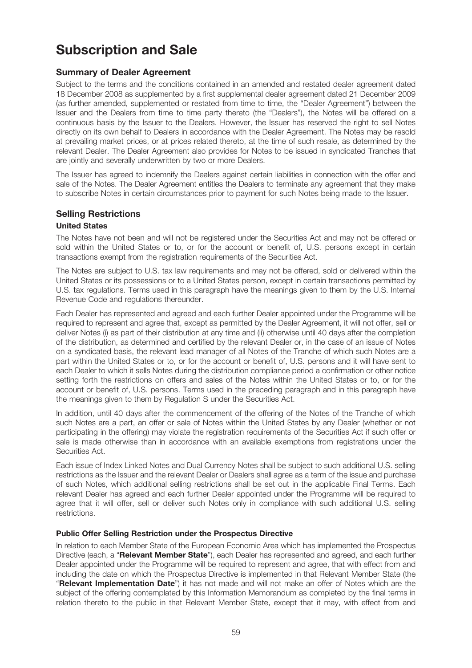# Subscription and Sale

# Summary of Dealer Agreement

Subject to the terms and the conditions contained in an amended and restated dealer agreement dated 18 December 2008 as supplemented by a first supplemental dealer agreement dated 21 December 2009 (as further amended, supplemented or restated from time to time, the "Dealer Agreement") between the Issuer and the Dealers from time to time party thereto (the "Dealers"), the Notes will be offered on a continuous basis by the Issuer to the Dealers. However, the Issuer has reserved the right to sell Notes directly on its own behalf to Dealers in accordance with the Dealer Agreement. The Notes may be resold at prevailing market prices, or at prices related thereto, at the time of such resale, as determined by the relevant Dealer. The Dealer Agreement also provides for Notes to be issued in syndicated Tranches that are jointly and severally underwritten by two or more Dealers.

The Issuer has agreed to indemnify the Dealers against certain liabilities in connection with the offer and sale of the Notes. The Dealer Agreement entitles the Dealers to terminate any agreement that they make to subscribe Notes in certain circumstances prior to payment for such Notes being made to the Issuer.

# Selling Restrictions

### United States

The Notes have not been and will not be registered under the Securities Act and may not be offered or sold within the United States or to, or for the account or benefit of, U.S. persons except in certain transactions exempt from the registration requirements of the Securities Act.

The Notes are subject to U.S. tax law requirements and may not be offered, sold or delivered within the United States or its possessions or to a United States person, except in certain transactions permitted by U.S. tax regulations. Terms used in this paragraph have the meanings given to them by the U.S. Internal Revenue Code and regulations thereunder.

Each Dealer has represented and agreed and each further Dealer appointed under the Programme will be required to represent and agree that, except as permitted by the Dealer Agreement, it will not offer, sell or deliver Notes (i) as part of their distribution at any time and (ii) otherwise until 40 days after the completion of the distribution, as determined and certified by the relevant Dealer or, in the case of an issue of Notes on a syndicated basis, the relevant lead manager of all Notes of the Tranche of which such Notes are a part within the United States or to, or for the account or benefit of, U.S. persons and it will have sent to each Dealer to which it sells Notes during the distribution compliance period a confirmation or other notice setting forth the restrictions on offers and sales of the Notes within the United States or to, or for the account or benefit of, U.S. persons. Terms used in the preceding paragraph and in this paragraph have the meanings given to them by Regulation S under the Securities Act.

In addition, until 40 days after the commencement of the offering of the Notes of the Tranche of which such Notes are a part, an offer or sale of Notes within the United States by any Dealer (whether or not participating in the offering) may violate the registration requirements of the Securities Act if such offer or sale is made otherwise than in accordance with an available exemptions from registrations under the Securities Act.

Each issue of Index Linked Notes and Dual Currency Notes shall be subject to such additional U.S. selling restrictions as the Issuer and the relevant Dealer or Dealers shall agree as a term of the issue and purchase of such Notes, which additional selling restrictions shall be set out in the applicable Final Terms. Each relevant Dealer has agreed and each further Dealer appointed under the Programme will be required to agree that it will offer, sell or deliver such Notes only in compliance with such additional U.S. selling restrictions.

#### Public Offer Selling Restriction under the Prospectus Directive

In relation to each Member State of the European Economic Area which has implemented the Prospectus Directive (each, a "Relevant Member State"), each Dealer has represented and agreed, and each further Dealer appointed under the Programme will be required to represent and agree, that with effect from and including the date on which the Prospectus Directive is implemented in that Relevant Member State (the "Relevant Implementation Date") it has not made and will not make an offer of Notes which are the subject of the offering contemplated by this Information Memorandum as completed by the final terms in relation thereto to the public in that Relevant Member State, except that it may, with effect from and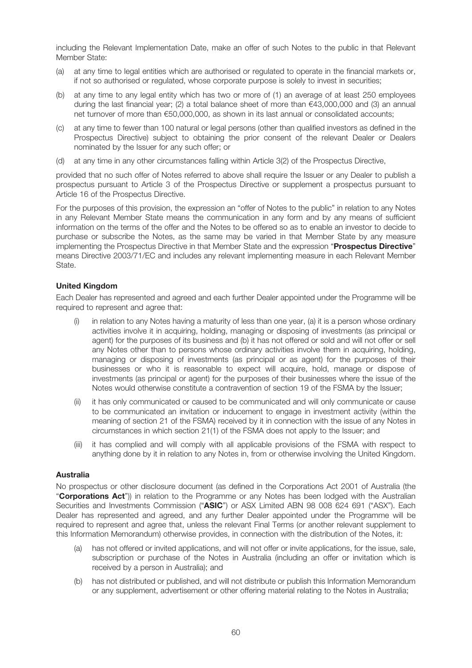including the Relevant Implementation Date, make an offer of such Notes to the public in that Relevant Member State:

- (a) at any time to legal entities which are authorised or regulated to operate in the financial markets or, if not so authorised or regulated, whose corporate purpose is solely to invest in securities;
- (b) at any time to any legal entity which has two or more of (1) an average of at least 250 employees during the last financial year; (2) a total balance sheet of more than €43,000,000 and (3) an annual net turnover of more than €50,000,000, as shown in its last annual or consolidated accounts;
- (c) at any time to fewer than 100 natural or legal persons (other than qualified investors as defined in the Prospectus Directive) subject to obtaining the prior consent of the relevant Dealer or Dealers nominated by the Issuer for any such offer; or
- (d) at any time in any other circumstances falling within Article 3(2) of the Prospectus Directive,

provided that no such offer of Notes referred to above shall require the Issuer or any Dealer to publish a prospectus pursuant to Article 3 of the Prospectus Directive or supplement a prospectus pursuant to Article 16 of the Prospectus Directive.

For the purposes of this provision, the expression an "offer of Notes to the public" in relation to any Notes in any Relevant Member State means the communication in any form and by any means of sufficient information on the terms of the offer and the Notes to be offered so as to enable an investor to decide to purchase or subscribe the Notes, as the same may be varied in that Member State by any measure implementing the Prospectus Directive in that Member State and the expression "Prospectus Directive" means Directive 2003/71/EC and includes any relevant implementing measure in each Relevant Member State.

#### United Kingdom

Each Dealer has represented and agreed and each further Dealer appointed under the Programme will be required to represent and agree that:

- (i) in relation to any Notes having a maturity of less than one year, (a) it is a person whose ordinary activities involve it in acquiring, holding, managing or disposing of investments (as principal or agent) for the purposes of its business and (b) it has not offered or sold and will not offer or sell any Notes other than to persons whose ordinary activities involve them in acquiring, holding, managing or disposing of investments (as principal or as agent) for the purposes of their businesses or who it is reasonable to expect will acquire, hold, manage or dispose of investments (as principal or agent) for the purposes of their businesses where the issue of the Notes would otherwise constitute a contravention of section 19 of the FSMA by the Issuer;
- (ii) it has only communicated or caused to be communicated and will only communicate or cause to be communicated an invitation or inducement to engage in investment activity (within the meaning of section 21 of the FSMA) received by it in connection with the issue of any Notes in circumstances in which section 21(1) of the FSMA does not apply to the Issuer; and
- (iii) it has complied and will comply with all applicable provisions of the FSMA with respect to anything done by it in relation to any Notes in, from or otherwise involving the United Kingdom.

#### Australia

No prospectus or other disclosure document (as defined in the Corporations Act 2001 of Australia (the "**Corporations Act**")) in relation to the Programme or any Notes has been lodged with the Australian Securities and Investments Commission ("ASIC") or ASX Limited ABN 98 008 624 691 ("ASX"). Each Dealer has represented and agreed, and any further Dealer appointed under the Programme will be required to represent and agree that, unless the relevant Final Terms (or another relevant supplement to this Information Memorandum) otherwise provides, in connection with the distribution of the Notes, it:

- (a) has not offered or invited applications, and will not offer or invite applications, for the issue, sale, subscription or purchase of the Notes in Australia (including an offer or invitation which is received by a person in Australia); and
- (b) has not distributed or published, and will not distribute or publish this Information Memorandum or any supplement, advertisement or other offering material relating to the Notes in Australia;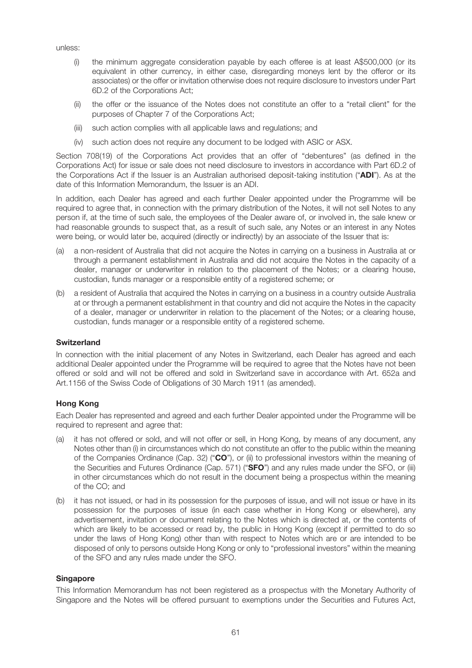unless:

- (i) the minimum aggregate consideration payable by each offeree is at least A\$500,000 (or its equivalent in other currency, in either case, disregarding moneys lent by the offeror or its associates) or the offer or invitation otherwise does not require disclosure to investors under Part 6D.2 of the Corporations Act;
- (ii) the offer or the issuance of the Notes does not constitute an offer to a "retail client" for the purposes of Chapter 7 of the Corporations Act;
- (iii) such action complies with all applicable laws and regulations; and
- (iv) such action does not require any document to be lodged with ASIC or ASX.

Section 708(19) of the Corporations Act provides that an offer of "debentures" (as defined in the Corporations Act) for issue or sale does not need disclosure to investors in accordance with Part 6D.2 of the Corporations Act if the Issuer is an Australian authorised deposit-taking institution ("ADI"). As at the date of this Information Memorandum, the Issuer is an ADI.

In addition, each Dealer has agreed and each further Dealer appointed under the Programme will be required to agree that, in connection with the primary distribution of the Notes, it will not sell Notes to any person if, at the time of such sale, the employees of the Dealer aware of, or involved in, the sale knew or had reasonable grounds to suspect that, as a result of such sale, any Notes or an interest in any Notes were being, or would later be, acquired (directly or indirectly) by an associate of the Issuer that is:

- (a) a non-resident of Australia that did not acquire the Notes in carrying on a business in Australia at or through a permanent establishment in Australia and did not acquire the Notes in the capacity of a dealer, manager or underwriter in relation to the placement of the Notes; or a clearing house, custodian, funds manager or a responsible entity of a registered scheme; or
- (b) a resident of Australia that acquired the Notes in carrying on a business in a country outside Australia at or through a permanent establishment in that country and did not acquire the Notes in the capacity of a dealer, manager or underwriter in relation to the placement of the Notes; or a clearing house, custodian, funds manager or a responsible entity of a registered scheme.

#### **Switzerland**

In connection with the initial placement of any Notes in Switzerland, each Dealer has agreed and each additional Dealer appointed under the Programme will be required to agree that the Notes have not been offered or sold and will not be offered and sold in Switzerland save in accordance with Art. 652a and Art.1156 of the Swiss Code of Obligations of 30 March 1911 (as amended).

#### Hong Kong

Each Dealer has represented and agreed and each further Dealer appointed under the Programme will be required to represent and agree that:

- (a) it has not offered or sold, and will not offer or sell, in Hong Kong, by means of any document, any Notes other than (i) in circumstances which do not constitute an offer to the public within the meaning of the Companies Ordinance (Cap. 32) ("CO"), or (ii) to professional investors within the meaning of the Securities and Futures Ordinance (Cap. 571) ("SFO") and any rules made under the SFO, or (iii) in other circumstances which do not result in the document being a prospectus within the meaning of the CO; and
- (b) it has not issued, or had in its possession for the purposes of issue, and will not issue or have in its possession for the purposes of issue (in each case whether in Hong Kong or elsewhere), any advertisement, invitation or document relating to the Notes which is directed at, or the contents of which are likely to be accessed or read by, the public in Hong Kong (except if permitted to do so under the laws of Hong Kong) other than with respect to Notes which are or are intended to be disposed of only to persons outside Hong Kong or only to "professional investors" within the meaning of the SFO and any rules made under the SFO.

#### **Singapore**

This Information Memorandum has not been registered as a prospectus with the Monetary Authority of Singapore and the Notes will be offered pursuant to exemptions under the Securities and Futures Act,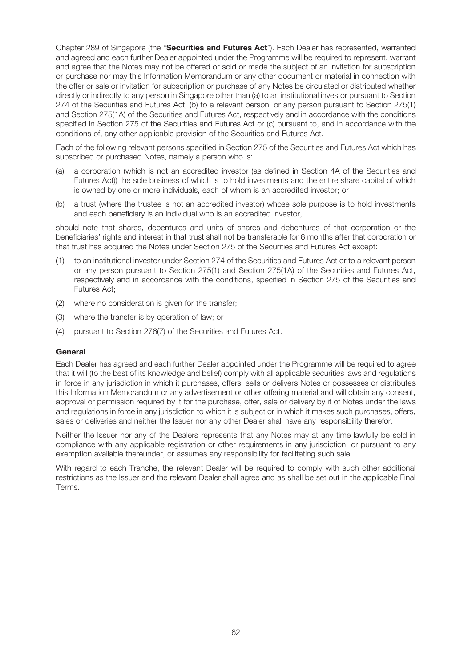Chapter 289 of Singapore (the "Securities and Futures Act"). Each Dealer has represented, warranted and agreed and each further Dealer appointed under the Programme will be required to represent, warrant and agree that the Notes may not be offered or sold or made the subject of an invitation for subscription or purchase nor may this Information Memorandum or any other document or material in connection with the offer or sale or invitation for subscription or purchase of any Notes be circulated or distributed whether directly or indirectly to any person in Singapore other than (a) to an institutional investor pursuant to Section 274 of the Securities and Futures Act, (b) to a relevant person, or any person pursuant to Section 275(1) and Section 275(1A) of the Securities and Futures Act, respectively and in accordance with the conditions specified in Section 275 of the Securities and Futures Act or (c) pursuant to, and in accordance with the conditions of, any other applicable provision of the Securities and Futures Act.

Each of the following relevant persons specified in Section 275 of the Securities and Futures Act which has subscribed or purchased Notes, namely a person who is:

- (a) a corporation (which is not an accredited investor (as defined in Section 4A of the Securities and Futures Act)) the sole business of which is to hold investments and the entire share capital of which is owned by one or more individuals, each of whom is an accredited investor; or
- (b) a trust (where the trustee is not an accredited investor) whose sole purpose is to hold investments and each beneficiary is an individual who is an accredited investor,

should note that shares, debentures and units of shares and debentures of that corporation or the beneficiaries' rights and interest in that trust shall not be transferable for 6 months after that corporation or that trust has acquired the Notes under Section 275 of the Securities and Futures Act except:

- (1) to an institutional investor under Section 274 of the Securities and Futures Act or to a relevant person or any person pursuant to Section 275(1) and Section 275(1A) of the Securities and Futures Act, respectively and in accordance with the conditions, specified in Section 275 of the Securities and Futures Act;
- (2) where no consideration is given for the transfer;
- (3) where the transfer is by operation of law; or
- (4) pursuant to Section 276(7) of the Securities and Futures Act.

#### **General**

Each Dealer has agreed and each further Dealer appointed under the Programme will be required to agree that it will (to the best of its knowledge and belief) comply with all applicable securities laws and regulations in force in any jurisdiction in which it purchases, offers, sells or delivers Notes or possesses or distributes this Information Memorandum or any advertisement or other offering material and will obtain any consent, approval or permission required by it for the purchase, offer, sale or delivery by it of Notes under the laws and regulations in force in any jurisdiction to which it is subject or in which it makes such purchases, offers, sales or deliveries and neither the Issuer nor any other Dealer shall have any responsibility therefor.

Neither the Issuer nor any of the Dealers represents that any Notes may at any time lawfully be sold in compliance with any applicable registration or other requirements in any jurisdiction, or pursuant to any exemption available thereunder, or assumes any responsibility for facilitating such sale.

With regard to each Tranche, the relevant Dealer will be required to comply with such other additional restrictions as the Issuer and the relevant Dealer shall agree and as shall be set out in the applicable Final Terms.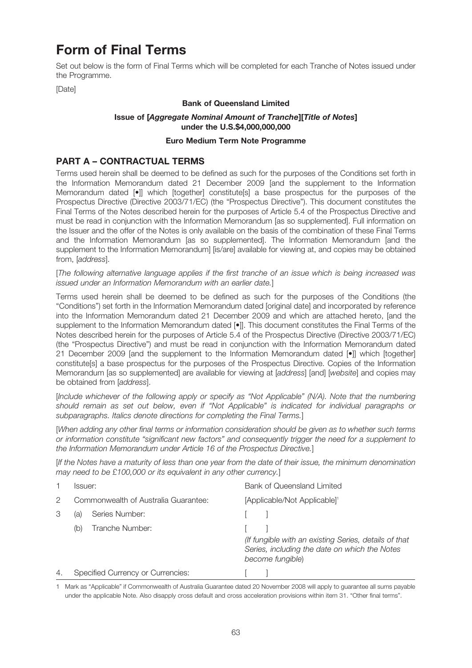# Form of Final Terms

Set out below is the form of Final Terms which will be completed for each Tranche of Notes issued under the Programme.

[Date]

#### Bank of Queensland Limited

### Issue of [Aggregate Nominal Amount of Tranche][Title of Notes] under the U.S.\$4,000,000,000

#### Euro Medium Term Note Programme

# PART A – CONTRACTUAL TERMS

Terms used herein shall be deemed to be defined as such for the purposes of the Conditions set forth in the Information Memorandum dated 21 December 2009 [and the supplement to the Information Memorandum dated  $[\bullet]$  which [together] constitute[s] a base prospectus for the purposes of the Prospectus Directive (Directive 2003/71/EC) (the "Prospectus Directive"). This document constitutes the Final Terms of the Notes described herein for the purposes of Article 5.4 of the Prospectus Directive and must be read in conjunction with the Information Memorandum [as so supplemented]. Full information on the Issuer and the offer of the Notes is only available on the basis of the combination of these Final Terms and the Information Memorandum [as so supplemented]. The Information Memorandum [and the supplement to the Information Memorandum] [is/are] available for viewing at, and copies may be obtained from, [address].

[The following alternative language applies if the first tranche of an issue which is being increased was issued under an Information Memorandum with an earlier date.]

Terms used herein shall be deemed to be defined as such for the purposes of the Conditions (the "Conditions") set forth in the Information Memorandum dated [original date] and incorporated by reference into the Information Memorandum dated 21 December 2009 and which are attached hereto, [and the supplement to the Information Memorandum dated [ $\bullet$ ]]. This document constitutes the Final Terms of the Notes described herein for the purposes of Article 5.4 of the Prospectus Directive (Directive 2003/71/EC) (the "Prospectus Directive") and must be read in conjunction with the Information Memorandum dated 21 December 2009 [and the supplement to the Information Memorandum dated [•]] which [together] constitute[s] a base prospectus for the purposes of the Prospectus Directive. Copies of the Information Memorandum [as so supplemented] are available for viewing at [address] [and] [website] and copies may be obtained from [address].

[Include whichever of the following apply or specify as "Not Applicable" (N/A). Note that the numbering should remain as set out below, even if "Not Applicable" is indicated for individual paragraphs or subparagraphs. Italics denote directions for completing the Final Terms.]

[When adding any other final terms or information consideration should be given as to whether such terms or information constitute "significant new factors" and consequently trigger the need for a supplement to the Information Memorandum under Article 16 of the Prospectus Directive.]

[If the Notes have a maturity of less than one year from the date of their issue, the minimum denomination may need to be £100,000 or its equivalent in any other currency.

|                | lssuer:                              | Bank of Queensland Limited                                                                                                 |
|----------------|--------------------------------------|----------------------------------------------------------------------------------------------------------------------------|
| 2              | Commonwealth of Australia Guarantee: | [Applicable/Not Applicable] <sup>1</sup>                                                                                   |
| 3              | Series Number:<br>(a                 |                                                                                                                            |
|                | Tranche Number:<br>(b)               |                                                                                                                            |
|                |                                      | (If fungible with an existing Series, details of that<br>Series, including the date on which the Notes<br>become fungible) |
| $\overline{4}$ | Specified Currency or Currencies:    |                                                                                                                            |

1 Mark as "Applicable" if Commonwealth of Australia Guarantee dated 20 November 2008 will apply to guarantee all sums payable under the applicable Note. Also disapply cross default and cross acceleration provisions within item 31. "Other final terms".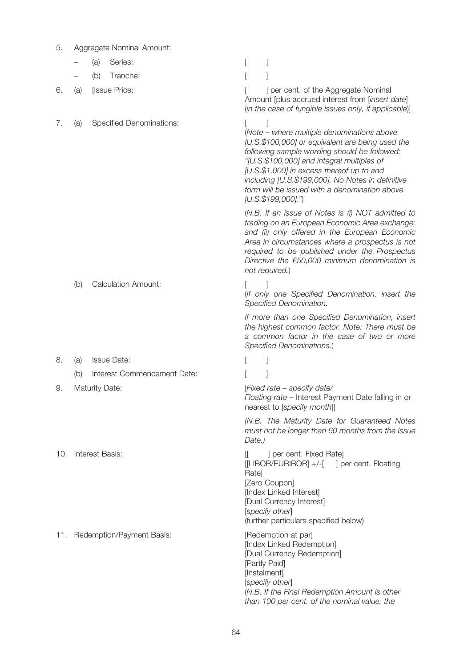| 5.           |                                        | Aggregate Nominal Amount:     |                                                                                                                                                                                                                                                                                                                                                                          |  |  |
|--------------|----------------------------------------|-------------------------------|--------------------------------------------------------------------------------------------------------------------------------------------------------------------------------------------------------------------------------------------------------------------------------------------------------------------------------------------------------------------------|--|--|
|              |                                        | Series:<br>(a)                |                                                                                                                                                                                                                                                                                                                                                                          |  |  |
|              |                                        | Tranche:<br>(b)               |                                                                                                                                                                                                                                                                                                                                                                          |  |  |
| 6.           | (a)                                    | [Issue Price:                 | ] per cent. of the Aggregate Nominal<br>Amount [plus accrued interest from [insert date]<br>(in the case of fungible issues only, if applicable)]                                                                                                                                                                                                                        |  |  |
| $\sqrt{ }$ . | <b>Specified Denominations:</b><br>(a) |                               | (Note – where multiple denominations above<br>[U.S.\$100,000] or equivalent are being used the<br>following sample wording should be followed:<br>"[U.S.\$100,000] and integral multiples of<br>[U.S.\$1,000] in excess thereof up to and<br>including [U.S.\$199,000]. No Notes in definitive<br>form will be issued with a denomination above<br>$[U.S.\$199,000].$ ") |  |  |
|              |                                        |                               | (N.B. If an issue of Notes is (i) NOT admitted to<br>trading on an European Economic Area exchange;<br>and (ii) only offered in the European Economic<br>Area in circumstances where a prospectus is not<br>required to be published under the Prospectus<br>Directive the $€50,000$ minimum denomination is<br>not required.)                                           |  |  |
|              | (b)                                    | <b>Calculation Amount:</b>    | (If only one Specified Denomination, insert the<br>Specified Denomination.                                                                                                                                                                                                                                                                                               |  |  |
|              |                                        |                               | If more than one Specified Denomination, insert<br>the highest common factor. Note: There must be<br>a common factor in the case of two or more<br>Specified Denominations.)                                                                                                                                                                                             |  |  |
| 8.           | (a)                                    | <b>Issue Date:</b>            |                                                                                                                                                                                                                                                                                                                                                                          |  |  |
|              | (b)                                    | Interest Commencement Date:   |                                                                                                                                                                                                                                                                                                                                                                          |  |  |
| 9.           |                                        | <b>Maturity Date:</b>         | [Fixed rate - specify date/<br>Floating rate - Interest Payment Date falling in or<br>nearest to [specify month]]                                                                                                                                                                                                                                                        |  |  |
|              |                                        |                               | (N.B. The Maturity Date for Guaranteed Notes<br>must not be longer than 60 months from the Issue<br>Date.)                                                                                                                                                                                                                                                               |  |  |
| 10.          | Interest Basis:                        |                               | ] per cent. Fixed Rate]<br>II.<br>[[LIBOR/EURIBOR] +/-[ ] per cent. Floating<br>Rate]<br>[Zero Coupon]<br>[Index Linked Interest]<br>[Dual Currency Interest]<br>[specify other]<br>(further particulars specified below)                                                                                                                                                |  |  |
|              |                                        | 11. Redemption/Payment Basis: | [Redemption at par]<br>[Index Linked Redemption]<br>[Dual Currency Redemption]<br>[Partly Paid]<br>[Instalment]<br>[specify other]<br>(N.B. If the Final Redemption Amount is other<br>than 100 per cent. of the nominal value, the                                                                                                                                      |  |  |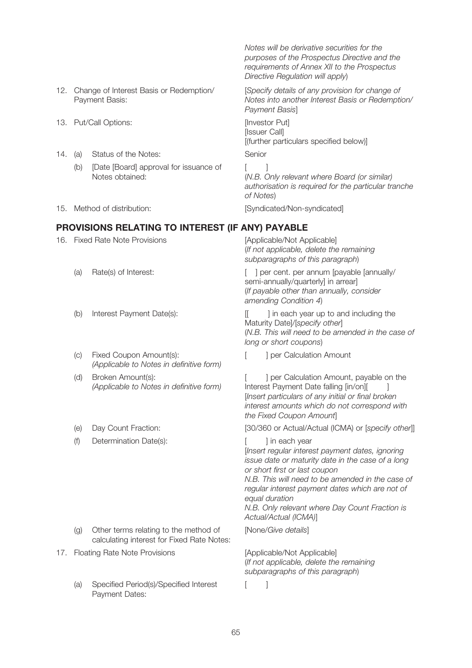- Change of Interest Basis or Redemption/ Payment Basis:
- 13. Put/Call Options: **Example 2018** Section 13. Put/Call Options:
- 14. (a) Status of the Notes: Senior
	- (b) [Date [Board] approval for issuance of [ ] Notes obtained:
- 

### PROVISIONS RELATING TO INTEREST (IF ANY) PAYABLE

- 16. Fixed Rate Note Provisions [Applicable/Not Applicable]
	-
	-
	- (c) Fixed Coupon Amount(s): The Calculation Amount Fixed Coupon Amount(s): (Applicable to Notes in definitive form)
	- Broken Amount(s): (Applicable to Notes in definitive form)
	-
	- (f) Determination Date(s):  $\qquad \qquad$  [ ] in each year

- (g) Other terms relating to the method of [None/Give details] calculating interest for Fixed Rate Notes:
- 17. Floating Rate Note Provisions [Applicable/Not Applicable]
	- (a) Specified Period(s)/Specified Interest [1 Payment Dates:

Notes will be derivative securities for the purposes of the Prospectus Directive and the requirements of Annex XII to the Prospectus Directive Regulation will apply)

[Specify details of any provision for change of Notes into another Interest Basis or Redemption/ Payment Basis]

[Issuer Call] [(further particulars specified below)]

(N.B. Only relevant where Board (or similar) authorisation is required for the particular tranche of Notes)

15. Method of distribution: [Syndicated/Non-syndicated]

(If not applicable, delete the remaining subparagraphs of this paragraph)

(a) Rate(s) of Interest:  $\lceil \ \ \rceil$  per cent. per annum [payable [annually/ semi-annually/quarterly] in arrear] (If payable other than annually, consider amending Condition 4)

(b) Interest Payment Date(s): [[ ] in each year up to and including the Maturity Date]/[specify other] (N.B. This will need to be amended in the case of long or short coupons)

(d) Broken Amount(s):  $\begin{bmatrix} \cdot & \cdot & \cdot \\ \cdot & \cdot & \cdot \\ \cdot & \cdot & \cdot \end{bmatrix}$  per Calculation Amount, payable on the Interest Payment Date falling [in/on][ ] [Insert particulars of any initial or final broken interest amounts which do not correspond with the Fixed Coupon Amount]

(e) Day Count Fraction: [30/360 or Actual/Actual (ICMA) or [specify other]]

[Insert regular interest payment dates, ignoring issue date or maturity date in the case of a long or short first or last coupon

N.B. This will need to be amended in the case of regular interest payment dates which are not of equal duration

N.B. Only relevant where Day Count Fraction is Actual/Actual (ICMA)]

(If not applicable, delete the remaining subparagraphs of this paragraph)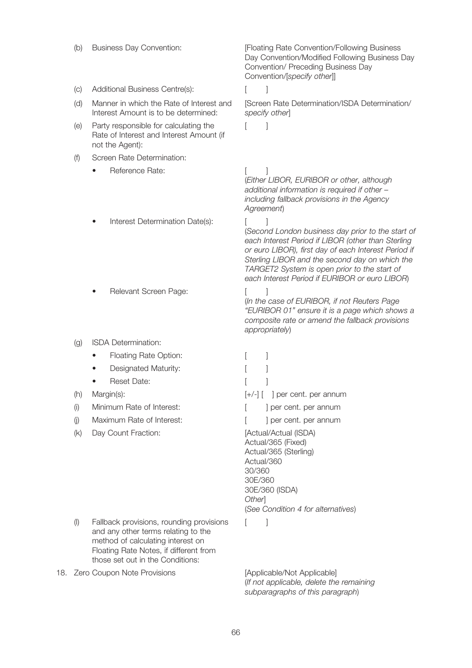- 
- (c) Additional Business Centre(s): [ ]
- Manner in which the Rate of Interest and Interest Amount is to be determined:
- (e) Party responsible for calculating the [ ] Rate of Interest and Interest Amount (if not the Agent):
- (f) Screen Rate Determination:
	- **Property** Reference Rate: The set of the set of the set of the set of the set of the set of the set of the set of the set of the set of the set of the set of the set of the set of the set of the set of the set of the set
	- Interest Determination Date(s): [ ]
	- **Relevant Screen Page:** [ ]
- (g) ISDA Determination:
	- Floating Rate Option: [ ]
	- Designated Maturity: [ ]
	- **Passach Date:** [ ]
- 
- (i) Minimum Rate of Interest:  $\begin{bmatrix} \cdot & \cdot \\ \cdot & \cdot \end{bmatrix}$  per cent. per annum
- (j) Maximum Rate of Interest: [ ] per cent. per annum
- (k) Day Count Fraction: [Actual/Actual (ISDA)

- (I) Fallback provisions, rounding provisions [ ] and any other terms relating to the method of calculating interest on Floating Rate Notes, if different from those set out in the Conditions:
- 18. Zero Coupon Note Provisions [Applicable/Not Applicable]

(b) Business Day Convention: [Floating Rate Convention/Following Business Day Convention/Modified Following Business Day Convention/ Preceding Business Day Convention/[specify other]]

(d) Manner in which the Rate of Interest and [Screen Rate Determination/ISDA Determination/ specify other]

(Either LIBOR, EURIBOR or other, although additional information is required if other including fallback provisions in the Agency Agreement)

(Second London business day prior to the start of each Interest Period if LIBOR (other than Sterling or euro LIBOR), first day of each Interest Period if Sterling LIBOR and the second day on which the TARGET2 System is open prior to the start of each Interest Period if EURIBOR or euro LIBOR)

(In the case of EURIBOR, if not Reuters Page "EURIBOR 01" ensure it is a page which shows a composite rate or amend the fallback provisions appropriately)

(h) Margin(s):  $[+/]-]$  | per cent. per annum Actual/365 (Fixed) Actual/365 (Sterling) Actual/360 30/360 30E/360 30E/360 (ISDA) **Otherl** (See Condition 4 for alternatives)

(If not applicable, delete the remaining subparagraphs of this paragraph)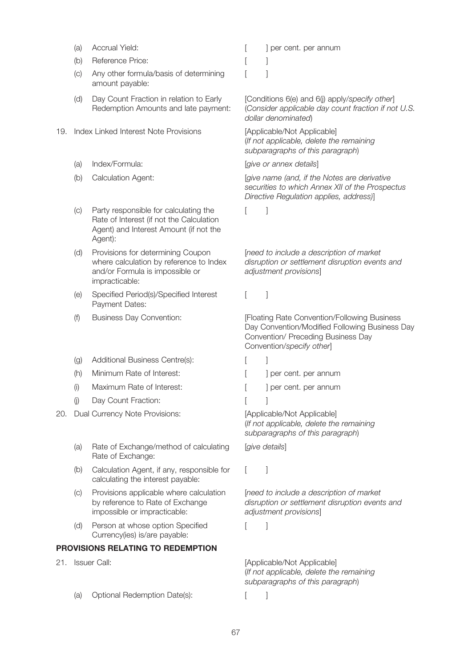- 
- (b) Reference Price: [ ]
- (c) Any other formula/basis of determining [ ] amount payable:
- (d) Day Count Fraction in relation to Early Redemption Amounts and late payment:
- 19. Index Linked Interest Note Provisions [Applicable/Not Applicable]
	-
	-
	- (c) Party responsible for calculating the [ ] Rate of Interest (if not the Calculation Agent) and Interest Amount (if not the Agent):
	- (d) Provisions for determining Coupon where calculation by reference to Index and/or Formula is impossible or impracticable:
	- (e) Specified Period(s)/Specified Interest [ ] Payment Dates:
	-
	- (g) Additional Business Centre(s): [ ]
	- (h) Minimum Rate of Interest:  $\begin{bmatrix} | & | \end{bmatrix}$  per cent. per annum
	- (i) Maximum Rate of Interest: [ ] per cent. per annum
	- (i) Day Count Fraction: [ ]
- 20. Dual Currency Note Provisions: [Applicable/Not Applicable]
	- (a) Rate of Exchange/method of calculating [give details] Rate of Exchange:
	- (b) Calculation Agent, if any, responsible for [ ] calculating the interest payable:
	- (c) Provisions applicable where calculation by reference to Rate of Exchange impossible or impracticable:
	- (d) Person at whose option Specified [ ] Currency(ies) is/are payable:

# PROVISIONS RELATING TO REDEMPTION

- - (a) Optional Redemption Date(s): [ ]

(a) Accrual Yield:  $[$  ] per cent. per annum

[Conditions 6(e) and 6(j) apply/specify other] (Consider applicable day count fraction if not U.S. dollar denominated)

(If not applicable, delete the remaining subparagraphs of this paragraph)

(a) Index/Formula:  $[give or annex details]$ 

(b) Calculation Agent: [give name (and, if the Notes are derivative securities to which Annex XII of the Prospectus Directive Regulation applies, address)]

[need to include a description of market disruption or settlement disruption events and adjustment provisions]

(f) Business Day Convention: [Floating Rate Convention/Following Business Day Convention/Modified Following Business Day Convention/ Preceding Business Day Convention/specify other]

- 
- 
- 

(If not applicable, delete the remaining subparagraphs of this paragraph)

[need to include a description of market disruption or settlement disruption events and adjustment provisions]

21. Issuer Call: **Example 21.** [Applicable/Not Applicable] (If not applicable, delete the remaining subparagraphs of this paragraph)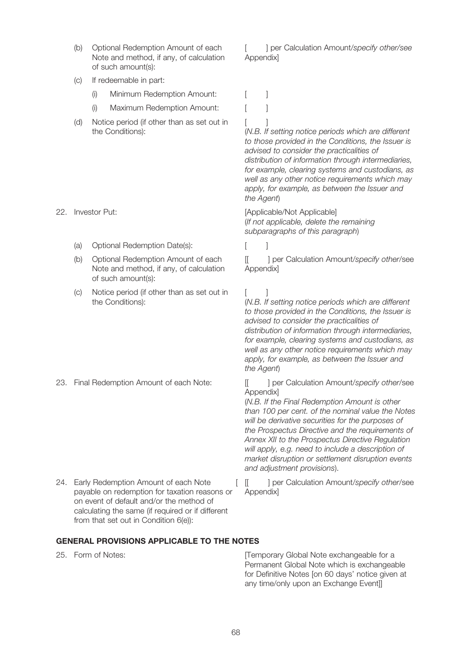- Note and method, if any, of calculation of such amount(s):
- (c) If redeemable in part:
	- (i) Minimum Redemption Amount: [ ]
	- (i) Maximum Redemption Amount: [ ]
- (d) Notice period (if other than as set out in [ ] the Conditions):

- (a) Optional Redemption Date(s):
- Optional Redemption Amount of each Note and method, if any, of calculation of such amount(s):
- (c) Notice period (if other than as set out in [ ] the Conditions):

24. Early Redemption Amount of each Note [[[ ] per Calculation Amount/specify other/see payable on redemption for taxation reasons or on event of default and/or the method of calculating the same (if required or if different from that set out in Condition 6(e)):

(b) Optional Redemption Amount of each [intergal calculation Amount/specify other/see Appendix]

(N.B. If setting notice periods which are different to those provided in the Conditions, the Issuer is advised to consider the practicalities of distribution of information through intermediaries, for example, clearing systems and custodians, as well as any other notice requirements which may apply, for example, as between the Issuer and the Agent)

22. Investor Put: [Applicable/Not Applicable] (If not applicable, delete the remaining subparagraphs of this paragraph)

(b) Optional Redemption Amount of each [[ ] per Calculation Amount/specify other/see Appendix]

> (N.B. If setting notice periods which are different to those provided in the Conditions, the Issuer is advised to consider the practicalities of distribution of information through intermediaries, for example, clearing systems and custodians, as well as any other notice requirements which may apply, for example, as between the Issuer and the Agent)

23. Final Redemption Amount of each Note: <br> [[ ] per Calculation Amount/specify other/see Appendix]

> (N.B. If the Final Redemption Amount is other than 100 per cent. of the nominal value the Notes will be derivative securities for the purposes of the Prospectus Directive and the requirements of Annex XII to the Prospectus Directive Regulation will apply, e.g. need to include a description of market disruption or settlement disruption events and adjustment provisions).

Appendix]

#### GENERAL PROVISIONS APPLICABLE TO THE NOTES

25. Form of Notes: **interporary Global Note exchangeable for a** Permanent Global Note which is exchangeable for Definitive Notes [on 60 days' notice given at any time/only upon an Exchange Event]]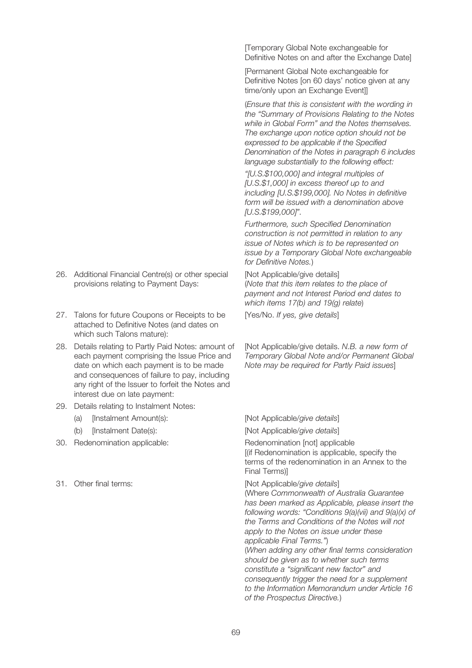- 26. Additional Financial Centre(s) or other special [Not Applicable/give details] provisions relating to Payment Days:
- 27. Talons for future Coupons or Receipts to be [Yes/No. If yes, give details] attached to Definitive Notes (and dates on which such Talons mature):
- 28. Details relating to Partly Paid Notes: amount of each payment comprising the Issue Price and date on which each payment is to be made and consequences of failure to pay, including any right of the Issuer to forfeit the Notes and interest due on late payment:
- 29. Details relating to Instalment Notes:
	- (a) [Instalment Amount(s): [Not Applicable/give details]
	- (b) [Instalment Date(s): [Not Applicable/give details]
- 30. Redenomination applicable: Redenomination [not] applicable
- 

[Temporary Global Note exchangeable for Definitive Notes on and after the Exchange Date]

[Permanent Global Note exchangeable for Definitive Notes [on 60 days' notice given at any time/only upon an Exchange Event]]

(Ensure that this is consistent with the wording in the "Summary of Provisions Relating to the Notes while in Global Form" and the Notes themselves. The exchange upon notice option should not be expressed to be applicable if the Specified Denomination of the Notes in paragraph 6 includes language substantially to the following effect:

"[U.S.\$100,000] and integral multiples of [U.S.\$1,000] in excess thereof up to and including [U.S.\$199,000]. No Notes in definitive form will be issued with a denomination above [U.S.\$199,000]".

Furthermore, such Specified Denomination construction is not permitted in relation to any issue of Notes which is to be represented on issue by a Temporary Global Note exchangeable for Definitive Notes.)

(Note that this item relates to the place of payment and not Interest Period end dates to which items 17(b) and 19(g) relate)

[Not Applicable/give details. N.B. a new form of Temporary Global Note and/or Permanent Global Note may be required for Partly Paid issues]

[(if Redenomination is applicable, specify the terms of the redenomination in an Annex to the Final Terms)]

31. Other final terms: **Example 2018** [Not Applicable/give details]

(Where Commonwealth of Australia Guarantee has been marked as Applicable, please insert the following words: "Conditions 9(a)(vii) and 9(a)(x) of the Terms and Conditions of the Notes will not apply to the Notes on issue under these applicable Final Terms.") (When adding any other final terms consideration should be given as to whether such terms constitute a "significant new factor" and consequently trigger the need for a supplement to the Information Memorandum under Article 16 of the Prospectus Directive.)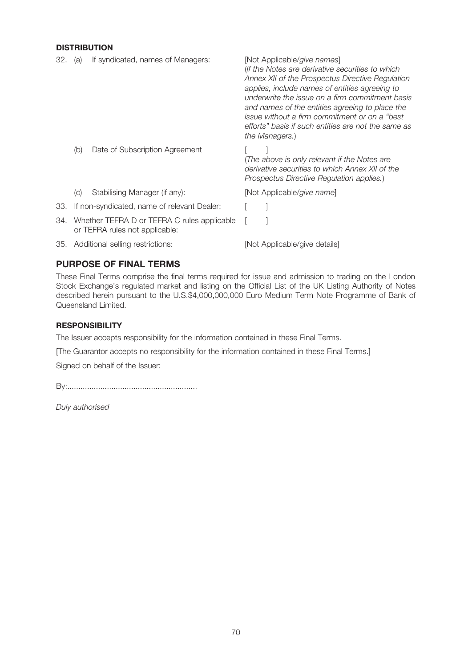# **DISTRIBUTION**

| 32. | (a) | If syndicated, names of Managers:                                             | [Not Applicable/give names]<br>(If the Notes are derivative securities to which<br>Annex XII of the Prospectus Directive Regulation<br>applies, include names of entities agreeing to<br>underwrite the issue on a firm commitment basis<br>and names of the entities agreeing to place the<br>issue without a firm commitment or on a "best"<br>efforts" basis if such entities are not the same as<br>the Managers.) |
|-----|-----|-------------------------------------------------------------------------------|------------------------------------------------------------------------------------------------------------------------------------------------------------------------------------------------------------------------------------------------------------------------------------------------------------------------------------------------------------------------------------------------------------------------|
|     | (b) | Date of Subscription Agreement                                                | (The above is only relevant if the Notes are<br>derivative securities to which Annex XII of the<br>Prospectus Directive Regulation applies.)                                                                                                                                                                                                                                                                           |
|     | (C) | Stabilising Manager (if any):                                                 | [Not Applicable/give name]                                                                                                                                                                                                                                                                                                                                                                                             |
| 33. |     | If non-syndicated, name of relevant Dealer:                                   |                                                                                                                                                                                                                                                                                                                                                                                                                        |
| 34. |     | Whether TEFRA D or TEFRA C rules applicable<br>or TEFRA rules not applicable: |                                                                                                                                                                                                                                                                                                                                                                                                                        |

### PURPOSE OF FINAL TERMS

These Final Terms comprise the final terms required for issue and admission to trading on the London Stock Exchange's regulated market and listing on the Official List of the UK Listing Authority of Notes described herein pursuant to the U.S.\$4,000,000,000 Euro Medium Term Note Programme of Bank of Queensland Limited.

### **RESPONSIBILITY**

The Issuer accepts responsibility for the information contained in these Final Terms.

35. Additional selling restrictions: [Not Applicable/give details]

[The Guarantor accepts no responsibility for the information contained in these Final Terms.]

Signed on behalf of the Issuer:

By:...........................................................

Duly authorised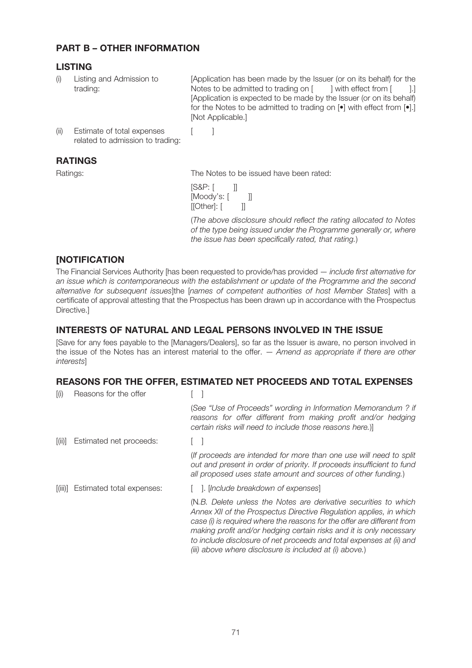# PART B – OTHER INFORMATION

# LISTING

Listing and Admission to trading:

(i) Listing and Admission to [Application has been made by the Issuer (or on its behalf) for the Notes to be admitted to trading on  $\lceil$   $\rceil$  l with effect from  $\lceil$   $\rceil$ .] [Application is expected to be made by the Issuer (or on its behalf) for the Notes to be admitted to trading on  $\lceil \bullet \rceil$  with effect from  $\lceil \bullet \rceil$ . [Not Applicable.]

(ii) Estimate of total expenses [ ] related to admission to trading:

# RATINGS

Ratings: The Notes to be issued have been rated:

[S&P: [ ]]  $[M$ oody's:  $[$   $]$ [[Other]: [ ]]

(The above disclosure should reflect the rating allocated to Notes of the type being issued under the Programme generally or, where the issue has been specifically rated, that rating.)

# **[NOTIFICATION**

The Financial Services Authority [has been requested to provide/has provided — include first alternative for an issue which is contemporaneous with the establishment or update of the Programme and the second alternative for subsequent issues]the [names of competent authorities of host Member States] with a certificate of approval attesting that the Prospectus has been drawn up in accordance with the Prospectus Directive.]

# INTERESTS OF NATURAL AND LEGAL PERSONS INVOLVED IN THE ISSUE

[Save for any fees payable to the [Managers/Dealers], so far as the Issuer is aware, no person involved in the issue of the Notes has an interest material to the offer.  $-$  Amend as appropriate if there are other interests]

# REASONS FOR THE OFFER, ESTIMATED NET PROCEEDS AND TOTAL EXPENSES

| $\overline{I}(i)$ | Reasons for the offer     |                                                                                                                                                                                                                                                                                                                                                                                                                             |
|-------------------|---------------------------|-----------------------------------------------------------------------------------------------------------------------------------------------------------------------------------------------------------------------------------------------------------------------------------------------------------------------------------------------------------------------------------------------------------------------------|
|                   |                           | (See "Use of Proceeds" wording in Information Memorandum? if<br>reasons for offer different from making profit and/or hedging<br>certain risks will need to include those reasons here.)                                                                                                                                                                                                                                    |
| [(ii)]            | Estimated net proceeds:   |                                                                                                                                                                                                                                                                                                                                                                                                                             |
|                   |                           | (If proceeds are intended for more than one use will need to split<br>out and present in order of priority. If proceeds insufficient to fund<br>all proposed uses state amount and sources of other funding.)                                                                                                                                                                                                               |
| [(iii)]           | Estimated total expenses: | . Include breakdown of expenses                                                                                                                                                                                                                                                                                                                                                                                             |
|                   |                           | (N.B. Delete unless the Notes are derivative securities to which<br>Annex XII of the Prospectus Directive Regulation applies, in which<br>case (i) is required where the reasons for the offer are different from<br>making profit and/or hedging certain risks and it is only necessary<br>to include disclosure of net proceeds and total expenses at (ii) and<br>(iii) above where disclosure is included at (i) above.) |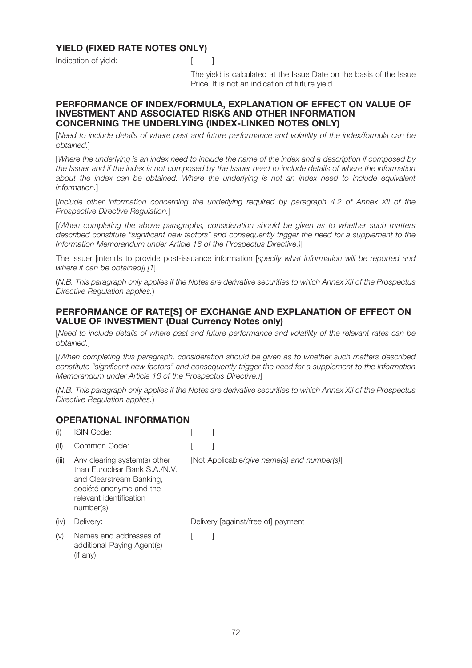# YIELD (FIXED RATE NOTES ONLY)

Indication of vield: The Contraction of vield:



The yield is calculated at the Issue Date on the basis of the Issue Price. It is not an indication of future yield.

#### PERFORMANCE OF INDEX/FORMULA, EXPLANATION OF EFFECT ON VALUE OF INVESTMENT AND ASSOCIATED RISKS AND OTHER INFORMATION CONCERNING THE UNDERLYING (INDEX-LINKED NOTES ONLY)

[Need to include details of where past and future performance and volatility of the index/formula can be obtained.]

[Where the underlying is an index need to include the name of the index and a description if composed by the Issuer and if the index is not composed by the Issuer need to include details of where the information about the index can be obtained. Where the underlying is not an index need to include equivalent information.]

[Include other information concerning the underlying required by paragraph 4.2 of Annex XII of the Prospective Directive Regulation.]

[(When completing the above paragraphs, consideration should be given as to whether such matters described constitute "significant new factors" and consequently trigger the need for a supplement to the Information Memorandum under Article 16 of the Prospectus Directive.)]

The Issuer [intends to provide post-issuance information [specify what information will be reported and where it can be obtained]] [1].

(N.B. This paragraph only applies if the Notes are derivative securities to which Annex XII of the Prospectus Directive Regulation applies.)

#### PERFORMANCE OF RATE[S] OF EXCHANGE AND EXPLANATION OF EFFECT ON VALUE OF INVESTMENT (Dual Currency Notes only)

[Need to include details of where past and future performance and volatility of the relevant rates can be obtained.]

[(When completing this paragraph, consideration should be given as to whether such matters described constitute "significant new factors" and consequently trigger the need for a supplement to the Information Memorandum under Article 16 of the Prospectus Directive.)]

(N.B. This paragraph only applies if the Notes are derivative securities to which Annex XII of the Prospectus Directive Regulation applies.)

#### OPERATIONAL INFORMATION

| <b>ISIN Code:</b>                                                                                                                                             |                                             |
|---------------------------------------------------------------------------------------------------------------------------------------------------------------|---------------------------------------------|
| Common Code:                                                                                                                                                  |                                             |
| Any clearing system(s) other<br>than Euroclear Bank S.A./N.V.<br>and Clearstream Banking,<br>société anonyme and the<br>relevant identification<br>number(s): | [Not Applicable/give name(s) and number(s)] |
| Delivery:                                                                                                                                                     | Delivery [against/free of] payment          |
| Names and addresses of<br>additional Paying Agent(s)<br>$($ if any $)$ :                                                                                      |                                             |
|                                                                                                                                                               |                                             |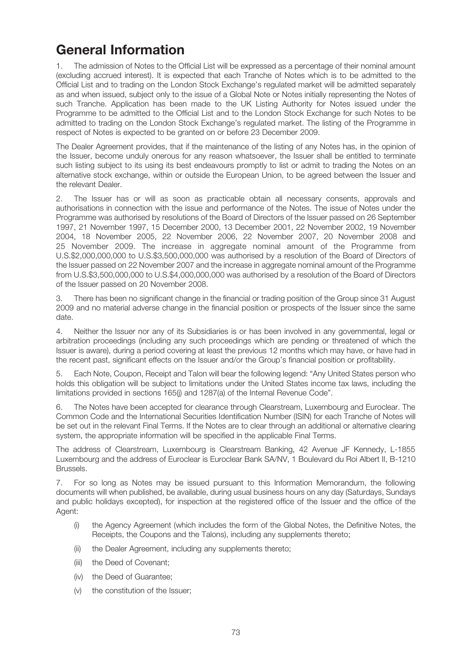# General Information

1. The admission of Notes to the Official List will be expressed as a percentage of their nominal amount (excluding accrued interest). It is expected that each Tranche of Notes which is to be admitted to the Official List and to trading on the London Stock Exchange's regulated market will be admitted separately as and when issued, subject only to the issue of a Global Note or Notes initially representing the Notes of such Tranche. Application has been made to the UK Listing Authority for Notes issued under the Programme to be admitted to the Official List and to the London Stock Exchange for such Notes to be admitted to trading on the London Stock Exchange's regulated market. The listing of the Programme in respect of Notes is expected to be granted on or before 23 December 2009.

The Dealer Agreement provides, that if the maintenance of the listing of any Notes has, in the opinion of the Issuer, become unduly onerous for any reason whatsoever, the Issuer shall be entitled to terminate such listing subject to its using its best endeavours promptly to list or admit to trading the Notes on an alternative stock exchange, within or outside the European Union, to be agreed between the Issuer and the relevant Dealer.

2. The Issuer has or will as soon as practicable obtain all necessary consents, approvals and authorisations in connection with the issue and performance of the Notes. The issue of Notes under the Programme was authorised by resolutions of the Board of Directors of the Issuer passed on 26 September 1997, 21 November 1997, 15 December 2000, 13 December 2001, 22 November 2002, 19 November 2004, 18 November 2005, 22 November 2006, 22 November 2007, 20 November 2008 and 25 November 2009. The increase in aggregate nominal amount of the Programme from U.S.\$2,000,000,000 to U.S.\$3,500,000,000 was authorised by a resolution of the Board of Directors of the Issuer passed on 22 November 2007 and the increase in aggregate nominal amount of the Programme from U.S.\$3,500,000,000 to U.S.\$4,000,000,000 was authorised by a resolution of the Board of Directors of the Issuer passed on 20 November 2008.

3. There has been no significant change in the financial or trading position of the Group since 31 August 2009 and no material adverse change in the financial position or prospects of the Issuer since the same date.

4. Neither the Issuer nor any of its Subsidiaries is or has been involved in any governmental, legal or arbitration proceedings (including any such proceedings which are pending or threatened of which the Issuer is aware), during a period covering at least the previous 12 months which may have, or have had in the recent past, significant effects on the Issuer and/or the Group's financial position or profitability.

5. Each Note, Coupon, Receipt and Talon will bear the following legend: "Any United States person who holds this obligation will be subject to limitations under the United States income tax laws, including the limitations provided in sections 165(j) and 1287(a) of the Internal Revenue Code".

6. The Notes have been accepted for clearance through Clearstream, Luxembourg and Euroclear. The Common Code and the International Securities Identification Number (ISIN) for each Tranche of Notes will be set out in the relevant Final Terms. If the Notes are to clear through an additional or alternative clearing system, the appropriate information will be specified in the applicable Final Terms.

The address of Clearstream, Luxembourg is Clearstream Banking, 42 Avenue JF Kennedy, L-1855 Luxembourg and the address of Euroclear is Euroclear Bank SA/NV, 1 Boulevard du Roi Albert II, B-1210 Brussels.

7. For so long as Notes may be issued pursuant to this Information Memorandum, the following documents will when published, be available, during usual business hours on any day (Saturdays, Sundays and public holidays excepted), for inspection at the registered office of the Issuer and the office of the Agent:

- (i) the Agency Agreement (which includes the form of the Global Notes, the Definitive Notes, the Receipts, the Coupons and the Talons), including any supplements thereto;
- (ii) the Dealer Agreement, including any supplements thereto;
- (iii) the Deed of Covenant;
- (iv) the Deed of Guarantee;
- (v) the constitution of the Issuer;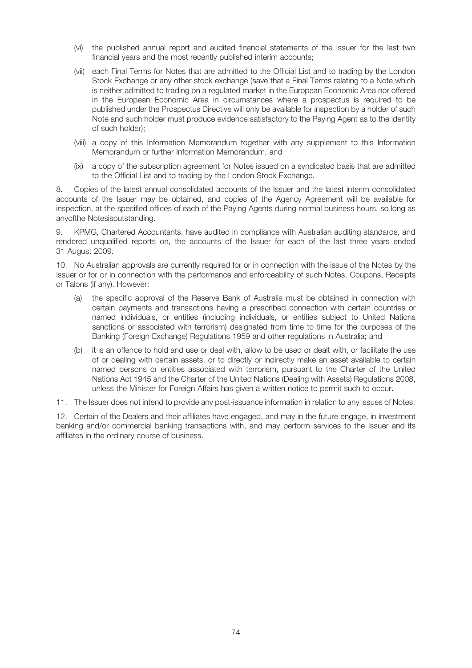- (vi) the published annual report and audited financial statements of the Issuer for the last two financial years and the most recently published interim accounts;
- (vii) each Final Terms for Notes that are admitted to the Official List and to trading by the London Stock Exchange or any other stock exchange (save that a Final Terms relating to a Note which is neither admitted to trading on a regulated market in the European Economic Area nor offered in the European Economic Area in circumstances where a prospectus is required to be published under the Prospectus Directive will only be available for inspection by a holder of such Note and such holder must produce evidence satisfactory to the Paying Agent as to the identity of such holder);
- (viii) a copy of this Information Memorandum together with any supplement to this Information Memorandum or further Information Memorandum; and
- (ix) a copy of the subscription agreement for Notes issued on a syndicated basis that are admitted to the Official List and to trading by the London Stock Exchange.

8. Copies of the latest annual consolidated accounts of the Issuer and the latest interim consolidated accounts of the Issuer may be obtained, and copies of the Agency Agreement will be available for inspection, at the specified offices of each of the Paying Agents during normal business hours, so long as anyofthe Notesisoutstanding.

9. KPMG, Chartered Accountants, have audited in compliance with Australian auditing standards, and rendered unqualified reports on, the accounts of the Issuer for each of the last three years ended 31 August 2009.

10. No Australian approvals are currently required for or in connection with the issue of the Notes by the Issuer or for or in connection with the performance and enforceability of such Notes, Coupons, Receipts or Talons (if any). However:

- (a) the specific approval of the Reserve Bank of Australia must be obtained in connection with certain payments and transactions having a prescribed connection with certain countries or named individuals, or entities (including individuals, or entities subject to United Nations sanctions or associated with terrorism) designated from time to time for the purposes of the Banking (Foreign Exchange) Regulations 1959 and other regulations in Australia; and
- (b) it is an offence to hold and use or deal with, allow to be used or dealt with, or facilitate the use of or dealing with certain assets, or to directly or indirectly make an asset available to certain named persons or entities associated with terrorism, pursuant to the Charter of the United Nations Act 1945 and the Charter of the United Nations (Dealing with Assets) Regulations 2008, unless the Minister for Foreign Affairs has given a written notice to permit such to occur.

11. The Issuer does not intend to provide any post-issuance information in relation to any issues of Notes.

12. Certain of the Dealers and their affiliates have engaged, and may in the future engage, in investment banking and/or commercial banking transactions with, and may perform services to the Issuer and its affiliates in the ordinary course of business.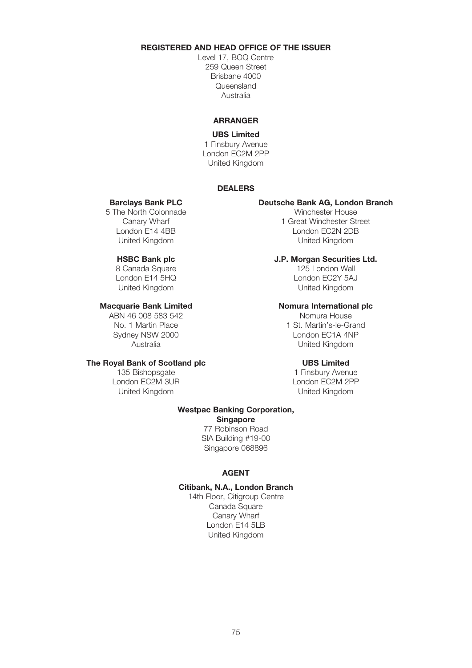# REGISTERED AND HEAD OFFICE OF THE ISSUER

Level 17, BOQ Centre 259 Queen Street Brisbane 4000 Queensland Australia

# ARRANGER

# UBS Limited

1 Finsbury Avenue London EC2M 2PP United Kingdom

# DEALERS

5 The North Colonnade Winchester House<br>Canary Wharf 1 Great Winchester St

8 Canada Square<br>London E14 5HQ

# The Royal Bank of Scotland plc UBS Limited

London EC2M 3UR United Kingdom United Kingdom

#### Barclays Bank PLC Deutsche Bank AG, London Branch

Canary Wharf 1 Great Winchester Street<br>
1 Great Winchester Street<br>
1 Great Minchester Street<br>
1 Great Minchester Street London EC2N 2DB United Kingdom United Kingdom

# **HSBC Bank plc Grands Sculare J.P. Morgan Securities Ltd.**<br>8 Canada Square **J25 London Wall**

London EC2Y 5AJ United Kingdom United Kingdom

### Macquarie Bank Limited Nomura International plc

ABN 46 008 583 542 Nomura House No. 1 Martin Place 1 St. Martin's-le-Grand Sydney NSW 2000 London EC1A 4NP Australia United Kingdom

135 Bishopsgate 135 Bishopsgate 1 Finsbury Avenue<br>
1 Finsbury Avenue<br>
1 London EC2M 3UR

### Westpac Banking Corporation, **Singapore**

77 Robinson Road SIA Building #19-00 Singapore 068896

# AGENT

### Citibank, N.A., London Branch

14th Floor, Citigroup Centre Canada Square Canary Wharf London E14 5LB United Kingdom